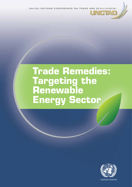UNITED NATIONS CONFERENCE ON TRADE AND DEVELOPMENT

UNGTAD

# **Trade Remedies: Targeting the Renewable Energy Sector**

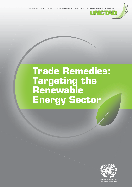UNITED NATIONS CONFERENCE ON TRADE AND DEVELOPMENT

**JNGTAD** 

# **Trade Remedies: Targeting the Renewable Energy Sector**



New York and Geneva, 2014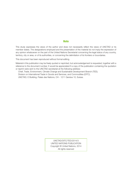#### **Note**

This study expresses the views of the author and does not necessarily reflect the views of UNCTAD or its member states. The designations employed and the presentation of the material do not imply the expression of any opinion whatsoever on the part of the United Nations Secretariat concerning the legal status of any country, territory, city or area, or of its authorities, or concerning the delimitation of its frontiers or boundaries.

This document has been reproduced without formal editing.

Material in this publication may be freely quoted or reprinted, but acknowledgement is requested, together with a reference to the document number. It would be appreciated if a copy of the publication containing the quotation or reprint were sent to the UNCTAD secretariat at the following address:

Chief, Trade, Environment, Climate Change and Sustainable Development Branch (TED), Division on International Trade in Goods and Services, and Commodities (DITC), UNCTAD, E Building, Palais des Nations, CH - 1211 Genève 10, Suisse.

> UNCTAD/DITC/TED/2014/3 UNITED NATIONS PUBLICATION Copyright © United Nations, 2014 All rights reserved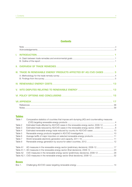# **Contents**

| III. TRADE IN RENEWABLE ENERGY PRODUCTS AFFECTED BY AD/CVD CASES  3 |
|---------------------------------------------------------------------|
|                                                                     |
|                                                                     |
|                                                                     |
|                                                                     |
|                                                                     |
|                                                                     |
|                                                                     |

### **Tables**

| Table 1      | Comparative statistics of countries that impose anti-dumping (AD) and countervailing measures |  |
|--------------|-----------------------------------------------------------------------------------------------|--|
|              |                                                                                               |  |
| Table 2      | Estimated trade affected by AD/CVD cases in the renewable energy sector, 2008-12  6           |  |
| Table 3      | Estimated trade reduced by AD/CVD cases in the renewable energy sector, 2008-12 8             |  |
| Table 4      | Estimated renewable energy trade reduced by country for AD/CVD cases 10                       |  |
| Table 5      |                                                                                               |  |
| Table 6      | Average tariffs of major importers on selected renewable-energy products 11                   |  |
| Table 7      |                                                                                               |  |
| Table 8      |                                                                                               |  |
| Table A1     |                                                                                               |  |
|              | Table A1.1. AD measures in the renewable energy sector (final decisions), 2008-12  23         |  |
| Table A2     | CVD measures in the renewable energy sector (preliminary decisions), 2008-12  28              |  |
|              |                                                                                               |  |
|              |                                                                                               |  |
| <b>Boxes</b> |                                                                                               |  |

| Box 1 |  |  |  |
|-------|--|--|--|
|-------|--|--|--|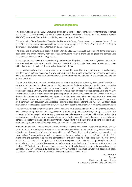#### **Acknowledgements**

This study was prepared by Gary Hufbauer and Cathleen Cimino of Peterson Institute for International Economics and substantively edited by Mr. Alexey Vikhlyaev of the United Nations Conference on Trade and Development (UNCTAD) secretariat. The desk-top publishing was done by Mr. Rafe Dent.

This publication, Trade Remedies: Targeting the Renewable Energy Sector, was commissioned for and forms part of the background documentation for an ad hoc expert group, entitled: "Trade Remedies in Green Sectors: the Case of Renewables", held in Geneva on 3 and 4 April 2014.

The study and the meeting are part of a larger effort by UNCTAD to analyze issues arising at the interface of trade policy and green economy, more specifically renewables, which is shorthand for goods and services used in conjunction with renewable energy sources.

In recent years, trade remedies - anti-dumping and countervailing duties - have increasingly been directed towards renewables - solar panels, wind turbines and biofuels. A priori, this puts these measures at cross purposes with national and international climate and environment policies.

The geopolitics and political economy are more complicated though. The developed as well as the developing countries are using these measures. And while one can argue that a given amount of environmental expenditure would go further in the absence of trade remedies, it is not clear that the amount of public support would remain at the same level.

There can be little doubt that trade remedies are a sensitive area. Trade remedies may have a significant effect on value and job creation throughout the supply chain as a whole. Trade remedies are bound to have competitive implications. Trade remedies against renewables provide a counterpoint to the initiative to reduce tariffs on environmental goods, particularly since some of the most active users of trade remedies participate in the initiative. Trade remedies shatter the alliances among interest groups. On the dispute settlement front, clearly what we see there is disputes on trade remedies that happen to involve renewables rather than disputes about renewables that happen to involve trade remedies. These disputes are about how trade remedies work and in many ways are a continuation of discussion and negotiations that have been going on for the past 12 -13 years about issues such as public interest test, lesser duty etc., which suddenly become relevant again in the context of renewables.

The study is far from an exhaustive examination of these issues, of course. In many areas, the analysis is speculative, aimed at raising questions and suggesting areas where policy makers and analysts may need to consider undertaking further analysis. Whether any given governmental measure is consistent with WTO rules is a highly contextual question that may well depend on the exact design features of that particular measure, and its broader context – regulatory, technological and commercial. Thus, nothing in this study should be considered as a judgment that any actual measure of any particular government violates WTO rules.

What are the actual or potential effects of trade remedies involving renewables? What kind of conclusions can be drawn from trade remedies cases since 2008? Are there alternative approaches that might lessen the impact of trade remedies on the deployment of renewable energy? What is the impact of trade remedies on jobs and value added? Are competitors with different supply chain using trade remedy cases to "raid" each other? Can aligning the anti-dumping rules with the competition or anti-trust rules help make sure they only remedy truly anti-competitive behavior - as opposed to undesired competition? Are there ways of providing more robust, empirically sound and predictable outcomes in trade remedies investigations and better connect trade law to the "real world"? Do trade remedies constitute a problem for the liberalization of trade in environmental goods and services? How can countries, individually and collectively, manage the interface between two deeply held goals: "fair international trade" and "GHG control"? These questions still remain open.

> Guillermo Valles **Director** Division on International Trade in Goods and Services, and Commodities.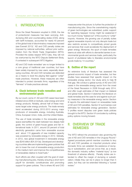# **I. INTRODUCTION**

Since the Great Recession erupted in 2008, the rise of protectionist measures has been worrying. Antidumping (AD) and countervailing duties (CVD), along with tariff increases, accounted for nearly 40 percent of the global total of discriminatory measures imposed (see Evenett 2013).<sup>1</sup> AD and CVD penalty duties are imposed by national authorities, without prior authorization from the World Trade Organization (WTO). Provided the duties respect WTO rules, they will not be overturned by the WTO Dispute Settlement Body, if contested in subsequent WTO litigation.

AD and CVD trade remedies<sup>2</sup> are no longer limited to a core group of traditional user countries, but have been widely imposed by new users, especially developing countries. AD and CVD remedies are defended as a means to level the playing field against "unfair" trade practices. However, these measures are often intended to protect domestic firms, regardless of the "fairness" of trade practices abroad.

#### **A. Clash between trade remedies and environmental goals**

By our count, some 41 AD and CVD cases have been initiated since 2008 on biofuels, solar energy and wind energy products. Notably, almost half of these measures target solar energy products. The trade remedy trend accelerated during 2012-2013 among major producers of renewable energy, including Australia, China, European Union, India, and the United States.

The use of trade remedies in the renewable energy space exemplifies the clash between two deeply-held goals: the control of green-house gases and fair international trade. In 2011, around 20 percent of total electricity generation came from renewable sources and about 115 gigawatts of new installed capacity was powered by renewable energy in 2012. Globally, in 2012, new global investment in renewable energy was \$240 billion (IEA 2013a). Developed and developing countries alike are implementing green policies that aim to lower the cost of renewable energy production in the medium-term and improve the competitiveness of renewables relative to fossil fuels.3

Such efforts are often coupled with the goal of creating manufacturing jobs, thereby ensuring a short-term payoff for domestic constituencies and promoting support for green policies. This is where AD and CVD

measures enter the picture: to further the protection of manufacturing jobs. Since the overwhelming majority of green technologies are subsidized, public support for spending taxpayer money might be weakened if too much money "leaked out" of the country to "unfair" imports. However, the growing use of penalty duties against renewable imports not only disrupts trade but also restricts access to competitively priced goods and services that could accelerate the deployment of green energy. Moreover, the spurt of trade remedies seems at odds with efforts to dismantle barriers to environmental goods and services trade, particularly the launch of plurilateral talks to liberalize environmental goods trade by 14 countries.4

#### **B. Outline of the report**

An extensive body of literature has assessed the general economic impact of trade remedies, but few studies have assessed their specific impact on the renewable energy sector. Our study aims to help fill that gap. We conduct a global survey of AD and CVD cases in the renewable energy sector from the onset of the Great Recession in 2008 through early 2014, and offer rough estimates of their impact on bilateral and global trade. Section II sketches the literature on trade remedies and the case for and against such policy measures in the renewable energy sector. Section III reports the estimated impact on renewables trade of AD and CVD penalties. Section IV summarizes cost estimates for renewable energy generation. Section V profiles recent disputes over green trade policies brought to the WTO. Section VI concludes by outlining policy options moving forward.

# **II. OVERVIEW OF TRADE REMEDIES**

The WTO refined the procedural rules governing the use of AD and CVD remedies in the Uruguay Round.<sup>5</sup> Agreed procedures permit member countries to levy AD and CVD penalties on imported products when domestic firms can establish the existence of dumping or subsidization, and can prove that, as a result, the domestic industry suffers "material injury" (a low threshold of adverse effects). Penalty duties are intended to offset the margin of dumping or subsidization; initially they can be in place no longer than 5 years, but they can be extended following a "sunset review."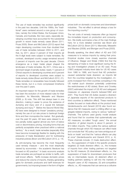The use of trade remedies has evolved significantly in the past two decades. Until the 1990s, the "traditional" users centered around a core group of countries, namely the United States, the European Union, Canada, and Australia. But new users, especially developing countries have accounted for the substantial growth in recent trade remedy cases (Bown 2011; Prusa 2005). Bown and McCulloch (2012) report that major developing countries more than doubled their use of trade remedies between 2004 to 2011, and that, by 2011, about 3 percent of their imports (at the 6-digit level) were subject to trade remedies. By contrast, developed country usage remained around 2 percent of imports over the past decade. China's emergence as a major trader player shaped the landscape of trade remedies. By 2011, China was a dominant target of penalty duties: nearly 11 percent of China's exports to developing countries and 5 percent of exports to developed countries were subject to trade remedy duties (Bown and McCulloch 2012, 21). Trade remedies on renewables have broadly followed these trends, but in a more compressed timeframe over the past 5 years.

An important reason for the growth of trade remedies has been the evolution of more relaxed rules for their imposition. As Mavroidis, Messerlin and Wauters (2008, p. 6) note, "this drift has always been in one direction, making it easier to prove the existence of dumping and injury and of a causal link between dumping and injury."6 Before the Second World War, AD laws were designed to thwart "predatory pricing", namely the use of cut rate prices to bankrupt foreign firms and then monopolize the market. But gradually, over the past 50 years, AD laws were relaxed to allow penalty duties against almost any form of below cost or discriminatory pricing, including forms that are perfectly acceptable when practiced within a national territory.7 As a result, trade remedies (especially ADs) have become increasingly flexible for dealing with the pressures of trade liberalization and for buttressing industrial policies (Bown and McCulloch 2012, p. 14).

As anti-dumping has become the most frequently used remedy measure – and the most skeptically viewed by economists – the academic literature has focused on AD practice.<sup>8</sup> In basic economic analysis trade remedies are portrayed as similar to tariffs, with well known effects. Tariffs increase domestic prices and reduce the volume of imports, thereby generating gains for domestic producers and tariff revenues for governments, but imposing losses in the form of higher prices both on domestic consumers and downstream industries. The net effect is almost always a loss for the importing country.<sup>9</sup>

The net costs of remedy measures often go beyond the immediate impact on production and consumption. We briefly summarize a few of the main findings here; for a more detailed overview see Bown and McCulloch (2012); Bown (2011); Mavroidis, Messerlin and Wauters (2008); and Blonigen and Prusa (2003).

Broadly speaking, the direct effect of AD and CVD measures is to reduce imports by raising their price. Empirical studies more closely examine channels of influence. Staiger and Wolak (1994) find that the dampening of trade is most significant during the filing and investigation phases of an AD case. Prusa (1997) analyzed industry-level data for US AD cases from 1980 to 1988, and found that AD protection caused substantial trade diversion: as imports fell from the countries targeted by the investigation, imports increased from third countries competing in the US market (such diversion potentially undermines the restrictiveness of AD duties). Bown and Crowley (2007) estimated the impact of US AD and safeguard measures on Japanese imports between1992 and 2001. They found that US duties caused a diversion of Japanese exports of the sanctioned products to third countries (a deflection effect). These mentioned studies focused on trade effects at the product level. Vandenbussche and Zanardi (2010) also found evidence that AD measures exert a chilling effect on aggregate bilateral imports, owing to various "spillover" channels. The authors used gravity model analysis and found that for countries that systematically use AD measures, so-called "tough users," the annual reduction of global imports is about 6 percent, or \$14 billion imports. They outline the various spillover channels through which AD measure can effect trade and conclude that "AD policy can have ambiguous effects on trade" and that the "various effects can play at once" (Vandenbussche and Zanardi 2010, p. 4). These channels include: (1) trade destruction effect, i.e., the suppression of trade in the specific products targeted; (2) trade diversion effect, i.e., the increase of imports from other trading partners not targeted by the AD measure; (3) downstream effects, i.e., the suppression of trade for downstream producers that rely on intermediate inputs; (4) deterrent effect on trading partners seeking to sell into the markets of frequent users of AD measures; (5) anti-competitive effects, i.e., AD measures that can serve as a collusive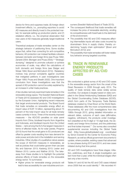device for firms and suppress trade; (6) foreign direct investment effects, i.e., prompting exporters to avoid AD measures and directly invest in the protected market, for example setting up production plants; and (7) retaliation effects, i.e., the empirical observation that new users of AD measures generally target traditional users.

Theoretical analyses of trade remedies center on the strategic behavior of petitioning firms. Some studies argue that, rather than correcting for anti-competitive behavior, AD protection can instead facilitate collusion between domestic and foreign firms (see Prusa 1992; Zanardi 2004; Blonigen and Prusa 2003).10 "Strategic dumping," designed to promote collusion or achieve economies of scale, may affect the calculations of both domestic and foreign firms (see Staiger and Wolak 1994; Bown and McCulloch 2012). Retaliatory motives may prompt complaints against countries that instigated petitions in past investigations (see Finger 1993; Prusa and Skeath 2002). One important conclusion from these investigations was that the spread of AD protection cannot be solely explained by an increase in unfair trade practices.

A few studies narrowly examined trade remedies in the renewable energy space. The Swedish National Board of Trade (2013) assessed AD and CVD investigations by the European Union, highlighting recent measures that target environmental products. The Board found that trade remedies on renewable energy affect an import value of EUR 14 billion, representing about 75 percent of the total import value for all trade remedy cases currently in force. Three of the recently imposed measures -- the AD/CVD penalties on solar panel imports from China, biodiesel imports from Argentina and Indonesia, and biodiesel imports from the United States -- rank among the EU's five largest measures in terms of affected trade. As for solar panels, Prognos (2013) found that the small gains to EU producers are offset by greater costs resulting from less demand for solar power and jobs lost in the installation and serving industries. Other studies of a qualitative nature assess the scope of AD/CVD measures in renewables, as well as policies that could better govern their use (see Wu and Salzman 2013; Kasteng 2013; Lester and Watson 2013; Levine and Walther 2013). The takeaway from these studies is to highlight the potential adverse effects of trade remedies on the renewable energy sector. To summarize:

• Higher prices for renewable energy products will lead to less accessibility for user industries and consumers (Swedish National Board of Trade 2013);

- The consequent likelihood that trade remedies will increase the price of renewable electricity, eroding its competitiveness with fossil fuels to the detriment of the environment;
- The possibility that AD and CVD measures affecting intermediate inputs will raise costs incurred by downstream firms in supply chains, thereby undermining "supply chain optimization" (Bown and McCulloch 2012); and
- The possibility that trade remedies will foster retaliatory behavior among targeted countries.

# **III. TRADE IN RENEWABLE ENERGY PRODUCTS AFFECTED BY AD/CVD CASES**

We conducted a global survey of AD and CVD cases in the renewable energy sector from the onset of the Great Recession in 2008 through early 2014. The quality of trade remedy data varies widely across countries. Our analysis is largely based on data compiled in the Global Antidumping Database (GAD) and the Global Countervailing Duties Database (GCVD), which form parts of the Temporary Trade Barriers database created by Chad Bown at the World Bank. These databases offer the most comprehensive data documenting AD and CVD investigations from the 1980s through 2012, giving detailed information on relevant dates, outcome of each case (affirmative, negative, withdrawn), the products under investigation (classified at the 8-digit or 10-digit level), the domestic and foreign firms involved, and the preliminary and final duties imposed.<sup>11</sup> Our survey also consulted supplemental sources including the Global Trade Alert (http://www.globaltradealert.org) coordinated by Simon Evenett for the Center for Economic Policy Research, as well as official government documents to update, where possible, existing cases that advanced to new phases during 2013 and 2014, and new cases initiated during that time period.

AD and CVD investigations have three stages: initiation, preliminary, and final. A single investigation can last more than a year, while the individual stages often last only a few months.

Tables A1 and A2 list the AD and CVD cases initiated since 2008 that we could identify.<sup>12</sup> We recorded 41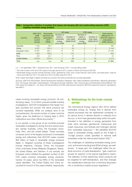|                      | GDP. 2012                                | Renewable                                           |                                                            | AD cases                                      |                                                            | <b>CVD</b> cases                                     |                                                                                      |
|----------------------|------------------------------------------|-----------------------------------------------------|------------------------------------------------------------|-----------------------------------------------|------------------------------------------------------------|------------------------------------------------------|--------------------------------------------------------------------------------------|
| Country              | (US\$<br>billions.<br>current<br>prices) | electricity net<br>generation,<br>2012<br>$(TWh)^b$ | Number of<br>cases in<br>renewable<br>energy<br>since 2008 | Number of<br>total cases<br>$(2008 - 2012)^a$ | Number of<br>cases in<br>renewable<br>energy<br>since 2008 | Number of<br>total cases<br>(2008-2012) <sup>a</sup> | Total imports<br>affected for 41<br>AD/CVD cases in<br>renewables<br>(US\$ millions) |
| Australia            | 532                                      | 29.0                                                | 3                                                          | 49                                            |                                                            | 7                                                    | 456                                                                                  |
| China                | 8 2 2 7                                  | 797.4                                               | 3                                                          | 53                                            | $\overline{2}$                                             | 6                                                    | 2 1 4 4                                                                              |
| European Union       | 16687                                    | 684.1                                               | 10                                                         | 75                                            | 8                                                          | 21                                                   | 24 408                                                                               |
| India                | 1842                                     | 162.0                                               | $\overline{4}$                                             | 167                                           | $\Omega$                                                   | $\Omega$                                             | 502                                                                                  |
| Peru                 | 204                                      | 22.1                                                | ٠                                                          | 10                                            |                                                            | $\overline{z}$                                       | 40                                                                                   |
| <b>United States</b> | 16 245                                   | 507.8                                               | 5                                                          | 68                                            | 3                                                          | 44                                                   | 4 4 1 4                                                                              |
| Total                | n.a.                                     | n.a.                                                | 26                                                         | 422                                           | 15                                                         | 85                                                   | 31 965                                                                               |

#### **Table 1. Comparative statistics of countries that impose anti-dumping (AD) and countervailing measures (CVD) targeting renewable energy products**

 $n.a.$  = not applicable; TWh = terawatt hours;  $AD =$  anti-dumping;  $CVD =$  countervailing duties

a The total number of AD and CVD cases is through year-end 2012, based on Bown (2012a) and (2012b).

**b** Renewable energy sources include biomass, hydro, geothermal, solar, wind, ocean thermal, wave action, and tidal action. Data for China and India from 2011; EU data from 2010; all other data from 2012.

Note: Cases that target multiple countries but concern the same product(s) are counted separately.

Sources: GDP from World Bank, World Development Indicators Database, http://data.worldbank.org/indicator; electricity generation from US Energy Information Administration, International Energy Statistics, http://www.eia.gov/countries/data.cfm#undefined; AD/ CVD cases from tables A1 - A2, Bown (2012a) and Bown (2012b); total imports covered by AD/CVD cases from authors' calculations, see table 3.

cases involving renewable energy products: 26 antidumping cases, 15 of which pursued parallel subsidy investigations. AD/CVD investigations that target multiple countries but concern the same products are counted separately. While our analysis aims to be comprehensive, the actual number of cases could be higher, given the likelihood of missing data in WTO notifications and other official documents.13

In our sample, a core group of six countries pursued renewable investigations during the time period studied, namely Australia, China, the European Union, India, Peru, and the United States. These countries comprise some of the largest producers of renewable energy and collectively, their AD/CVD cases covered \$32 billion of trade in renewable energy products (table 1). Targeted countries of these investigations include Argentina, Canada, China, the European Union, Indonesia, Korea, Malaysia, Singapore, Taiwan, the United States, and Vietnam. In our sample, the European Union initiated the greatest number of AD/ CVD cases involving renewable energy products, namely 18 cases, about two-fifths of the renewable cases identified. The United States and China accounted for 8 and 5 of the cases initiated, respectively.

#### **A. Methodology for the trade remedy survey**

The International Energy Agency (IEA 2012) defines renewable energy as "energy that is derived from natural processes that are replenished constantly. In its various forms, it derives directly or indirectly from the sun, or from heat generated deep within the earth. Included in the definition is energy generated from solar, wind, biomass, geothermal, hydropower and ocean resources, and biofuels and hydrogen derived from renewable resources."14 We identified AD/CVD cases in renewable energy, based on the 8-digit or 10-digit product codes specified in national tariff schedules under the Harmonized System (HS).<sup>15</sup>

The challenges of classifying renewable energy products, and environmental goods (EGs) at large, are wellknown. In large part, the challenges reflect the political economy of trade liberalization: "gain maximum access for exports" is the typical negotiator's maxim. The definition of EGs determines which products will be targeted for tariff liberalization, and that changes the classification exercise from a technical discussion into a contentious market access negotiation.16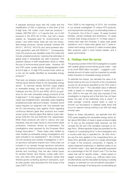A separate technical issue with HS codes and the classification of EGs in particular, is that even at the 6-digit level, HS codes cover dual-use products.17 Indeed, UNCTAD (2011, p.7) reports that, out of 440 products in the WTO list of EGs, only half a dozen classify as "singularly-used for environmental purposes," and within these, there are only two renewable energy products, namely hydraulic turbines (HS 841011, 841012, 841013) and wind-powered electricity generation sets (HS 850231).<sup>18</sup> Consequently, many EG products are classified under HS codes that include unrelated products, meaning that estimates of global trade in renewables are often imprecise. This systemic feature of tariff classification tends to inflate the size of environmental goods trade. However, AD and CVD cases usually specify disaggregated codes at the 8-digit or 10-digit HTS product level, which as a rule can be readily identified as renewable energy products.19

That said, our analysis considers only those cases involving inputs directly linked to the renewable energy sector. To narrowly identify AD/CVD cases related to renewable energy, we drew upon WTO (2011a), Hufbauer and Kim (2012) and APEC (2012) as guidance for the main renewable energy products at the 6-digit level.20 In this regard, the identification of most cases was straightforward, especially cases targeting biodiesel and solar cells and modules. However, some cases required our judgment call. One example was the EU anti-dumping case against China regarding continuous filament glass fiber products and certain woven and/or stitched glass fiber fabrics (case references EUN-AD-705 and EUN-AD-729, respectively). While these products are sold to various end user industries, they are major inputs to wind turbine blade production; moreover, almost as confirmation, the investigations were opposed by the European Wind Energy Association.<sup>21</sup> These cases were verified by other studies as renewable energy investigations and were included in our assessment.<sup>22</sup> By contrast, the US anti-dumping and subsidy investigations in 2011 on aluminum extrusions imports from China were not included in our sample; though aluminum extrusions are inputs for finished products including solar panels (frames and mounting), they are also critical inputs for window frames, door frames, curtain walls, furniture, and many other goods. Moreover, certain final finished goods containing aluminum extrusions, such as solar panels, were excluded from the scope of the case (USITC 2010).

From 2008 to the beginning of 2014, the countries in our sample investigated 75 unique HTS products, and imposed anti-dumping or countervailing duties on 72 products. Out of the 41 cases, 16 cases involved biofuels, namely biodiesel and bioethanol; 18 cases involved solar energy products (11 of these cases involved solar cells and modules, 5 cases solar grade polysilicon, and 2 cases solar glass); and 7 cases involved wind energy products (2 cases involved glass fiber products used in wind turbine blades, and 5 cases wind towers).

#### **B. Findings from the survey**

The growing number of AD/CVD investigations coupled with sizable global environmental goods trade – said to be worth \$955 billion annually<sup>23</sup> – suggests a substantial amount of trade could be impacted by penalty duties imposed on renewable energy products.

To estimate the impact, we calculate the value of affected trade as the sum of imports of the complainant country for all products specified by the HTS code in the AD/CVD case.<sup>24</sup> The calculated value of affected trade is based on average imports in recent years, from 2009 to the year the duty was imposed (if the investigation is ongoing and a final duty has not been levied, the year of the preliminary duty is used).<sup>25</sup> A trade average covering several years is used to smooth out fluctuations in bilateral trade flows that occur for reasons having nothing to do with the trade remedy case.

Based on these calculations, we estimate that AD/ CVD cases targeting the renewable energy sector affect about \$32 billion of trade in green products (table 2). To size up the potential trade reduced, we first compile the AD and CVD penalties imposed on foreign firms. Where separate duties are specified for the majority of "cooperating firms" in the investigation and a country-wide duty is specified for "all other firms," we use the duty applied to the cooperating firms, as these firms generally account for a larger percentage of trade of the products concerned. A majority of cases implement preliminary or definitive duties on an ad valorem basis – duty rates are generally expressed as a percentage of the CIF import cost.26 For the few cases that call for specific duties – duties based on weight, number or volume, e.g., US\$ per metric tons, we alternatively use the calculated dumping or subsidy margins, or estimate our own ad valorem equivalent.<sup>27</sup> The simple average of dumping and countervailing ad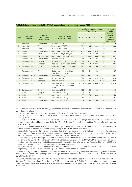|                |                             |                                              |                                                                          |                | Imports from respondent country<br>(US\$ millions) $\text{c}$ |         |          | Average<br>trade                                                            |
|----------------|-----------------------------|----------------------------------------------|--------------------------------------------------------------------------|----------------|---------------------------------------------------------------|---------|----------|-----------------------------------------------------------------------------|
| Case           | Complainant<br>country      | Respondent<br>country under<br>investigation | <b>Product and date</b><br>AD/CVD imposed                                | 2009           | 2010                                                          | 2011    | 2012     | from 2009<br>to year<br>measure<br>imposed<br>$(US$$ millions) <sup>d</sup> |
| 1.             | Australia <sup>a</sup>      | <b>United States</b>                         | Biodiesel (2011) <sup>e</sup>                                            | 5              | 6                                                             | 16      | $\Omega$ | 9                                                                           |
| $\overline{2}$ | Australia                   | China                                        | Wind towers (2013) <sup>b</sup>                                          | 261            | 295                                                           | 409     | 769      | 433                                                                         |
| 3              | Australia                   | Korea                                        | Wind towers (2013) <sup>b</sup>                                          | $\overline{4}$ | 6                                                             | 14      | 30       | 13                                                                          |
| $\overline{4}$ | China <sup>a</sup>          | <b>United States</b>                         | Solar grade polysilicon (2014)                                           | 431            | 980                                                           | 1 0 2 5 | 702      | 785                                                                         |
| 5              | China                       | Korea                                        | Solar grade polysilicon (2014)                                           | 361            | 658                                                           | 1 199   | 490      | 677                                                                         |
| 6              | China <sup>a</sup>          | European Union                               | Solar grade polysilicon (2013) <sup>b</sup>                              | 552            | 644                                                           | 866     | 668      | 682                                                                         |
| 7              | European Union <sup>a</sup> | <b>United States</b>                         | Biodiesel (2009)                                                         | 4572           | 4649                                                          | 11 498  | 710      | 4572                                                                        |
| 8              | European Union <sup>a</sup> | Canada                                       | Biodiesel (circumvention) (2011) <sup>f</sup>                            | 635            | 571                                                           | 1 1 8 4 | 34       | 797                                                                         |
| 9              | European Union <sup>a</sup> | Singapore                                    | Biodiesel (circumvention) (2011) <sup>f</sup>                            | 332            | 458                                                           | 1 2 6 3 | 9        | 684                                                                         |
| 10             | European Union              | China                                        | Continuous filament glass fiber<br>products (2011)                       | 142            | 205                                                           | 166     | 130      | 171                                                                         |
| 11             | European Union              | China                                        | Certain woven and/or stitched<br>glass fiber fabrics (2012) <sup>b</sup> | 38             | 54                                                            | 58      | 116      | 67                                                                          |
| 12             | European Union <sup>a</sup> | <b>United States</b>                         | Bioethanol (2013)                                                        | 634            | 995                                                           | 1589    | 882      | 1 0 2 5                                                                     |
| 13             | European Union <sup>a</sup> | Argentina                                    | Biodiesel (2013) <sup>9</sup>                                            | 759            | 1 1 4 6                                                       | 1919    | 1814     | 1410                                                                        |
| 14             | European Union <sup>a</sup> | Indonesia                                    | Biodiesel (2013) <sup>9</sup>                                            | 167            | 531                                                           | 1414    | 1 3 5 9  | 868                                                                         |
| 15             | European Union <sup>a</sup> | China                                        | Crystalline silicon photovoltaic<br>modules and key components<br>(2013) | 8 2 8 4        | 20 005                                                        | 19 698  | 10 692   | 14 670                                                                      |
| 16             | European Union <sup>a</sup> | China                                        | Solar glass (2013) <sup>b</sup>                                          | 105            | 165                                                           | 168     | 145      | 146                                                                         |
| 17             | India                       | Malaysia                                     | Solar cells (est. 2014)                                                  | 5              | 21                                                            | 185     | 82       | 73                                                                          |
| 18             | India                       | China                                        | Solar cells (est. 2014)                                                  | 22             | 76                                                            | 606     | 310      | 253                                                                         |
| 19             | India                       | Taiwan                                       | Solar cells (est. 2014)                                                  | 89             | 54                                                            | 178     | 55       | 94                                                                          |
| 20             | India                       | <b>United States</b>                         | Solar cells (est. 2014)                                                  | 24             | 34                                                            | 133     | 135      | 82                                                                          |

#### **Table 2. Estimated trade affected by AD/CVD cases in the renewable energy sector, 2008-12**

est. = estimated date as neither a preliminary decision nor a final decision on the AD/CVD has been announced as of February 2014 n.a. = data not available

- <sup>a</sup> Indicates parallel dumping and subsidy investigations. The total AD and CVD cases amount to 41.<br><sup>b</sup> Indicates that the "date AD/CVD imposed" is based on the preliminary decision as the final decision has not been reach February 2014.
- <sup>c</sup> The value of affected trade for each year is calculated as the sum of imports in the complainant country for all HTS (harmonized tariff schedule) product subheadings specified in the AD and CVD case. For a detailed listing of the HTS codes for each case, see tables A1 and A2.<br>d We take the average of trade from 2009 to the year the preliminary or final measure was imposed to smooth out fluctuations in
- bilateral trade flows that occur for reasons having nothing to do with the trade remedy case.<br>Trade data for Australia is subiect to gaps in available data for biodiesel imports from United States due to revised HTS classi
- tions in Australia. Figures reported may underestimate actual trade flows. For context, biodiesel exports from the United States to Australia, based on HS 382490, averaged \$44.5 billion per year from 2009-2011.
- <sup>f</sup> The EU initiated separate investigations based on evidence that US biodiesel exporters were circumventing AD/CVD penalties and entering the EU market via transshipment through Canada and Singapore. In May 2011, the EU extended duties on imports consigned from Canada and terminated the case against Singapore (see Council Implementing Regulation [EU] No 444/2011 & No 443/2011). In April 2013, the EU initiated an interim review of the extension.
- <sup>9</sup> Trade data for European Union biodiesel cases against Argentina and Indonesia drawn from Eurostat data and Commission Regulation (EU) No 490/2013 to account for gaps in Eurostat data for certain HTS codes.

Notes: EU trade figures originally reported in Euros and converted to US dollars using annualized bilateral exchange rates as reported by the European Central Bank, see http://sdw.ecb.europa.eu/browseSelection.do?DATASET=0&sfl1=4&FREQ=A&sfl3=4&CURREN CY=USD&node=2018794.

Source: AD/CVD case data from tables A1 - A2; trade data from the International Trade Centre, http://www.trademap.org/; EU trade data from Eurostat, International Trade database, EU27 trade since 1988 by CN8, http://epp.eurostat.ec.europa.eu/portal/page/ portal/international\_trade/data/database; US trade data from US International Trade Commission, http://dataweb.usitc.gov/; authors' calculations.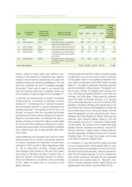|      |                                  |                                              |                                                                               |        | (US\$ millions) $\circ$ | Imports from respondent country |         | Average<br>trade                                                            |
|------|----------------------------------|----------------------------------------------|-------------------------------------------------------------------------------|--------|-------------------------|---------------------------------|---------|-----------------------------------------------------------------------------|
| Case | Complainant<br>country           | Respondent<br>country under<br>investigation | Product and date<br>AD/CVD imposed                                            | 2009   | 2010                    | 2011                            | 2012    | from 2009<br>to year<br>measure<br>imposed<br>$(US$$ millions) <sup>d</sup> |
| 21   | Peru <sup>a</sup>                | <b>United States</b>                         | Biodiesel (2010)                                                              | 61     | 19                      | 9                               | 15      | 40                                                                          |
| 22   | <b>United States<sup>a</sup></b> | China                                        | Crystalline silicon photovoltaic<br>cells and modules (2012)                  | 667    | 1547                    | 3 1 7 7                         | 2 1 3 9 | 882                                                                         |
| 23   | <b>United States<sup>a</sup></b> | China                                        | Utility scale wind towers (2012)                                              | 199    | 133                     | 243                             | 539     | 278                                                                         |
| 24   | <b>United States</b>             | Vietnam                                      | Utility scale wind towers (2012)                                              | 82     | 67                      | 91                              | 73      | 78                                                                          |
| 25   | United States <sup>a</sup>       | China                                        | Crystalline silicon photovoltaic<br>modules and key components<br>(est. 2014) | 667    | 1547                    | 3 1 7 7                         | 2 1 3 9 | 882                                                                         |
| 26   | <b>United States</b>             | Taiwan                                       | Crystalline silicon photovoltaic<br>modules and key components<br>(est. 2014) | 173    | 338                     | 225                             | 435     | 293                                                                         |
|      | Total trade affected             |                                              |                                                                               | 19 272 | 35 202                  | 50 512 24 471                   |         | 31 965                                                                      |

valorem duties for those cases that reached a preliminary or final decision is moderately high, approximately 27 and 26 percent, respectively. For cases with parallel dumping and subsidy investigations, the total duty from combined AD and CV penalties averaged 59 percent. There were 8 cases in our sample that have not imposed preliminary or definitive duties due to incomplete or ongoing stages of the investigation.<sup>28</sup>

To estimate the total reduction of trade in renewable energy products, we assume an elasticity of import demand of -1.0 (meaning that a 1 percent increase in price of the good results in a 1 percent decrease in the quantity imported).29 For example, if the AD duty is 25 percent, we assume that the calculated pre-remedy average level of imports will be reduced by 25 percent. Based on this assumption, we estimate the total reduction of trade to be about \$14 billion annually (table 3). As AD and CVD penalties are effective for 5 years, pending the sunset review, the annual figure translates into a global trade loss of approximately \$68 billion over 5 years.

Cases initiated by the European Union and the United States account for 91 percent of the global reduction of imports, translating into estimated annual import reductions of \$8.0 and \$4.4 billion respectively (table 4). As for respondent countries, Chinese exports were targeted most heavily by AD and CVD cases, accounting for \$9 billion annually of exports lost, or about 64 percent of the global reduction of exports. China was followed by US exports, which accounted for \$3.1 billion of exports lost, or 23 percent of the global reduction.

The total trade reduced of \$14 billion annually is sizable in dollar terms, but only accounts for about 4 percent of total global trade in the targeted renewable products, which we estimate at about \$375 billion annually (table 5).30 As might be expected, the trade reduction was concentrated in a few products. The largest number of cases, namely 18, targeted solar energy products, including solar grade polysilicon, solar cells and modules, and solar glass. These products represent about \$10 billion of imports reduced, or 70 percent of the total trade reduced on account of AD and CVD penalties. This figure will likely grow depending on the outcomes of the current US investigations of solar cell and module imports from China and Taiwan, and the Indian investigations of solar cell imports from China, Malaysia, the United States and Taiwan. Moreover, the particular solar products already subject to AD and CVD penalties account for 10 percent of global trade in solar goods. By contrast, the 16 cases that target biofuels (namely, biodiesel and ethanol), account for almost 2 percent of global trade in these products; counted separately, biodiesel accounts for 9 percent of global trade. The 5 cases that target wind towers cover about 4 percent of global trade.

It is important to note that AD/CVD duties are levied on top of existing duties. While applied tariffs on solar and wind products are generally low among the countries that impose trade remedies, near zero percent for solar PV and ranging between 2.5 and 8 percent for wind turbine equipment, the tariffs can be substantial on biodiesel and ethanol (table 6). Moreover, non-OECD countries generally impose higher bound and applied tariffs than OECD countries (OECD 2013).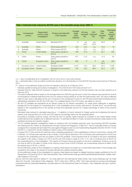| Case           | Complainant<br>country      | Respondent<br>country under<br>investigation | Product and date AD/<br><b>CVD</b> imposed | Average<br>trade<br>(US\$<br>millions) <sup>c</sup> | AD duty<br>imposed <sup>d</sup><br>(% ) | <b>CVD</b><br>imposed <sup>d</sup><br>$(\% )$ | Total<br>duty<br>imposed<br>$(\% )$ | Estimated<br>trade<br>reduced<br><b>(US\$</b><br>millions) <sup>e</sup> |
|----------------|-----------------------------|----------------------------------------------|--------------------------------------------|-----------------------------------------------------|-----------------------------------------|-----------------------------------------------|-------------------------------------|-------------------------------------------------------------------------|
|                | Australia <sup>a</sup>      | <b>United States</b>                         | Biodiesel (2011)                           | 9                                                   | est.<br>40.0 <sup>f</sup>               | est.<br>55.0 <sup>f</sup>                     | 95.0                                | 9                                                                       |
| $\overline{2}$ | Australia                   | China                                        | Wind towers (2013) <sup>b</sup>            | 433                                                 | 16.2                                    | n.a.                                          | 16.2                                | 70                                                                      |
| 3              | Australia                   | Korea                                        | Wind towers (2013) <sup>b</sup>            | 13                                                  | 12.1                                    | n.a.                                          | 12.1                                | 2                                                                       |
| $\overline{4}$ | China <sup>a</sup>          | <b>United States</b>                         | Solar grade polysilicon<br>(2014)          | 785                                                 | 57.0                                    | 2.1                                           | 59.1                                | 464                                                                     |
| 5              | China                       | Korea                                        | Solar grade polysilicon<br>(2014)          | 677                                                 | 12.3                                    | n.a.                                          | 12.3                                | 83                                                                      |
| 6              | China <sup>a</sup>          | European Union                               | Solar grade polysilicon<br>$(2013)^{b}$    | 682                                                 | $\mathsf{P}$                            | P                                             | est.<br>$59.4^{\circ}$              | 406                                                                     |
| 7              | European Union <sup>a</sup> | <b>United States</b>                         | Biodiesel (2009)                           | 4572                                                | 19.3                                    | 36.0                                          | 55.3                                | 2528                                                                    |
| 8              | European Union <sup>a</sup> | Canada                                       | Biodiesel (circumvention)<br>$(2011)^9$    | 797                                                 | 19.3                                    | 36.0                                          | 55.3                                | 441                                                                     |

#### **Table 3. Estimated trade reduced by AD/CVD cases in the renewable energy sector, 2008-12**

n.a. = duty not applicable as an investigation did not occur and no duty was imposed

est. = estimated date or duty as neither a preliminary decision nor a final decision on the AD/CVD has been announced as of February 2014

P = case is in the preliminary phase and has not reached a decision as of February 2014

- <sup>a</sup> Indicates parallel dumping and subsidy investigations. The total AD and CVD cases amount to 41.<br><sup>b</sup> Indicates that the "date AD/CVD imposed" is based on the preliminary decision as the final decision has not been reach February 2014.
- c The value of affected trade is based on the average trade from 2009 through the year in which the measure was imposed to smooth out fluctuations in bilateral trade flows that occur for reasons having nothing to do with the trade remedy case. The value of affected trade for each year is calculated as the sum of imports in the complainant country for all HTS (harmonized tariff schedule) product subheadings specified in the AD and CVD case. For a detailed listing of the HTS codes, see tables A1 and A2.
- <sup>d</sup> AD and CV penalties are expressed as ad valorem duties (or ad valorem equivalent). For cases which distinguish a weightedaverage duty for the majority of "cooperating firms" in the investigation and a country-wide duty for "all other firms," we use the duty applied to the cooperating firms in the sample as these firms generally account for a larger percentage of trade of the products concerned.
- <sup>e</sup> Estimated trade reduced is calculated assuming a -1.0 elasticity of import demand for foreign goods and multiplying the total ad valorem duty imposed (the sum of AD and CVD rates) by the average trade over the specified period.
- <sup>f</sup> According to Australia Customs notices, the final AD and CV specific duties imposed by Australia on the United States remain undisclosed and are available only to affected importers. To estimate the effect on trade, we assume protective duties based on the published dumping and subsidy margins.
- <sup>9</sup> The EU initiated separate investigations based on evidence that US biodiesel exporters were circumventing AD/CVD penalties and entering the EU market via transshipment through Canada and Singapore. In May 2011, the EU extended duties on imports consigned from Canada and terminated the case against Singapore (see Council Implementing Regulation [EU] No 444/2011 & No 443/2011). In April 2013, the EU initiated an interim review of the extension.
- h In August 2013, China and the EU reached a price undertaking agreement, which established a minimum import price, namely EUR 0.56/watt, for Chinese solar exporters in lieu of duties. The EU reports that about 75% of Chinese solar panel exports to the EU are covered by the undertaking and are not subject to AD/CVD penalties. Those exporters that do not agree to the price undertaking are subject to AD duties in range of 27.3% to 64.9% and CVD duties in range of 3.5%-11.%, with a combined duty of 59.2% for the cooperating firms in the investigation. The majority of Chinese imports are subject to the price undertaking. However, as we do not have an AVE for the effect on trade of the minimum import price of EUR 0.56/watt, we conservatively assume an effect of half the residual duty of 59.2% or 29.6%.
- As the preliminary phase of the investigation is ongoing, these figures are based on a conservative assumption of the average duty imposed by the cases in the sample to broadly estimate the possible protective effect.<br>As the preliminary phase of the investigation is ongoing, these figures are based on alleged dumping margins published by the US
- Department of Commerce (2014). See case factsheet, http://enforcement.trade.gov/download/factsheets/factsheet-multiple-solarcells-initiation-012313.pdf.

Source: AD/CVD case data from tables A1- A2; trade data from the International Trade Centre, http://www.trademap.org/; EU trade data from Eurostat, International Trade database, "EU27 trade since 1988 by CN8," http://epp.eurostat.ec.europa.eu/portal/page/ portal/international\_trade/data/database; US trade data from US International Trade Commission, http://dataweb.usitc.gov/; authors' calculations.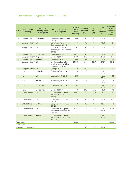| Case               | Complainant<br>country      | Respondent<br>country under<br>investigation | Product and date AD/<br><b>CVD</b> imposed                               | Average<br>trade<br>(US\$<br>millions) <sup>c</sup> | AD duty<br>imposed <sup>d</sup><br>(%) | <b>CVD</b><br>imposed <sup>d</sup><br>(% ) | <b>Total</b><br>duty<br>imposed<br>$(\% )$ | <b>Estimated</b><br>trade<br>reduced<br>(US\$<br>millions) <sup>e</sup> |
|--------------------|-----------------------------|----------------------------------------------|--------------------------------------------------------------------------|-----------------------------------------------------|----------------------------------------|--------------------------------------------|--------------------------------------------|-------------------------------------------------------------------------|
| 9                  | European Union <sup>a</sup> | Singapore                                    | Biodiesel (circumvention)<br>$(2011)^9$                                  | 684                                                 | 0.0                                    | 0.0                                        | 0.0                                        | $\circ$                                                                 |
| 10                 | European Union              | China                                        | Continuous filament glass<br>fiber products (2011)                       | 171                                                 | 13.8                                   | n.a.                                       | 13.8                                       | 24                                                                      |
| 11                 | European Union              | China                                        | Certain woven and/or<br>stitched glass fiber fabrics<br>(2012)           | 67                                                  | 0.0                                    | 0.0                                        | 0.0                                        | $\Omega$                                                                |
| 12                 | European Union <sup>a</sup> | <b>United States</b>                         | Bioethanol (2013)                                                        | 1 0 2 5                                             | 9.5                                    | n.a.                                       | 9.5                                        | 97                                                                      |
| 13                 | European Union <sup>a</sup> | Argentina                                    | Biodiesel (2013)                                                         | 1410                                                | 24.6                                   | n.a.                                       | 24.6                                       | 347                                                                     |
| 14                 | European Union <sup>a</sup> | Indonesia                                    | Biodiesel (2013)                                                         | 868                                                 | 18.9                                   | n.a.                                       | 18.9                                       | 164                                                                     |
| 15                 | European Union <sup>a</sup> | China                                        | Crystalline silicon pho-<br>tovoltaic modules & key<br>components (2013) | 14 670                                              | 47.7h                                  | 11.5 <sup>h</sup>                          | 29.6 <sup>h</sup>                          | 4 3 4 2                                                                 |
| 16                 | European Union <sup>a</sup> | China                                        | Solar glass (2013) <sup>b</sup>                                          | 146                                                 | 42.1                                   | P                                          | 42.1                                       | 61                                                                      |
| 17                 | India                       | Malaysia                                     | Solar cells (est. 2014)                                                  | 73                                                  | P                                      | n.a.                                       | est.<br>26.6 <sup>i</sup>                  | 19                                                                      |
| 18                 | India                       | China                                        | Solar cells (est. 2014)                                                  | 253                                                 | P                                      | n.a.                                       | est.<br>26.6 <sup>i</sup>                  | 66                                                                      |
| 19                 | India                       | Taiwan                                       | Solar cells (est. 2014)                                                  | 94                                                  | P                                      | n.a.                                       | est.<br>26.6 <sup>i</sup>                  | 25                                                                      |
| 20                 | India                       | <b>United States</b>                         | Solar cells (est. 2014)                                                  | 82                                                  | P                                      | n.a.                                       | est.<br>26.6 <sup>i</sup>                  | 21                                                                      |
| 21                 | Perua                       | <b>United States</b>                         | Biodiesel (2010)                                                         | 40                                                  | 26.0                                   | 22.0                                       | 48.0                                       | 19                                                                      |
| 22                 | United States <sup>a</sup>  | China                                        | Crystalline silicon photo-<br>voltaic cells and modules<br>(2012)        | 1882                                                | 24.5                                   | 15.2                                       | 39.7                                       | 747                                                                     |
| 23                 | United States <sup>a</sup>  | China                                        | Utility scale wind towers<br>(2012)                                      | 278                                                 | 70.6                                   | 28.3                                       | 98.9                                       | 275                                                                     |
| 24                 | <b>United States</b>        | Vietnam                                      | Utility scale wind towers<br>(2012)                                      | 78                                                  | 58.5                                   | n.a.                                       | 58.5                                       | 46                                                                      |
| 25                 | United States <sup>a</sup>  | China                                        | Crystalline silicon photo-<br>voltaic cells and modules<br>(est. 2014)   | 1882                                                | P                                      | P                                          | est.<br>165.0                              | 3 10 6                                                                  |
| 26                 | <b>United States</b>        | Taiwan                                       | Crystalline silicon photo-<br>voltaic cells and modules<br>(est. 2014)   | 293                                                 | P                                      | P                                          | est.<br>75.7 <sup>j</sup>                  | 222                                                                     |
| <b>Total trade</b> |                             |                                              |                                                                          | 31 965                                              |                                        |                                            |                                            | 13 5 84                                                                 |
| Addendum           |                             |                                              |                                                                          |                                                     |                                        |                                            |                                            |                                                                         |
|                    | Average duty imposed        |                                              |                                                                          |                                                     | 26.6                                   | 26.3                                       | 59.4                                       |                                                                         |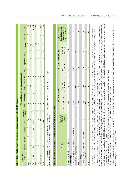| Table 4. Estimated renewable energy trade reduced by country for AD/CVD cases                                                                                                                             |     |                            |     |       |                   |                                          |    |               |                                                      |     |                          |                |               |
|-----------------------------------------------------------------------------------------------------------------------------------------------------------------------------------------------------------|-----|----------------------------|-----|-------|-------------------|------------------------------------------|----|---------------|------------------------------------------------------|-----|--------------------------|----------------|---------------|
|                                                                                                                                                                                                           |     |                            |     |       |                   | Value of imports from respondent country |    |               |                                                      |     |                          |                |               |
| Complainant<br>country                                                                                                                                                                                    |     | Argentina Australia Canada |     | China | European<br>Union |                                          |    |               | India Indonesia Korea Malaysia Peru Singapore Taiwan |     | <b>States</b><br>Jnited  | <b>Vietnam</b> | Total         |
| Australia                                                                                                                                                                                                 |     |                            |     |       |                   |                                          |    |               |                                                      |     |                          |                | 80            |
| China                                                                                                                                                                                                     |     |                            |     |       | 406               |                                          | 83 |               |                                                      |     | 464                      |                | 953           |
| European Union                                                                                                                                                                                            | 347 |                            | 441 | 4 427 |                   | 164                                      |    |               |                                                      |     | 2626                     |                | 8004          |
| India                                                                                                                                                                                                     |     |                            |     | 66    |                   |                                          |    | $\frac{0}{1}$ |                                                      | 25  | $\overline{\mathcal{L}}$ |                | 132           |
| Peru                                                                                                                                                                                                      |     |                            |     |       |                   |                                          |    |               |                                                      |     | <u>ဂ</u>                 |                | $\frac{0}{1}$ |
| <b>United States</b>                                                                                                                                                                                      |     |                            |     | 4128  |                   |                                          |    |               |                                                      | 222 |                          | 46             | 4396          |
| Total                                                                                                                                                                                                     | 347 |                            | 441 | 8692  | 406               | 164                                      | 85 | $\frac{0}{1}$ |                                                      | 246 | 3138                     | 46             | 13584         |
| Note: All initiated AD/CVD cases are included regardless of the outcome, i.e., whether ruled affirmative, negative, or withdrawn.<br>Source: Estimated trade reduced from table 3; authors' calculations. |     |                            |     |       |                   |                                          |    |               |                                                      |     |                          |                |               |

| =<br>=<br>=                                                                                                                                                        |
|--------------------------------------------------------------------------------------------------------------------------------------------------------------------|
| i<br> <br> <br>                                                                                                                                                    |
| ֧֧֧֦֧֧֧֧֧֧֧֦֧֧֧֧֧֦֧֧֧֧֧֧֧֧֧֧֧֧֧֧֧֧֧֧֧֧֧֧֧֧֧֧֧֧֧֧֧֧֧֧֧֚֚֚֚֝֝֬֝֝֬֓֓֓֝֓֝֬֓֓֝֬֝֬֝֓֝֬֓֝֬֓֓֓֝֬֜<br>֧֧֛֧֛֧֛֧֛֧֛֛֪֛֪֛֚֚֚֚֜֜֜֜֜֜<br>֞ <b>֝</b><br>֪֝֟֝֬֝֬֝֟֝<br>Ì<br>i<br>E |
| ֖֖֧֧֧֪֪֪ׅ֧֪֪֪֪֪֪֪֪֪֪ׅ֪֪ׅ֧֚֚֚֚֚֚֚֚֚֚֚֚֚֚֚֚֚֚֚֚֚֚֚֚֚֚֚֚֚֬֡֡֡֓֡֡֓֡֓֡֡֓֬֓֓֓֡֓֬֓֓֓֓֞֓֝֬֓֬֝֬֝֓֝<br>ĺ<br>h<br>I                                                           |
|                                                                                                                                                                    |
| <b>Contract Contract Contract</b>                                                                                                                                  |
| í                                                                                                                                                                  |
| i                                                                                                                                                                  |
|                                                                                                                                                                    |

|                                                                                                                                                                                                        |                                       | Total trade affected  |                            | Estimated trade reduced  |                            | Global trade in                                                       |
|--------------------------------------------------------------------------------------------------------------------------------------------------------------------------------------------------------|---------------------------------------|-----------------------|----------------------------|--------------------------|----------------------------|-----------------------------------------------------------------------|
| Product                                                                                                                                                                                                | Number of -<br><b>AD/CVD</b><br>cases | Value (US\$ millions) | global trade<br>% of total | (US\$ millions)<br>Value | global trade<br>% of total | targeted renewable<br>energy products<br>(US\$ billions) <sup>a</sup> |
| Biofuels (biodiesel and bioethanol)                                                                                                                                                                    | $\frac{6}{1}$                         | 9404                  | 3.6                        | 3605                     | $\frac{1}{4}$              | 259                                                                   |
| Solar energy                                                                                                                                                                                           |                                       |                       |                            |                          |                            |                                                                       |
| Crystalline silicon photovoltaic cells & modules                                                                                                                                                       |                                       | 19230                 | 21.7                       | 8549                     | 9.6                        | 89                                                                    |
| Solar grade polysilicon                                                                                                                                                                                | 5                                     | 2144                  | 29.5                       | 953                      | 12.0                       |                                                                       |
| Solar glass                                                                                                                                                                                            | C                                     | 146                   | 8.9                        | 61                       | 8.<br>2                    | $\mathcal{Q}$                                                         |
| Wind energy                                                                                                                                                                                            |                                       |                       |                            |                          |                            |                                                                       |
| Wind turbine blades (glass fiber products)                                                                                                                                                             |                                       | 238                   | 2.<br>S                    | 24                       | 3.                         |                                                                       |
| Wind turbines                                                                                                                                                                                          | Б                                     | 804                   | 33                         | 393                      | $\frac{1}{4}$              | $\overline{C}$                                                        |
| Total                                                                                                                                                                                                  | $\frac{1}{4}$                         | 31965                 | 8.5                        | 13584                    | <u>ვ.</u>                  | 374                                                                   |
| Total diobal trade is estimated based on the 6-digit His codes that correspond to the HTS codes specified in each AD/CVD case. Global trade is calculated as the average imports of specified products |                                       |                       |                            |                          |                            |                                                                       |

 $^{\circ}$  Total global traded based on the 6-digit HS codes that correspond to the HTS codes specified in each AD/CVD case. Global trade is calculated as the average imports of specified products in recent years, 2009 to 2012. Because 6-digit HS codes include some unrelated products this is an imprecise overestimate of actual global trade in the specified renewable energy products.<br>In recent years, 2009 to 2012. Be in recent years, 2009 to 2012. Because 6-digit HS codes include some unrelated products this is an imprecise overestimate of actual global trade in the specified renewable energy products.

measure of biofuels trade can be imprecise. For our purposes, we use a broad measure based on: bioethanol measured under HS 220710 and 220720 (undenatured and denatured ethyl alcohol); biodiesel measured under HS 382490; and HS 271011 (light oils and preparations), which is used since it is both targeted in the Australian and EU cases against biofuels and Specifically for biofuels: due to trading under HTS codes that can differ widely among counties such as light oils and preparations, animal or vegetable fats and oils, among others, the Specifically for biofuels: due to trading under HTS codes that can differ widely among countries such as light oils and preparations, animal or vegetable fats and oils, among others, the measure of biofuels trade can be imprecise. For our purposes, we use a broad measure based on: bioethanol measured under HS 220710 and 220720 (undenatured and denatured ethyl<br>alcohol); biodiesel measured under HS 382490; a For some cases, the identification of which 6-digit HS codes to draw on from the AD/CVD cases relied on authors' judgment: For some cases, the identification of which 6-digit HS codes to draw on from the AD/CVD cases relied on authors' judgment: indicated on the WTO list of environmental goods. indicated on the WTO list of environmental goods.

Specifically for wind towers: HS 730820 (towers and lattice masts) and HS 850290 (wind-powered generating sets) are used. Specifically for wind towers: HS 730820 (towers and lattice masts) and HS 850290 (wind-powered generating sets) are used.

All other specified products: global trade is based on all 6-digit HS codes drawn from the AD/CVD cases. All other specified products: global trade is based on all 6-digit HS codes drawn from the AD/CVD cases.

Sources: Trade affected and trade reduced from Tables 3 and 4 and authors' calculations; global trade from World Bank World Integrated Trade Solution (WITS) database, http://wits. Sources: Trade affected and trade reduced from Tables 3 and 4 and authors' calculations; global trade from World Bank World Integrated Trade Solution (WITS) database, http://wits. worldbank.org/wits/ and authors' calculations. worldbank.org/wits/ and authors' calculations.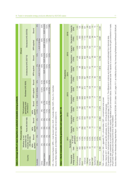| $0 - 10%$<br><b>Bound</b><br>"Wind-powered<br>generating sets<br>(HS 850231)"<br>$0 - 5%$<br>applied<br>MFN<br>854190)<br><b>Bound</b><br>0%<br>Parts (HS<br>Photovoltaic cells<br>applied<br>0%<br>MFN<br>modules or panels<br><b>Bound</b><br>0%<br>assembled into<br>Whether or not<br>(HS 854140)<br>applied<br>0%<br>MFN<br>Country<br>Australia |  |  |                     |              |                           |                         |                          |                   |
|-------------------------------------------------------------------------------------------------------------------------------------------------------------------------------------------------------------------------------------------------------------------------------------------------------------------------------------------------------|--|--|---------------------|--------------|---------------------------|-------------------------|--------------------------|-------------------|
|                                                                                                                                                                                                                                                                                                                                                       |  |  |                     |              |                           |                         | Ethanol                  |                   |
|                                                                                                                                                                                                                                                                                                                                                       |  |  | Biodiesel (HS 3826) |              | Undenatured (HS 220710)   |                         | Denatured (HS 220720)    |                   |
|                                                                                                                                                                                                                                                                                                                                                       |  |  | <b>MFN</b> applied  | <b>Bound</b> | <b>MFN</b> applied        | <b>Bound</b>            | <b>MFN</b> applied       | <b>Bound</b>      |
|                                                                                                                                                                                                                                                                                                                                                       |  |  | AUD 0.38/liter      | 10%          | 5%<br>$+$ AUD 74.27/liter | 10%                     | 5%<br>$+$ AUD 0.38/liter | 8%                |
| 8%<br>8%<br>$\frac{8}{6}$<br>$\frac{8}{6}$<br>$\frac{8}{6}$<br>$\frac{8}{6}$<br>China                                                                                                                                                                                                                                                                 |  |  | 6.50%               | 6.5%         | 40%                       | 40%                     | 30%                      | 30%               |
| 2.7%<br>2.7%<br>0%<br>0%<br>0%<br>$\frac{8}{6}$<br>European Union                                                                                                                                                                                                                                                                                     |  |  | 6.5%                | 6.5%         |                           | EUR 19.2/hl EUR 19.2/hl | EUR 10.2/hl              | <b>EUR 10.2/h</b> |
| 25%<br>7.5%<br>86<br>$\frac{8}{6}$<br>$\frac{8}{6}$<br>88<br>India                                                                                                                                                                                                                                                                                    |  |  | 10%                 | 40%          | 150%                      | 150%                    | 7.50%                    | 150%              |
| 2.5%<br>2.5%<br>0%<br>0%<br>0%<br>$\frac{8}{6}$<br><b>United States</b>                                                                                                                                                                                                                                                                               |  |  | 4.6-6.5%            | 6.5%         | 2.5%                      | 2.5%                    | 1.9%                     | 1.9%              |

|                                                                                                                                                                                                                                                                                                                                                                       |                |                                                                      | Photovoltaic cells |                     |                                                 |                     |                                                     |                     |                     |                           |                     | <b>Ethanol</b>   |                       |                  |
|-----------------------------------------------------------------------------------------------------------------------------------------------------------------------------------------------------------------------------------------------------------------------------------------------------------------------------------------------------------------------|----------------|----------------------------------------------------------------------|--------------------|---------------------|-------------------------------------------------|---------------------|-----------------------------------------------------|---------------------|---------------------|---------------------------|---------------------|------------------|-----------------------|------------------|
| Country                                                                                                                                                                                                                                                                                                                                                               |                | modules or panels<br>assembled into<br>Whether or not<br>(HS 854140) |                    | Parts (HS 854190)   | Wind-powered<br>generating sets<br>(HS 850231)" |                     |                                                     | Biodiesel (HS 3826) |                     | Undenatured (HS 220710)   |                     |                  | Denatured (HS 220720) |                  |
|                                                                                                                                                                                                                                                                                                                                                                       | applied<br>MFN | <b>Bound</b>                                                         | applied<br>MFN     | <b>Bound</b>        | applied<br><b>MFN</b>                           | <b>Bound</b>        | MFN applied                                         | Bound               |                     | <b>MFN</b> applied        | <b>Bound</b>        | MFN applied      |                       | <b>Bound</b>     |
| Australia                                                                                                                                                                                                                                                                                                                                                             | 0%             | 0%                                                                   | 0%                 | 0%                  | $0 - 5%$                                        | $0 - 10%$           | AUD 0.38/liter                                      | 10%                 |                     | 5%<br>$+$ AUD 74.27/liter | 10%                 | + AUD 0.38/liter | 5%                    | 8%               |
| China                                                                                                                                                                                                                                                                                                                                                                 | 0%             | $O\%$                                                                | $0\%$              | 0%                  | 8%                                              | 8%                  | 6.50%                                               | 6.5%                |                     | 40%                       | 40%                 |                  | 30%                   | 30%              |
| European Union                                                                                                                                                                                                                                                                                                                                                        | 0%             | 0%                                                                   | 0%                 | 0%                  | 2.7%                                            | 2.7%                |                                                     | 6.5%<br>6.5%        |                     | EUR 19.2/hl               | EUR 19.2/hl         |                  | EUR 10.2/hl           | EUR 10.2/h       |
| India                                                                                                                                                                                                                                                                                                                                                                 | 0%             | 0%                                                                   | 0%                 | 0%                  | 7.5%                                            | 25%                 |                                                     | 40%<br>10%          |                     | 150%                      | 150%                |                  | 7.50%                 | 150%             |
| <b>United States</b>                                                                                                                                                                                                                                                                                                                                                  | 0%             | 0%                                                                   | 0%                 | 0%                  | 2.5%                                            | 2.5%                | 4.6-6.5%                                            | 6.5%                |                     | 2.5%                      | 2.5%                |                  | 1.9%                  | 1.9%             |
| HS = Harmonized System; MFN = most favored nation;<br>Source: Bahar, Egeland, and Steenblik (2013), table A.6                                                                                                                                                                                                                                                         |                |                                                                      |                    | and table A.10.     |                                                 |                     | AUD = Australia dollar; EUR = Euro; hl = hectoliter |                     |                     |                           |                     |                  |                       |                  |
| Table 7. World renewable electricity generation an                                                                                                                                                                                                                                                                                                                    |                |                                                                      |                    |                     | d capacity, 2011-18                             |                     |                                                     |                     |                     |                           |                     |                  |                       |                  |
|                                                                                                                                                                                                                                                                                                                                                                       |                | 2011                                                                 |                    |                     | 2012                                            |                     | 2013                                                |                     | Projections<br>2014 |                           | 2015                |                  | 2018                  |                  |
|                                                                                                                                                                                                                                                                                                                                                                       | Generation     |                                                                      |                    |                     |                                                 |                     |                                                     |                     |                     |                           |                     |                  |                       |                  |
| energy source<br>Renewable                                                                                                                                                                                                                                                                                                                                            | TWh            | generation<br>% of total                                             | Capacity<br>(M)    | Generation<br>(TWh) | Capacity<br>(M)                                 | Generation<br>(TWh) | Capacity                                            | (M)                 | Generation<br>(TWh) | Capacity<br>(M)           | Generation<br>(TWh) | Capacity<br>(M)  | Generation<br>(TWh)   | Capacity<br>(GW) |
| Hydropower                                                                                                                                                                                                                                                                                                                                                            | 3567           | 16.4%                                                                | 1071               | 3792                | 1102                                            |                     | 3888                                                | 1138                | 4010                | 1173                      | 4136                | 1209             | 4570                  | 1330             |
| Bioenergy                                                                                                                                                                                                                                                                                                                                                             | 352            | 1.6%                                                                 | 75                 | 373                 |                                                 | 82                  | 396                                                 | 89                  | 428                 | 96                        | 463                 | 105              | 560                   | 125              |
| Wind                                                                                                                                                                                                                                                                                                                                                                  | 438            | 2.0%                                                                 | 236                | 519                 | 282                                             |                     | 626                                                 | 321                 | 725                 | 368                       | 840                 | 413              | 220                   | 559              |
| Onshore                                                                                                                                                                                                                                                                                                                                                               | 428            | 1.9%                                                                 | 232                | 505                 | 276                                             |                     | 606                                                 | 313                 | 697                 | 357                       | 803                 | 399              | 1144                  | 531              |
| Offshore                                                                                                                                                                                                                                                                                                                                                              | $\overline{C}$ | 0.0%                                                                 | 4                  | $\frac{3}{2}$       |                                                 | $\overline{c}$      | 20                                                  | $\infty$            | 28                  | $\overline{+}$            | 36                  | $\overline{14}$  | 76                    | 28               |
| Solar PV                                                                                                                                                                                                                                                                                                                                                              | 82             | 0.3%                                                                 | 69                 | 100                 |                                                 | 98                  | 138                                                 | 128                 | 178                 | 161                       | 221                 | 194              | 368                   | 308              |
| Solar CSP                                                                                                                                                                                                                                                                                                                                                             | S              | 0.0%                                                                 | $\mathbb{C}$       | $\circ$             |                                                 | S                   | $\circ$                                             | 4                   | $\overline{4}$      | $\circ$                   | $\frac{8}{1}$       | $\overline{ }$   | 34                    | $\frac{1}{2}$    |
| Geothermal                                                                                                                                                                                                                                                                                                                                                            | <b>DZ</b>      | 0.3%                                                                 | Ξ                  | 72                  | Ξ                                               |                     | 77                                                  | $\frac{1}{2}$       | 80                  | $\frac{1}{2}$             | 83                  | $\frac{1}{2}$    | 97                    | $\frac{5}{1}$    |
| Ocean                                                                                                                                                                                                                                                                                                                                                                 |                | 0.0%                                                                 |                    |                     |                                                 |                     |                                                     |                     |                     |                           |                     |                  | $\mathbf{\Omega}$     |                  |
| Total                                                                                                                                                                                                                                                                                                                                                                 | 4 492          | 20%                                                                  | 1465               | 4862                | 1579                                            |                     | 5136                                                | 1693                | 5436                | 1815                      | 5762                | 1941             | 6851                  | 351<br>$\sim$    |
| TWh = terawatt hour; GW = gigawatt; PV = photovoltaic; CSP = concentrated solar power                                                                                                                                                                                                                                                                                 |                |                                                                      |                    |                     |                                                 |                     |                                                     |                     |                     |                           |                     |                  |                       |                  |
| Notes: Data for 2011 and 2012 are IEA estimates, 2013                                                                                                                                                                                                                                                                                                                 |                |                                                                      |                    |                     | - 2018 are IEA forecasts                        |                     |                                                     |                     |                     |                           |                     |                  |                       |                  |
| For capacity data: presented as cumulative installed capacity, regardless of grid connection status. Grid-connected solar PV capacity is counted at the time the grid connection is made;<br>For generation data: hydropower includes generation from pumped storage (75 TWh in 2011). The difference in onshore and offshore wind is estimated from historical data. |                |                                                                      |                    |                     |                                                 |                     |                                                     |                     |                     |                           |                     |                  |                       |                  |
| off-grid solar PV systems are included at the time of the installation.                                                                                                                                                                                                                                                                                               |                |                                                                      |                    |                     |                                                 |                     |                                                     |                     |                     |                           |                     |                  |                       |                  |
| Source: Medium-term Renewable Energy Market Report – Executive Summary © OECD/IEA, 2013, tables 1 and 2, pages 10-11, as modified by authors. http://www.iea.org/Textbase/npsum/MTrenew2013SUM.pdf                                                                                                                                                                    |                |                                                                      |                    |                     |                                                 |                     |                                                     |                     |                     |                           |                     |                  |                       |                  |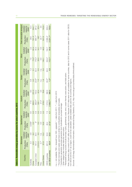| Table 8. Renewable energy generation by source for select countries, 2012                                                                                                                                                                                                                                                                                                                                                                                                                                                                                                                                                                                                                                                                                                                                                                                                                                               |                     |                                   |                     |                                   |                     |                                   |                     |                               |                     |                                   |                         |                                   |
|-------------------------------------------------------------------------------------------------------------------------------------------------------------------------------------------------------------------------------------------------------------------------------------------------------------------------------------------------------------------------------------------------------------------------------------------------------------------------------------------------------------------------------------------------------------------------------------------------------------------------------------------------------------------------------------------------------------------------------------------------------------------------------------------------------------------------------------------------------------------------------------------------------------------------|---------------------|-----------------------------------|---------------------|-----------------------------------|---------------------|-----------------------------------|---------------------|-------------------------------|---------------------|-----------------------------------|-------------------------|-----------------------------------|
|                                                                                                                                                                                                                                                                                                                                                                                                                                                                                                                                                                                                                                                                                                                                                                                                                                                                                                                         | <b>Biomassa</b>     |                                   | Geothermal          |                                   | Hydrob              |                                   | Solarc              |                               | Wind                |                                   | Total renewable energyd |                                   |
| Country                                                                                                                                                                                                                                                                                                                                                                                                                                                                                                                                                                                                                                                                                                                                                                                                                                                                                                                 | Production<br>(TWn) | Installed<br>capacity<br>$(GW)^*$ | Production<br>(TWh) | capacity<br>Installed<br>$(GM)^*$ | Production<br>(TWh) | Installed<br>capacity<br>$(GM)^*$ | Production<br>(TWh) | capacity<br>Installed<br>(GW) | Production<br>(TWh) | Installed<br>capacity<br>$(GW)^*$ | Production<br>(TWh)     | Installed<br>capacity<br>$(GW)^*$ |
| Australia                                                                                                                                                                                                                                                                                                                                                                                                                                                                                                                                                                                                                                                                                                                                                                                                                                                                                                               | 3.<br>S             | $\frac{8}{2}$                     | $0.009*$            | 0.0                               | 17.8                | $\frac{0}{8}$                     | $0.\overline{8}$    | $\frac{1}{2}$                 | <b>D.7</b>          | 2.2                               | 29.0                    | 12.4                              |
| China                                                                                                                                                                                                                                                                                                                                                                                                                                                                                                                                                                                                                                                                                                                                                                                                                                                                                                                   | 43.6                | 8.2                               | 0.2                 | 0.0                               | 855.5               | 231.0                             | 3.0                 | $\frac{1}{3}$                 | 73.2*               | 62.4                              | 797.4*                  | 304.7                             |
| European Union                                                                                                                                                                                                                                                                                                                                                                                                                                                                                                                                                                                                                                                                                                                                                                                                                                                                                                          | 161.4               | 30.4                              | ڻ∛                  | 0.9                               | 363.4**             | 103.2                             | 23.6**              | 52.4                          | 176.3*              | 94.3                              | 684.1**                 | 281.2                             |
| India                                                                                                                                                                                                                                                                                                                                                                                                                                                                                                                                                                                                                                                                                                                                                                                                                                                                                                                   | 2012.0              | 3.5                               | 0.0                 | 0.0                               | 126.1               | 42.4                              | $\frac{1}{1}$       | 0.5                           | 26.0                | 16.1                              | 162*                    | 62.4                              |
| Peru                                                                                                                                                                                                                                                                                                                                                                                                                                                                                                                                                                                                                                                                                                                                                                                                                                                                                                                    | $0.7*$              | n.a.                              | O.0                 | $\frac{0}{0}$                     | $21.4*$             | S.5                               | n.a.                | n.a.                          | 0.0                 | $\overline{O}$ .                  | $22.1*$                 | S.S                               |
| <b>United States</b>                                                                                                                                                                                                                                                                                                                                                                                                                                                                                                                                                                                                                                                                                                                                                                                                                                                                                                    | 67.8                | 13.2                              | 16.8                | 5.6                               | 276.5               | 78.8                              | $\frac{8}{1}$       | 0.0                           | 140.1               | 46.0                              | 507.8                   | 142.9                             |
| <b>OECD</b> countries                                                                                                                                                                                                                                                                                                                                                                                                                                                                                                                                                                                                                                                                                                                                                                                                                                                                                                   | 261.3               | 50.9                              | 46.4                | 7.3                               | 1374.5              | 362.5                             | $30.0**$            | 62.0                          | 334.2*              | 152.7                             | 2 066.4*                | 635.4                             |
| non-OECD countries                                                                                                                                                                                                                                                                                                                                                                                                                                                                                                                                                                                                                                                                                                                                                                                                                                                                                                      | $93.9*$             | 25.8                              | 27.0*               | $\frac{1}{4}$                     | 2 063.7**           | 586.5                             | $1.2**$             | 4.8                           | $112.1*$            | 84.6                              | $2231.7***$             | 705.9                             |
| Note: Generation data consist of both utility and nonufility sources. Because 2012 data were not yet available for some countries, data for 2012 and in some cases 2011 data for OECD,<br>Sources: US Energy Administration Information, International Energy Statistics, 2012, http://www.eia.gov/countries/data.cfm#undefined<br>Renewable energy sources include biomass, hydro, geothermal, solar, wind, ocean thermal, wave action, and tidal action.<br>non-OECD and EU-27 as a region, could not be calculated. Latest available data used for all countries and regions.<br>n.a. = not available; TWh = terawatt hour; GW = gigawatt; * = data from 2011; ** = data from 2010<br>The term biomass and waste used here is similar to combustible renewables and waste.<br>Hydroelectric generation excludes generation from hydroelectric pumped storage.<br>Solar category also includes tidal and wave action. |                     |                                   |                     |                                   |                     |                                   |                     |                               |                     |                                   |                         |                                   |
|                                                                                                                                                                                                                                                                                                                                                                                                                                                                                                                                                                                                                                                                                                                                                                                                                                                                                                                         |                     |                                   |                     |                                   |                     |                                   |                     |                               |                     |                                   |                         |                                   |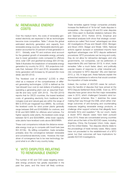# **IV. RENEWABLE ENERGY COSTS**

Over the medium-term, the costs of renewably-generated electricity are expected to fall as technologies become more competitive. Table 7 shows the global estimated electricity generation and capacity from renewable energy sources. Renewable electricity generation accounted for 20 percent of total generation in 2011. Globally, solar PV and onshore wind account for the greatest growth of renewable energy, primarily due to lower generation costs compared to offshore wind, solar CSP, and geothermal energy (IEA 2013a). Table 8 illustrates the breakdown of renewable energy generation by country for 2012. IEA projections indicate that, between 2012 and 2018, renewable electricity generation will increase by 40 percent (for more detail, see IEA 2012).

The "levelized cost of electricity" (LCOE) is often cited as a measure of the competiveness of different generating technologies. LCOE is defined as the "per-kilowatt hour cost (in real dollars) of building and operating a generating plant over an assumed financial life and duty cycle" (EIA 2013). The IEA (2010) reports that for OECD countries, the lowest levelized costs of generating electricity from traditional technologies (coal and natural gas) are within the range of \$65 to \$105 per megawatt hour (MWh). By contrast, the levelized costs for wind power plants generally range between \$48 and \$163/MWh for onshore; and \$146 and \$261/MWh for offshore wind turbines. For higher capacity solar plants, the levelized costs range between \$215 and \$333/MWh, while lower capacity solar plants have levelized costs above \$600/MWh.

These cost comparisons indicate the distance renewable energy must go to compete with fossil fuels (see IEA 2013b). By stifling competition, trade remedies probably slow the convergence between renewable and conventional electricity costs. However, the main driver of convergence has to be new technology, beyond what is on offer in any country today.

# **V. WTO DISPUTES RELATING TO RENEWABLE ENERGY**

The number of AD and CVD cases targeting renewable energy products has greatly expanded in the past five years, and this trend will likely continue.

Trade remedies against foreign companies probably increase the likelihood of "tit-for-tat" trade disputes in renewables – the ongoing US and EU solar disputes with China seem to illustrate retaliatory behavior (Wu and Salzman 2013; Horlick 2013). Empirical and theoretical analyses both show that strategic considerations (so-called "first mover" advantages) can drive AD investigations (Prusa and Skeath 2002; Blonigen and Bown 2003; Staiger and Wolak 1994). National actions against dumped or subsidized imports have significant advantages over WTO dispute settlement procedures: WTO procedures can be long and costly; they do not allow for retroactive damages; and only governments, not companies, can be petitioners or respondents (Wu and Salzman 2013). In short, trade remedies "offer a much faster, direct, and politically popular means of response to unfair industrial policies compared to WTO disputes" (Wu and Salzman 2013, p. 50). In large part, these features explain the entrenched resistance to reforms that would constrain the imposition of trade remedies.

Indeed, the number of AD/CVD cases far outnumbers the handful of disputes that have arrived at the WTO Dispute Settlement Body (DSB). Even so, WTO disputes have grown since the first major renewables case in 2010, which challenged Canada's wind turbine support schemes. Box 1 sketches the cases making their way through the DSB, which either challenge outcomes of anti-dumping and countervailing measures targeting renewable energy products, or challenge other support schemes that allegedly favor domestic firms and suppliers.<sup>31</sup> By our count, nearly a dozen WTO dispute cases have been pursued since 2010; these are concentrated among countries which are at the helm of the AD/CVD cases, including Argentina, China, the European Union, India, Japan, and the United States. Two disputes directly relate to the proceedings of trade remedy cases. Many cases have not proceeded to the establishment of a WTO panel, but their outcomes will have implications for parallel AD/CVD investigations.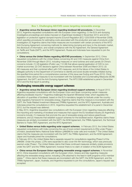#### **Box 1. Challenging AD/CVD cases targeting renewable energy**

**• Argentina versus the European Union regarding biodiesel AD procedures.** In December 2013, Argentina requested consultations with the European Union regarding: (1) the EU's anti-dumping investigative proceedings and duties imposed on Argentinean biodiesel in November 2013; and (2) EU legislation on protection against dumped imports (Council Regulation [EC] 1225/2009 of November 2009), which specifies procedures for estimating costs associated with the production and sale of products under investigation.32 Argentina claims that these measures are inconsistent with certain provisions of the WTO Anti-Dumping Agreement concerning methods for determining dumping and injury to the domestic market, the disclosure of information, and overall compliance with the AD Agreement, the General Agreement on Tariffs and Trade (GATT), and the WTO Agreement. Russia and Indonesia have requested to join the consultations.

**• China versus the United States regarding AD/CVD procedures.** In September 2012, China requested consultations with the United States concerning AD and CVD measures against China from November 2006 through March 2012, including measures on wind turbines and solar panels.33 China's concerns include: (1) US legislation (Public Law 112-99) that allows special application of CVD to nonmarket economies; (2) CVD decisions against China between November 2006 and March 2012; (3) AD measures and their combined effect with CVD measures; and (4) the failure of the United States to delegate authority to the Department of Commerce to identify and avoid double remedies initiated during the specified time period (for a comprehensive overview of this issue see Durling and Prusa 2012). China considers these various measures to be inconsistent with the Subsidies and Countervailing Measures (SCM) Agreement, the GATT, and the Anti-Dumping Agreement. The WTO DSB established a panel in December 2012 and the final report is pending.

#### **Challenging renewable energy support schemes**

**• Argentina versus the European Union regarding biodiesel support schemes.** In August 2012, Argentina requested consultations with the European Union and Spain concerning certain measures affecting biodiesels imports.34 Argentina challenged the Spanish Ministerial Order, which regulates the allocation of quantities of biodiesel, based on the EU's mandatory targets for biofuels under the countrywide regulatory framework for renewable energy. Argentina claims that this measure is inconsistent with the GATT, the Trade-Related Investment Measures (TRIMs) Agreement, and the WTO Agreement. Australia and Indonesia joined the consultations in 2012. Argentina requested the establishment of a panel in December 2012, but the request was deferred.

In May 2013, Argentina requested new consultations with the European Union regarding measures affecting the importing and marketing of biodiesel and measures that support the EU biodiesel industry.35 Argentina's concerns include: (1) measures that promote the use of renewable energy and reduce greenhouse emissions; and (2) measures that establish support schemes for the biodiesel sector. Argentina claims these measures are similarly inconsistent with the GATT, the SCM Agreement, the TRIMs Agreement, the Technical Barriers to Trade (TBT) Agreement, and the WTO Agreement.

**• United States versus India regarding solar support schemes.** In February 2013, the United States requested consultations with India concerning the use of local content requirements (LCRs) under Phase I of India's Jawaharlal Nehru National Solar Mission (JNNSM) for solar cells and modules.36 The United States claims that the measures are inconsistent with the GATT, the TRIMs Agreement, and the SCM Agreement. Japan and Australia joined the consultations.

In February 2014, the United States filed a separate request for consultations regarding Phase II of the JNNSM. Under this phase, LCRs were expanded to also cover thin film technology, which was previously exempt under Phase I. The United States claims that these continued measures similarly violate provisions under the GATT and the TRIMs Agreement; however there is no claim of violation of the SCM Agreement.

**• China versus the European Union regarding renewable energy support schemes.** In November 2012, China requested consultations with the European Union, Greece and Italy regarding measures affecting the renewable energy sector, including LCRs attached to the feed-in tariff programs of EU member states.<sup>37</sup> China claims that these measures are inconsistent with the GATT, the SCM Agreement, and the TRIMs Agreement. Japan, Australia, and Argentina requested to join the consultations; Japan's request was accepted.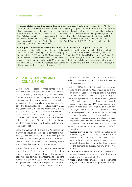**• United States versus China regarding wind energy support schemes.** In December 2010, the United States entered into consultations with China regarding support schemes (e.g., grants, funds, awards) offered to domestic manufacturers of wind power equipment contingent on the use of domestic goods over imports.38 The United States claims that these measures are inconsistent with SCM Agreement, and that China's failure to notify such measures violates the GATT and the SCM Agreement. In addition, the United States also claims that China's delay in making translations available in an official language of the WTO violates obligations under its Protocol of Accession (Part I, Paragraph 1.2). The European Union and Japan have requested to join the consultations.

**European Union and Japan versus Canada on its feed-in tariff program.** In 2010, Japan and the European Union (in 2011) requested consultations with Canada to review claims that LCRs attached to Canada's renewable energy and feed-in tariff programs violated WTO obligations, including the SCM Agreement, the GATT, and the TRIMs Agreement. On December 2012, the WTO Panel ruled that Canada's program violated the nondiscrimination provisions of GATT and TRIMs, but rejected the claim that the LCR was a prohibited subsidy under the SCM Agreement. Following appeals by both sides, a final ruling was issued in May 2013: the WTO Appellate Body upheld most of the Panel's finding, with a few exceptions, but did not make a ruling on the subsidy question.<sup>39</sup>

# **VI. POLICY OPTIONS AND CONCLUSIONS**

By our count, 41 cases of trade remedies in renewables have been pursued since 2008, and 10 cases are making their way through the WTO DSB. Concerns that environmental disputes will undermine progress toward curbing greenhouse gas emissions underlie the calls to reform laws governing trade remedies and dispute procedures (see Kasteng 2013; Wu and Salzman 2013; Lester and Watson 2013; Levine and Walther 2013). These calls may find resonance in the plurilateral talks announced by a group of 14 countries, including Australia, China, the European Union and the United States – leading complainant countries in our sample – to liberalize tariffs on environmental goods.

Lester and Watson (2013) argue that "modest reform may not be enough to ensure open, competitive markets, yet may still be too much to appease political interests." Instead they argue that while ambitious, a "peace clause" should be pursued, allowing renewables to be fully exempt from trade remedies.

Wu and Salzman (2013) consider this peace clause proposal to be "politically unrealistic." Instead they propose new rules that would curtail the number of trade remedies permitted against renewables and the duration and size of duties levied. They also propose that governments should be required to undertake economic analysis on the effect of import protection before a trade remedy is pursued, and if duties are levied, to channel a proportion of the tariff revenues back to consumers.

Kasteng (2013) offers both intermediate steps toward restraining the use of AD/CVD measures and longterm policy solutions. He argues that a two-prong approach should be considered: (1) improving current WTO agreements on trade remedies in general; and (2) special consideration of environment-specific provisions. Improving current WTO agreements would entail new rules that ensure that AD and CVD measures target only anti-competitive behavior and not "normal competition," and new rules that would clarify procedures involving proof of injury and causality.40 Environment-specific provisions would explore an exante public interest test and limitations on duty levels, product scope, and the duration of AD/CVD penalties, similar to proposals by Wu and Salzman (2013). To summarize:

- **Lesser duty rule:** trade remedy penalties could be limited by making use of the lesser duty rule. In European Union practice, a duty is levied only to remove the injury inflicted on the domestic industry; accordingly penalties are no higher than the lesser of the dumping or subsidy margin, or the injury margin.
- **Time limit:** a time limit for the trade remedies on renewables could shorten the current allowance of duties, which are effective for 5 years.
- **Scope limit:** trade remedies could be permitted only in a certain number of products or import value.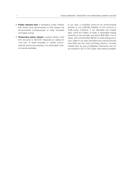- **Public interest test:** a mandatory public interest test would force governments to first assess the environmental consequences of trade remedies and higher prices.
- **Temporary peace clause:** a peace clause could limit recourse to AD/CVD measures by calling for "non-use" of trade remedies in certain circumstances and by enumerating "non-actionable" environmental subsidies.

In our view, a complete carve-out for environmental policies is not politically feasible at this juncture in trade policy. However, if our estimates are roughly right, some \$14 billion of trade in renewable energy products is lost annually, and about \$68 billion over 5 years, with concentrated effects on solar energy products. Again in our view, the lesser duty rule and shorter time limits are the most promising reforms. A public interest test, by way of obligatory disclosure, but not as a barrier to AD or CVD cases, also seems possible.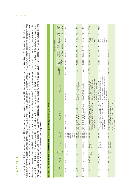|                 | <b>11. APPENDI</b>       |                      |                                        |                            |                                                                        |                                                                                                                                                                                                                                                                                                                                                                                                                                                                                                                                                                                                                                                                                                                                                                                                                                                                                                                                                                                                                                                                                                                                          |                                                                                                                                                                                           |                                             |                                          |                                               |                                     |                                                     |                               |                                   |
|-----------------|--------------------------|----------------------|----------------------------------------|----------------------------|------------------------------------------------------------------------|------------------------------------------------------------------------------------------------------------------------------------------------------------------------------------------------------------------------------------------------------------------------------------------------------------------------------------------------------------------------------------------------------------------------------------------------------------------------------------------------------------------------------------------------------------------------------------------------------------------------------------------------------------------------------------------------------------------------------------------------------------------------------------------------------------------------------------------------------------------------------------------------------------------------------------------------------------------------------------------------------------------------------------------------------------------------------------------------------------------------------------------|-------------------------------------------------------------------------------------------------------------------------------------------------------------------------------------------|---------------------------------------------|------------------------------------------|-----------------------------------------------|-------------------------------------|-----------------------------------------------------|-------------------------------|-----------------------------------|
|                 |                          |                      |                                        |                            |                                                                        | This appendix attempts to comprehensively identify trade remedy measures involving renewable energy products that were initiated since 2008. Most of data for the cases<br>were drawn from the Global Antidumping Database (Bown 2012a) and the Global Countervailing Duties Database (Bown 2012b), which form parts of the Temporary Trade<br>Barriers database created by Chad Bown at the World Bank. Other sources were also consulted to update new cases. The appendix offers detailed information on relevant<br>dates of each stage of the case (initiation, preliminary, definitive), the outcome of each case (affirmative, negative, withdrawn), the products under investigation (classified<br>ing renewables and the outcomes for the preliminary and definitive stages, respectively. Tables A2 and A2.1 list countervaling duty cases targeting renewables, and the<br>at the 8-digit or 10-digit level), the domestic and foreign firms involved, and the preliminary and final duties imposed. Tables A1 and A1.1 list anti-dumping cases target-<br>outcomes for the preliminary and definitive stages, respectively. |                                                                                                                                                                                           |                                             |                                          |                                               |                                     |                                                     |                               |                                   |
| <b>Table A1</b> |                          |                      |                                        |                            | . AD measures in the renewable energy sector (prelimin                 | nary decisions), 2008-12                                                                                                                                                                                                                                                                                                                                                                                                                                                                                                                                                                                                                                                                                                                                                                                                                                                                                                                                                                                                                                                                                                                 |                                                                                                                                                                                           |                                             |                                          |                                               |                                     |                                                     |                               |                                   |
|                 |                          |                      |                                        |                            |                                                                        |                                                                                                                                                                                                                                                                                                                                                                                                                                                                                                                                                                                                                                                                                                                                                                                                                                                                                                                                                                                                                                                                                                                                          |                                                                                                                                                                                           |                                             |                                          |                                               | Preliminary decision                |                                                     |                               |                                   |
| Case            | ant country<br>Complain- | Case ID <sup>a</sup> | investiga-<br>Country<br>under<br>tion | Product                    | HTS codes <sup>b</sup>                                                 | Domestic firms                                                                                                                                                                                                                                                                                                                                                                                                                                                                                                                                                                                                                                                                                                                                                                                                                                                                                                                                                                                                                                                                                                                           | Foreign firms                                                                                                                                                                             | Related CVD<br>case <sup>a</sup>            | investigation<br>initation of<br>Date of | preliminary<br>dumping<br>decision<br>Date of | decision<br>injury<br>Dump-<br>ing/ | Dumping<br>margin                                   | Type<br>of AD<br>sure<br>mea- | Preliminary<br>measure<br>imposed |
|                 | Australia                | <b>AUS-AD-493</b>    | United<br>States                       | Biodiesel                  | 38249030<br>27109180,<br>27101180<br>27101980,<br>27109980<br>38249020 | Biodiesel Producers Limited                                                                                                                                                                                                                                                                                                                                                                                                                                                                                                                                                                                                                                                                                                                                                                                                                                                                                                                                                                                                                                                                                                              | All exporters                                                                                                                                                                             | AUS-CVD-13                                  | 06/22/2010                               | 10/18/2010                                    | $\prec$                             | 40.0%                                               | 8                             | ₹                                 |
| $\sim$          | Australia                | n.a.                 | China                                  | Wind towers                | "308900049,<br>7308200002,<br>8502311031                               | A.C.N. 009 483 694 Pty Ltd (Haywards), Keppel<br>Prince Engineering Pty Ltd. (KPE)                                                                                                                                                                                                                                                                                                                                                                                                                                                                                                                                                                                                                                                                                                                                                                                                                                                                                                                                                                                                                                                       | Equipment Co. Ltd., all exporters<br>Shanghai Taisheng Wind Power                                                                                                                         | n.a.                                        | 08/28/2013 12/06/2013                    |                                               | $\prec$                             | 16.2%                                               | AVD                           | $\overline{\geq}$                 |
| S               | Australia                | n.a.                 | Korea                                  | Wind towers                | "308900049,<br>7308200002,<br>8502311032                               | A.C.N. 009 483 694 Pty Ltd (Haywards), Keppel<br>Prince Engineering Pty Ltd. (KPE)                                                                                                                                                                                                                                                                                                                                                                                                                                                                                                                                                                                                                                                                                                                                                                                                                                                                                                                                                                                                                                                       | Korea Win&P Ltd., all exporters                                                                                                                                                           | n.a.                                        | 08/28/2013 12/06/2013                    |                                               | $\prec$                             | 12.1%                                               | <b>AVD</b>                    | $\overline{\ge}$                  |
| 4               | China                    | CHN-AD-199           | United<br>States                       | Solar grade<br>polysilicon | 28046190                                                               | Jiangsu Zhongneng Silicon Technology Development<br>Co. Ltd., Jiangxi Saiwei LDK Photovoltaic Silicon<br>Technology Co. Ltd., China Silicon Corporation Ltd.,<br>Daqo New Energy Co. Ltd.                                                                                                                                                                                                                                                                                                                                                                                                                                                                                                                                                                                                                                                                                                                                                                                                                                                                                                                                                | Hemlock Semiconductor Corporation,<br>MEMC Pasadena, Inc., AE Polysilicon<br>REC Solar Grade Silicon LLC, REC<br>Advanced Silicon Materials LLC,<br>Corporation, all other exporters      | CHN-CVD-5                                   | 07/20/2012                               | 07/18/2013                                    | $\prec$                             | (all other<br>$-57.0%$<br>53.3%<br>firms)           | <b>AVD</b>                    | 57.0%                             |
| S               | China                    | CHN-AD-200 Korea     |                                        | Solar grade<br>polysilicon | 28046190                                                               | Jiangsu Zhongneng Silicon Technology Development<br>Co. Ltd., China Silicon Corporation Ltd.,<br>Co. Ltd., Jiangxi Saiwei LDK Photovoltaic Silicon<br>Dago New Energy Co. Ltd.<br>Technology C                                                                                                                                                                                                                                                                                                                                                                                                                                                                                                                                                                                                                                                                                                                                                                                                                                                                                                                                           | KCC Corp and Korean Advanced Materials<br>(KAM) Corp, Innovation Silicon Co. Ltd., all<br>Company Ltd., Hankook Silicon Co. Ltd.<br>Woongjin Polysilicon Co. Ltd., OCI<br>other exporters | n.a.                                        | 07/20/2012 07/18/2013                    |                                               | $\prec$                             | (all other<br>$2.4% -$<br>48.7%;<br>12.3%<br>firms) | <b>Q/R</b>                    | 12.3%                             |
| $\circ$         | China                    | CHN-AD-203 European  |                                        | Solar grade<br>polysilicon | 28046190                                                               | Jiangsu Zhongneng Silicon Technology Development<br>Technology Co. Ltd., China Silicon Corporation Ltd.<br>Co. Ltd., Jiangxi Saiwei LDK Photovoltaic Silicon<br>Dago New Energy Co. Ltd.                                                                                                                                                                                                                                                                                                                                                                                                                                                                                                                                                                                                                                                                                                                                                                                                                                                                                                                                                 | $\overline{\geq}$                                                                                                                                                                         | CHN-CVD-6 11/01/2012 1/24/2014 <sup>d</sup> |                                          |                                               | $\infty$                            |                                                     |                               |                                   |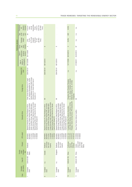|                      | Preliminary<br>measure<br>imposed<br>$\triangleleft$ | cooperating<br>tonne net<br>€182.4/<br>(all other<br>€122.9/<br>tonne<br>net (all<br>firms);<br>firms)                                                                                                                                                                                      |                                                                                                                                                                                                                                                                                    |                                                                                                                                                                                                                                                                                         | 43.6%                                                                                                                                                | n.a.                                                           |
|----------------------|------------------------------------------------------|---------------------------------------------------------------------------------------------------------------------------------------------------------------------------------------------------------------------------------------------------------------------------------------------|------------------------------------------------------------------------------------------------------------------------------------------------------------------------------------------------------------------------------------------------------------------------------------|-----------------------------------------------------------------------------------------------------------------------------------------------------------------------------------------------------------------------------------------------------------------------------------------|------------------------------------------------------------------------------------------------------------------------------------------------------|----------------------------------------------------------------|
|                      | of AD<br>mea-<br>sure                                | 8                                                                                                                                                                                                                                                                                           |                                                                                                                                                                                                                                                                                    |                                                                                                                                                                                                                                                                                         | <b>QN</b>                                                                                                                                            | n.a.                                                           |
|                      | Dumping<br>margin                                    | 33.7% (all<br>cooperat-<br>ing firms);<br>57.3%<br>(all other<br>$3.4% -$<br>73.4%;<br>firms)                                                                                                                                                                                               |                                                                                                                                                                                                                                                                                    |                                                                                                                                                                                                                                                                                         | 43.6%                                                                                                                                                | n.a.                                                           |
| Preliminary decision | decision<br>injury<br><b>Dump</b><br>ing/            | $\prec$                                                                                                                                                                                                                                                                                     | $\infty$                                                                                                                                                                                                                                                                           | $\infty$                                                                                                                                                                                                                                                                                | $\prec$                                                                                                                                              | ≹                                                              |
|                      | preliminary<br>dumping<br>decision<br>Date of        | 03/11/2009                                                                                                                                                                                                                                                                                  |                                                                                                                                                                                                                                                                                    |                                                                                                                                                                                                                                                                                         | 09/16/2010                                                                                                                                           |                                                                |
|                      | nvestigation<br>initation of<br>Date of              | 06/13/2008                                                                                                                                                                                                                                                                                  | 08/12/2010                                                                                                                                                                                                                                                                         |                                                                                                                                                                                                                                                                                         | 12/17/2009                                                                                                                                           | 07/28/2011 05/22/2012                                          |
|                      | Related CVD<br>case <sup>a</sup>                     | EUN-CVD-61                                                                                                                                                                                                                                                                                  | EUN-CVD-61                                                                                                                                                                                                                                                                         | EUN-CVD-61 08/12/2010                                                                                                                                                                                                                                                                   | n.a.                                                                                                                                                 | n.a.                                                           |
|                      | Foreign firms                                        | Daniels Midland Company, World Energy<br>Inc., Imperium Renewables Inc., Archer<br>Peter Cremer North America LP, Cargill<br>Alternatives LLC, Green Earth Fuels of<br>Houston LLC                                                                                                          | ₹                                                                                                                                                                                                                                                                                  | ₹                                                                                                                                                                                                                                                                                       | Co. Ltd., Jiangsu Changhai Composite<br>Changzhou New Changhai Fiberglass<br>Materials Holding Co. Ltd., All Other<br><b>Companies</b>               | Σ                                                              |
|                      | Domestic firms                                       | Energy Germany Gmbh, Mannheim Bio Fuel Gmbh<br>Diester Group, Diester Industries SAS, Ecomotion<br>Gmbh, Ecomotion Group, Gate Global Alternative<br>Natural Energy West Gmbh, Neochim Sa, Novaol<br>Istries AG, Daka Biodiesel A.M.B.A,<br>1, Novaol Srl<br>Biopetrol Indu<br>Austria Gmbh | Energy Germany Gmbh, Mannheim Bio Fuel Gmbh,<br>Diester Group, Diester Industries SAS, Ecomotion<br>Gmbh, Ecomotion Group, Gate Global Alternative<br>Natural Energy West Gmbh, Neochim Sa, Novaol<br>Biopetrol Industries AG, Daka Biodiesel A.M.B.A,<br>Austria Gmbh, Novaol Srl | Energy Germany Gmbh, Mannheim Bio Fuel Gmbh,<br>Diester Group, Diester Industries SAS, Ecomotion<br>Gmbh, Ecomotion Group, Gate Global Alternative<br>Natural Energy West Gmbh, Neochim Sa, Novaol<br>Biopetrol Industries AG, Daka Biodiesel A.M.B.A,<br>1, Novaol Srl<br>Austria Gmbh | Fiberglas, Owens Corning France, PPG Industries BV<br>Johns Manville Slovakia, European Owens Corning<br>European Glass Fibre Producers Association, | Glass Fibre Fabrics Defence Coalition                          |
|                      | HTS codes <sup>b</sup>                               | 27101941,<br>15162098,<br>15180091,<br>38249097<br>15180099<br>38249091                                                                                                                                                                                                                     | 15162098<br>15180091<br>15180099<br>88249091<br>38249097<br>27101941                                                                                                                                                                                                               | 38249097,<br>27101941,<br>15162098,<br>38249091<br>15180091,<br>15180099                                                                                                                                                                                                                | 70191100,<br>70191200,<br>70191910,<br>70193100                                                                                                      | 70193900,<br>70194000<br>70199000                              |
|                      | Product                                              | Biodiesel                                                                                                                                                                                                                                                                                   | circumven-<br>tion of US<br><b>Biodiesel</b><br>imports)                                                                                                                                                                                                                           | circumven-<br>tion of US<br>Biodiesel<br>imports)                                                                                                                                                                                                                                       | Continuous<br>glass fibre<br>products<br>filament                                                                                                    | woven and,<br>or stitched<br>glass fibre<br>Certain<br>fabrics |
|                      | nvestiga-<br>Country<br>under<br>tion                | United<br><b>States</b>                                                                                                                                                                                                                                                                     | Canada                                                                                                                                                                                                                                                                             | Singapore                                                                                                                                                                                                                                                                               | China                                                                                                                                                |                                                                |
|                      | Case ID <sup>ª</sup>                                 | EUN-AD-683                                                                                                                                                                                                                                                                                  | n.a.                                                                                                                                                                                                                                                                               | n.a.                                                                                                                                                                                                                                                                                    | EUN-AD-705                                                                                                                                           | EUN-AD-729 China                                               |
|                      | ant country<br>Complain-                             | European<br>Union                                                                                                                                                                                                                                                                           | European<br>Union                                                                                                                                                                                                                                                                  | European<br>Union                                                                                                                                                                                                                                                                       | European<br>Union                                                                                                                                    | European<br><b>Union</b>                                       |
|                      | Case                                                 |                                                                                                                                                                                                                                                                                             | $\infty$                                                                                                                                                                                                                                                                           | တ                                                                                                                                                                                                                                                                                       | $\approx$                                                                                                                                            | Ξ                                                              |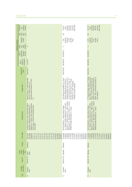|                      | Preliminary<br>measure<br>imposed<br>$\mathbb{R}$ |                                                                                                                                                                                                                                            | other firms)<br>(cooperat-<br>ing firms);<br>$f$ 104.92/<br>tonne (all<br>€75.97/<br>tonne                                                                                                                                                                                            | other firms)<br>cooperat-<br>ing firms);<br>tonne (all<br>€57.14/<br>€83.84<br>tonne                                                                                                                                                                                      |
|----------------------|---------------------------------------------------|--------------------------------------------------------------------------------------------------------------------------------------------------------------------------------------------------------------------------------------------|---------------------------------------------------------------------------------------------------------------------------------------------------------------------------------------------------------------------------------------------------------------------------------------|---------------------------------------------------------------------------------------------------------------------------------------------------------------------------------------------------------------------------------------------------------------------------|
|                      | mea-<br>sure<br>Type<br>of AD                     |                                                                                                                                                                                                                                            | S                                                                                                                                                                                                                                                                                     | SD,                                                                                                                                                                                                                                                                       |
|                      | Dumping<br>margin                                 |                                                                                                                                                                                                                                            | (cooperat-<br>ing firms);<br>(all other<br>10.6%<br>7.9%<br>firms)                                                                                                                                                                                                                    | cooperat-<br>ing firms);<br>(all other<br>9.6%<br>6.5%<br>firms)                                                                                                                                                                                                          |
| Preliminary decision | decision<br>injury<br>Dump-<br>ing/               | $\infty$                                                                                                                                                                                                                                   | ⋖                                                                                                                                                                                                                                                                                     | $\prec$                                                                                                                                                                                                                                                                   |
|                      | preliminary<br>dumping<br>decision<br>Date of     |                                                                                                                                                                                                                                            |                                                                                                                                                                                                                                                                                       |                                                                                                                                                                                                                                                                           |
|                      | investigation<br>initation of<br>Date of          | 11/25/2011                                                                                                                                                                                                                                 | 08/29/2012 05/28/2013                                                                                                                                                                                                                                                                 | 08/29/2012 05/28/2013                                                                                                                                                                                                                                                     |
|                      | Related CVD<br>case <sup>a</sup>                  | EUN-CVD-75                                                                                                                                                                                                                                 | EUN-CVD-80                                                                                                                                                                                                                                                                            | EUN-CVD-81                                                                                                                                                                                                                                                                |
|                      | Foreign firms                                     | Marquis Energy LLC, Patriot Renewable<br>Plymouth Energy Company LLC, POET<br>LLC<br>Fuels LLC, Platinum Ethanol LLC,                                                                                                                      | Oleaginosa MoreNo Hermanos S.A.F.I.C.I<br>ouis Dreyfus Commodities S.A., Group<br>"Renova" (Molinos Rio de la Plata S.A.,<br>y A. and Vincentin S.A.I.C.); Group "T6"<br>(Aceitera General Deheza S.A., Bunge<br>Argentina S.A.), other cooperating<br>companies, all other exporters | PT. Ciliandra Perkasa, Jakarta; PT. Muslim<br>Mas, Medan; PT. Pelita Agung Agrindustri<br>Medan; other cooperating companies, all<br>Medan and PT. Wilmar Nabati Indonesia,<br>Medan; PT. Wilmar Bioenergi Indonesia,<br>other exporters                                  |
|                      | Domestic firms                                    | BioWanze S.A., Wanze; Crop Energies Bioethanol<br>European Producers Union of Renewable Ethanol<br>Association; Abengoa Energy Netherlands B.V.,<br>Lantmännen Energi/Agroetanol,<br>GmbH, Ensus, L<br>Tereos BENP                         | Biofuels S.A., Kifissia; Novaol S.R.L., Milan; Perstorp<br>BioProducts A.B., Stenungsund; Preol A.s., Lovosice;<br>VERBIO Vereinigte BioEnergie A.G., Leipzig<br>S.L., Valencia; Diester Industrie S.A.S., Paris; Elin<br>S.L., Huelva; Biocom Energia<br>Bio-Oils Huelva             | Biofuels S.A., Kifissia; Novaol S.R.L., Milan; Perstorp<br>BioProducts A.B., Stenungsund; Preol A.s., Lovosice;<br>S.L., Valencia; Diester Industrie S.A.S., Paris; Elin<br>S.L., Huelva; Biocom Energia<br>VERBIO Vereinigte BioEnergie A.G., Leipzig<br>Bio-Oils Huelva |
|                      | HTS codes <sup>b</sup>                            | 27101115,<br>27101121,<br>27101125,<br>27101131,<br>27101141,<br>27101145,<br>27101149,<br>27101151,<br>27101159,<br>27101170,<br>22089099<br>38140010<br>38140090<br>38200000<br>22071000<br>22072000<br>27101111<br>27101190<br>38249097 | 27101947,<br>15162098,<br>15180091,<br>15180095,<br>27101943,<br>27101946,<br>27102011,<br>27102017,<br>38249097,<br>38260010,<br>15180099<br>27102015<br>38260090                                                                                                                    | 15162098,<br>15180091,<br>15180095,<br>27101943,<br>27101946,<br>27101947,<br>27102011,<br>38260010,<br>15180099,<br>27102015<br>27102017<br>38249097<br>38260090                                                                                                         |
|                      | Product                                           | Bioethanol                                                                                                                                                                                                                                 | Biodiesel                                                                                                                                                                                                                                                                             | Biodiesel                                                                                                                                                                                                                                                                 |
|                      | investiga-<br>Country<br>under<br>tion            | United<br><b>States</b>                                                                                                                                                                                                                    |                                                                                                                                                                                                                                                                                       |                                                                                                                                                                                                                                                                           |
|                      | Case ID <sup>a</sup>                              | <b>EUN-AD-733</b>                                                                                                                                                                                                                          | EUN-AD-745 Argentina                                                                                                                                                                                                                                                                  | EUN-AD-746 Indonesia                                                                                                                                                                                                                                                      |
|                      | ant country<br>Complain-                          | European<br>Union                                                                                                                                                                                                                          | European<br>Union                                                                                                                                                                                                                                                                     | European<br>Union                                                                                                                                                                                                                                                         |
|                      | Case                                              | 12                                                                                                                                                                                                                                         | $\frac{1}{2}$                                                                                                                                                                                                                                                                         | $\overline{4}$                                                                                                                                                                                                                                                            |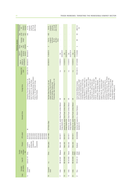|                          |                      |                                        |                                                                            |                                                                                                                                      |                                                                          |                                                                                                                                                                                                                                                                                                                                                                                                                                                                                                                                                                                                                                                                                                                                                                                                                                                                         |                                  |                                          |                                               | Preliminary decision                |                                                                    |                               |                                                                 |
|--------------------------|----------------------|----------------------------------------|----------------------------------------------------------------------------|--------------------------------------------------------------------------------------------------------------------------------------|--------------------------------------------------------------------------|-------------------------------------------------------------------------------------------------------------------------------------------------------------------------------------------------------------------------------------------------------------------------------------------------------------------------------------------------------------------------------------------------------------------------------------------------------------------------------------------------------------------------------------------------------------------------------------------------------------------------------------------------------------------------------------------------------------------------------------------------------------------------------------------------------------------------------------------------------------------------|----------------------------------|------------------------------------------|-----------------------------------------------|-------------------------------------|--------------------------------------------------------------------|-------------------------------|-----------------------------------------------------------------|
| ant country<br>Complain- | Case ID <sup>a</sup> | investiga-<br>Country<br>under<br>tion | Product                                                                    | HTS codes <sup>b</sup>                                                                                                               | Domestic firms                                                           | Foreign firms                                                                                                                                                                                                                                                                                                                                                                                                                                                                                                                                                                                                                                                                                                                                                                                                                                                           | Related CVD<br>case <sup>a</sup> | investigation<br>initation of<br>Date of | preliminary<br>dumping<br>decision<br>Date of | decision<br>injury<br>Dump-<br>ing/ | <b>Dumping</b><br>margin                                           | mea-<br>of AD<br>sure<br>Type | Preliminary<br>measure<br>imposed<br>$\mathbb{R}$               |
| European<br>Union        | EUN-AD-747           | China                                  | modules and<br>components<br>photovoltaic<br>Crystalline<br>silicon<br>key | 85013300,<br>85013400,<br>85016120,<br>38180010<br>85013100<br>85013200<br>85016180<br>85016200,<br>85016300<br>85016400<br>85414090 | $\equiv$                                                                 | Jinzhou Yangguang Energy, Wuxi Suntech<br>Delsolar (Wujiang) Co. Ltd, Jiangxi LDK<br>Changzhou Trina Solar Energy Co. Ltd,<br>Solar Hi-Tech Co. Ltd, JingAo Group,<br>Power Co. Ltd, Yingli Green Energy<br>Holding Company                                                                                                                                                                                                                                                                                                                                                                                                                                                                                                                                                                                                                                             | EUN-CVD-79                       | 09/06/2012                               | 06/04/2013                                    | $\prec$                             |                                                                    | AVD                           | other firms)<br>67.9% (all<br>cooperat-<br>ing firms);<br>47.7% |
| European<br>Union        | n.a.                 | China                                  | Solar glass                                                                | 70071980                                                                                                                             | EU ProSun Glass                                                          | Photovoltaic Glass Technology Co. Ltd.<br>related companies, Xinyi PV Products<br>Flat Solar Glass Group Co. Ltd. and<br>(Anhui) Holdings, Zhejiang Hehe                                                                                                                                                                                                                                                                                                                                                                                                                                                                                                                                                                                                                                                                                                                |                                  | 02/28/2013 11/26/2013                    |                                               | ⋖                                   | cooperat-<br>ing firms);<br>(all other<br>79.8%<br>86.2%<br>firms) | AVD                           | other firms)<br>cooperat-<br>42.1% (all<br>ing firms);<br>38.4% |
| India                    | IND-AD-661           | Malaysia                               | Solar cells                                                                | 85414011                                                                                                                             | Indosolar Ltd, Jupiter Solar Power Limited, Websol<br>Energy Systems Ltd | Σ                                                                                                                                                                                                                                                                                                                                                                                                                                                                                                                                                                                                                                                                                                                                                                                                                                                                       | n.a.                             | 11/23/2012                               | 05/22/2014<br>Est.                            | $\overline{\phantom{a}}$            | ł,                                                                 | ł,                            |                                                                 |
| India                    | <b>ND-AD-662</b>     | China                                  | Solar cells                                                                | 85414011                                                                                                                             | Indosolar Ltd, Jupiter Solar Power Limited, Websol<br>Energy Systems Ltd | $\overline{\geq}$                                                                                                                                                                                                                                                                                                                                                                                                                                                                                                                                                                                                                                                                                                                                                                                                                                                       | $\overline{\phantom{a}}$         | 11/23/2012                               | 05/22/2014<br>Est.                            |                                     |                                                                    |                               |                                                                 |
| India                    | IND-AD-663           | Taiwan                                 | Solar cells                                                                | 85414011                                                                                                                             | Indosolar Ltd, Jupiter Solar Power Limited, Websol<br>Energy Systems Ltd | ₹                                                                                                                                                                                                                                                                                                                                                                                                                                                                                                                                                                                                                                                                                                                                                                                                                                                                       | n.a.                             | 11/23/2012                               | 05/22/2014<br>Est.                            |                                     |                                                                    |                               |                                                                 |
| India                    | <b>ND-AD-664</b>     | United<br>States                       | Solar cells                                                                | 85414011                                                                                                                             | Indosolar Ltd, Jupiter Solar Power Limited, Websol<br>Energy Systems Ltd | $\overline{\Xi}$                                                                                                                                                                                                                                                                                                                                                                                                                                                                                                                                                                                                                                                                                                                                                                                                                                                        | n.a.                             | 11/23/2012                               | 05/22/2014<br>Est.                            |                                     | ÷                                                                  | $\overline{\phantom{a}}$      |                                                                 |
| Peru                     | PER-AD-121           | United<br>States                       | Biodiesel                                                                  | 3824909999                                                                                                                           | Industrias del Espino S.A., Heaven Petroleum<br>Operators S.A.           | Renewable Energy Group Inc., Twin Rivers<br>Fuels Inc., Johann Haltermann Ltd., Lake<br>Biodiesel LP, GeoGreen Fuels LLC, Green<br>Ecogy Biofuels LLC, Freedom Fuels LLC,<br>Biofuels LLC, Nova Biosource Fuels Inc.,<br>Technologies, Vinmar International, Vitol<br>Hunter Energy Inc., Green Earth Fuels<br>Imperium Renewables Inc., Innovation<br>of Houston LLC, Griffin Industries Inc.,<br>Fuel Bio Holdings LLC, Galveston Bay<br>Corporate Headquarters, Direct Fuels,<br>Inc., Western lowa Energy LLC, World<br>Organic Fuels Ltd., Owensboro Grain<br>America LP, Renewable Biofuels Inc.,<br>AGP Corporate Headquarters, Cargill<br>Incorporated, Carolina BioFuels LLC,<br>Erie Biofuels, LDH Energy, Memphis<br>Energy Alternatives LLC, ED&F Man<br>Company LLC, Peter Cremer North<br>Archer Daniels Midland Company,<br>Biofuels INC, Trafigura A.G. | PER-CVD-13                       | 07/13/2009 11/10/2009                    |                                               | $\prec$                             | Ξ                                                                  | S                             | US\$ 212/<br>ton                                                |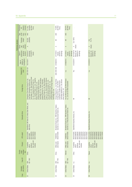| Preliminary          | measure<br>imposed<br>$\triangleq$      | $31.14\% - 249.96\%$<br>(all other<br>firms)                                                                                                                                                                                                                                                                                                                                                                                                                                                                                                                                                            | 72.69%<br>(all other<br>firms)                                                                                                                                                 | (all other<br>firms)<br>59.91%                                                              |                                                                                                                |                                                                                                               |
|----------------------|-----------------------------------------|---------------------------------------------------------------------------------------------------------------------------------------------------------------------------------------------------------------------------------------------------------------------------------------------------------------------------------------------------------------------------------------------------------------------------------------------------------------------------------------------------------------------------------------------------------------------------------------------------------|--------------------------------------------------------------------------------------------------------------------------------------------------------------------------------|---------------------------------------------------------------------------------------------|----------------------------------------------------------------------------------------------------------------|---------------------------------------------------------------------------------------------------------------|
|                      | Type<br>of AD<br>mea-<br>sure           | AVD                                                                                                                                                                                                                                                                                                                                                                                                                                                                                                                                                                                                     | <b>AVD</b>                                                                                                                                                                     | <b>AVD</b>                                                                                  |                                                                                                                |                                                                                                               |
|                      | Dumping<br>margin                       | 249.96%<br>18.32%                                                                                                                                                                                                                                                                                                                                                                                                                                                                                                                                                                                       | Ξ                                                                                                                                                                              | $\overline{\geq}$                                                                           | Est. 165%                                                                                                      | 75.7%<br>Est.                                                                                                 |
| Preliminary decision | decision<br>injury<br>Dump-<br>ing/     | $\prec$                                                                                                                                                                                                                                                                                                                                                                                                                                                                                                                                                                                                 | ⋖                                                                                                                                                                              | $\prec$                                                                                     | $A$<br>(injury)                                                                                                | (injury)<br>$\prec$                                                                                           |
| Date of              | preliminary<br>dumping<br>decision      | (dumping);<br>12/16/2011<br>5/25/2012<br>(injury)                                                                                                                                                                                                                                                                                                                                                                                                                                                                                                                                                       | 2/17/2012<br>8/2/2012<br>(dumping)<br>(injury);                                                                                                                                | 2/17/2012<br>8/2/2012<br>(dumping)<br>(injury);                                             | 02/14/2014<br>06/9/2014<br>injury); est.<br>(dumping)                                                          | 02/14/2014<br>06/9/2014<br>(injury); est.<br>(dumping)                                                        |
|                      | nvestigation<br>initation of<br>Date of | 10/27/2011                                                                                                                                                                                                                                                                                                                                                                                                                                                                                                                                                                                              |                                                                                                                                                                                | 01/06/2012                                                                                  | 01/22/2014                                                                                                     | 01/22/2014                                                                                                    |
|                      | Related CVD<br>case <sup>a</sup>        | <b>USA-CVD-551</b>                                                                                                                                                                                                                                                                                                                                                                                                                                                                                                                                                                                      | USA-CVD-556 01/06/2012                                                                                                                                                         | n.a.                                                                                        | Yes                                                                                                            | n.a.                                                                                                          |
|                      | Foreign firms                           | Zhenjiang Rietech New Energy Science &<br>fechnology Co. Ltd., Wuxi Suntech Power<br>Suntech Power Co. Ltd., Wuxi Sunshine<br>Power Co. Ltd., Wuxi University Science<br>Ltd., Suntech Power Co. Ltd., Yangzhou<br>Technology Co. Ltd., Kuttler Automation<br>Changzhou Trina Solar Energy Co. Ltd.<br>Systems (Suzhou) Co. Ltd., Shenzhen<br>Trina Solar (Changzhou) Science and<br>Co. Ltd., Luoyang Suntech Power Co.<br>Park International Incubator Co. Ltd.,<br>Zhenjiang Huantai Silicon Science &<br>Yangzhou Suntech Power Co. Ltd.,<br>Rietech Renewal Energy Co. Ltd.,<br>Technology Co. Ltd | Chengxi Shipyard Co., Ltd, Titan Wind<br>Technology Baoding Co., Ltd, Sinovel<br>Corporation, Guodian United Power<br>Energy (Suzhou) Co., Ltd, CS Wind<br>Mind Group Co., Ltd | The CS Wind Group (CS Wind Vietnam<br>Co., Ltd. and CS Wind Corporation                     | $\overline{\ge}$                                                                                               | $\overline{\geq}$                                                                                             |
|                      | Domestic firms                          | SolarWorld, MX Solar US, Helios Solar Works, and<br>other firms                                                                                                                                                                                                                                                                                                                                                                                                                                                                                                                                         | Broadwind Towers Inc., DMI Industries, Katana<br>Summit LLC, Trinity Structural Towers Inc.                                                                                    | Broadwind Towers Inc., DMI Industries, Katana<br>Summit LLC, Trinity Structural Towers Inc. | SolarWorld Industries America, Inc.                                                                            | SolarWorld Industries America, Inc.                                                                           |
|                      | HTS codes <sup>b</sup>                  | 8501610000<br>8541406030<br>8501318000<br>8541406020<br>85072080,                                                                                                                                                                                                                                                                                                                                                                                                                                                                                                                                       | 8502310000<br>73082000,                                                                                                                                                        | 8502310000<br>73082000,                                                                     | 8501610000,<br>8507208040<br>8541406030,<br>8507208030<br>8507208060<br>8507208090<br>8541406020<br>8501318000 | 8501610000,<br>8507208090<br>8541406020<br>8541406030<br>8501318000<br>8507208040<br>8507208060<br>8507208030 |
|                      | Product                                 | taic cells and<br>Crystalline<br>photovol-<br>modules<br>silicon                                                                                                                                                                                                                                                                                                                                                                                                                                                                                                                                        | wind towers<br>Utility scale                                                                                                                                                   | wind towers<br>Utility scale                                                                | taic cells and<br>Crystalline<br>photovol-<br>modules<br>silicon                                               | taic cells and<br>Crystalline<br>photovol-<br>modules<br>silicon                                              |
| Country              | nvestiga-<br>under<br>tion              | China                                                                                                                                                                                                                                                                                                                                                                                                                                                                                                                                                                                                   | China                                                                                                                                                                          | Vietnam                                                                                     | China                                                                                                          | Taiwan                                                                                                        |
|                      | Case ID <sup>ª</sup>                    | AD-1190<br>USA-                                                                                                                                                                                                                                                                                                                                                                                                                                                                                                                                                                                         | AD-1195<br>USA-                                                                                                                                                                | AD-1196<br>USA-                                                                             | n.a.                                                                                                           | n.a.                                                                                                          |
|                      | ant country<br>Complain-                | <b>United States</b>                                                                                                                                                                                                                                                                                                                                                                                                                                                                                                                                                                                    | <b>United States</b>                                                                                                                                                           | <b>United States</b>                                                                        | <b>United States</b>                                                                                           | <b>United States</b>                                                                                          |
|                      | Case                                    | 22                                                                                                                                                                                                                                                                                                                                                                                                                                                                                                                                                                                                      | 23                                                                                                                                                                             | 24                                                                                          | 25                                                                                                             | 26                                                                                                            |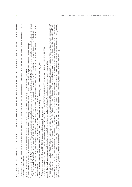-TS = Harmonized Tariff Schedule; n.a. = not applicable; "." = indicates that the investigation has not reached that phase so information is not available; MI = data that is missing or unable to be found; Est. = estimated

Preliminary and final dumping decision: A = Affirmative; N = Negative; W = Withdrawn prior to ruling by petitioning industry; B = bypassed, as sometimes the preliminary decision is skipped and the first decision is the final decisio

lype of AD measure imposed: AVD = ad valorem duty; SD = specific duty; PU = price undertaking; DPU = duty if price falls under a given level

Case ID drawn from Bown (2012a) for cases documented in the Global Antidumping Database and Bown (2012b) for Global Countervalling Duties Database, updated through 2012.

HTS = Hamonized Tarif Schedule; n.a. = not applicable; "." = indicates that the investigation has not reached that phases o information is not available; M = data that is missing or unable to be found;<br>Perlimiany and final In 2011, the Australia Customs and Border Protection amended its national tariff classification and statistical codes (Notice no. 2011/50). Subsequently, the tarif codes subject to the final AD decision The Harmonized System (HS), managed by the World Customs Organization classifies commodities up to the 6-digit tariff level. The HS system is used as the basis for national tariff systems (Harmonized Tariff Systems, or HTS), which further break down 6-digit fariff classifications to 8-digit or 10-digit levels according to national needs. Disaggregated coding is unique to national tariff classifications.

China's Ministry of Commerce Announcement no.81 issued on 11/4/2013 extended the AD investigation period by six months to end date May 1, 2014. <sup>a</sup> China's Ministry of Commerce Announcement no.81 issued on 11/4/2013 extended the AD investigation period by six months to end date May 1, 2014.<br>® Withdrawal letter was submitted on 03/12/2012 before a preliminary decis on biodiesel were revised to: 27102000/31, 27109180/82, 27109980/91, effective as of January 1, 2012.

Withdrawal letter was submitted on 03/12/2012 before a preliminary decision was reached.

 India's Ministry of Commerce and Industry's Memorandum No.354/2281/2013-TRU issued on 12/9/2013 extended the AD investigation period to end date May 22, 2014. India's Ministry of Commerce and Industry's Memorandum No.354/2281/2013-TRU issued on 12/9/2013 extended the AD investigation period to end date May 22, 2014.  $\sim$ 

Note: for duties and margins, ranges indicate duties for specific firms; duties and margins for "all others" are weighted average duty applied country wide. Vote: for duties and margins, ranges indicate duties for specific firms; duties and margins for "all others" are weighted average duty applied country wide.

Sources: Bown, Chad P. (2012a) "Global Antidumping Database," available at http://econ.worldbank.org/ttbd/gad/; Global Trade Alert, trade defense measures statistics, http://www.globaltradealert.org/; various official government documents drawn from: Australia Customs and Border Protection Service, Anti-dumping Commission, http://www.customs.gov.au/anti-dumping/default.asp; China Ministry various official government documents drawn from: Australia Customs and Border Protection Service, Anti-dumping Commission, http://www.customs.gov.au/anti-dumping/default.asp; China Ministry of Commerce, http://english.mofcom.gov.cn/article/policyrelease/; European Commission, http://eur-lex.europa.eu/en/index.htm; India Department of Commerce, http://commerce.nic.in/traderemedies/ of Commerce, http://english.mofcom.gov.cn/article/policyrelease/; European Commission, http://eur-lex.europa.eu/en/index.htm; India Department of Commerce, http://commerce.nic.in/traderemedies/ ad\_casesinindia.asp?id=2; Peru Commission Investigating Dumping and Subsidies, http://www.elperuano.com.pe/edicion/; United States International Trade Commission, http://www.usitc.gov/trade\_ Sources: Bown, Chad P. (2012a) "Global Antidumping Database," available at http://econ.worldbank.org/ttbd/gad/; Global Trade Alert, trade defense measures statistics, http://www.globaltradealert.org/ ad\_casesinindia.asp?id=2; Peru Commission Investigating Dumping and Subsidies, http://www.elperuano.com.pe/edicion/; United States International Trade Commission, http://www.usitc.gov/trade\_ emedy/731\_ad\_701\_cvd/investigations/active/index.htm and US Department of Commerce, International Trade Administration, http://trade.gov/enforcement/index.asp. remedy/731\_ad\_701\_cvd/investigations/active/index.htm and US Department of Commerce, International Trade Administration, http://trade.gov/enforcement/index.asp.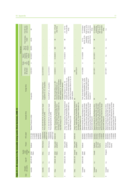|                |                          |                      |                                |                                                  |                                                                         | Table A1.1. AD measures in the renewable energy sector (final decisions), 2008-12                                                                                                                                                                                                        |                                                                                                                                                                                            |                                 |                                     |                                                 |                                |                                                                                 |                                                                                                            |
|----------------|--------------------------|----------------------|--------------------------------|--------------------------------------------------|-------------------------------------------------------------------------|------------------------------------------------------------------------------------------------------------------------------------------------------------------------------------------------------------------------------------------------------------------------------------------|--------------------------------------------------------------------------------------------------------------------------------------------------------------------------------------------|---------------------------------|-------------------------------------|-------------------------------------------------|--------------------------------|---------------------------------------------------------------------------------|------------------------------------------------------------------------------------------------------------|
|                |                          |                      |                                |                                                  |                                                                         |                                                                                                                                                                                                                                                                                          |                                                                                                                                                                                            |                                 |                                     |                                                 | Final decision                 |                                                                                 |                                                                                                            |
| Case           | ant country<br>Complain- | Case ID <sup>a</sup> | investiga-<br>Country<br>under | Product                                          | HTS codes <sup>b</sup>                                                  | Domestic firms                                                                                                                                                                                                                                                                           | Foreign firms                                                                                                                                                                              | Date of final<br>AD decision    | decision<br>injury<br>Dump-<br>ing/ | of final AD<br>imposition<br>measure<br>Date of | measure<br>final AD<br>Type of | Final dumping<br>margin                                                         | Final AD mea-<br>sure imposed                                                                              |
| $\overline{ }$ | Australia                | <b>AUS-AD-493</b>    | United<br>States               | Biodiesel                                        | 38249030°<br>38249020,<br>27109180<br>27109980,<br>27101180<br>27101980 | Biodiesel Producers Limited                                                                                                                                                                                                                                                              | All exporters                                                                                                                                                                              | 12/22/2010                      | $\prec$                             | 04/18/2011                                      | <b>Udd/CS</b>                  | 40.0%                                                                           | Ξ                                                                                                          |
| $\sim$         | Australia                | n.a.                 | China                          | Wind towers                                      | 7308900049,<br>7308200002,<br>8502311031                                | A.C.N. 009 483 694 Pty Ltd (Haywards), Keppel<br>Prince Engineering Pty Ltd. (KPE)                                                                                                                                                                                                       | Equipment Co. Ltd., all exporters<br>Shanghai Taisheng Wind Power                                                                                                                          | Est. 3/21/2014                  | $\cdot$                             |                                                 |                                |                                                                                 |                                                                                                            |
| S              | Australia                | n.a.                 | Korea                          | Wind towers                                      | 7308200002,<br>7308900049,<br>8502311032                                | A.C.N. 009 483 694 Pty Ltd (Haywards), Keppel<br>Prince Engineering Pty Ltd. (KPE)                                                                                                                                                                                                       | Korea Win&P Ltd., all exporters                                                                                                                                                            | Est. 3/21/2014                  |                                     |                                                 |                                |                                                                                 |                                                                                                            |
| 4              | China                    | CHN-AD-199           | <b>States</b><br>United        | Solar grade<br>polysilicon                       | 28046190                                                                | Jiangsu Zhongneng Silicon Technology Development<br>Technology Co. Ltd., China Silicon Corporation Ltd.,<br>Co. Ltd., Jiangxi Saiwei LDK Photovoltaic Silicon<br>Daqo New Energy Co. Ltd.                                                                                                | Hemlock Semiconductor Corporation,<br>MEMC Pasadena, Inc., AE Polysilicon<br>REC Solar Grade Silicon LLC, REC<br>Advanced Silicon Materials LLC,<br>Corporation, all other exporters       | 01/20/2014                      | $\prec$                             | 01/20/2014                                      | AVD                            | $\equiv$                                                                        | 53.3 - 57% (all<br>other firms)                                                                            |
| 5              | China                    | CHN-AD-200 Korea     |                                | Solar grade<br>polysilicon                       | 28046190                                                                | Jiangsu Zhongneng Silicon Technology Development<br>Ltd., China Silicon Corporation Ltd.,<br>Co. Ltd., Jiangxi Saiwei LDK Photovoltaic Silicon<br>Daqo New Energy Co. Ltd.<br>Technology Co.                                                                                             | KCC Corp and Korean Advanced Materials<br>(KAM) Corp, Innovation Silicon Co. Ltd., all<br>Company Ltd., Hankook Silicon Co. Ltd.,<br>Woongjin Polysilicon Co. Ltd., OCI<br>other exporters | 01/20/2014                      | $\prec$                             | 01/20/2014                                      | Ş                              | Ξ                                                                               | 12.3% (all other<br>$2.4 - 48.7%$<br>firms)                                                                |
| 6              | China                    | CHN-AD-203           | European<br>Union              | Solar grade<br>polysilicon                       | 28046190                                                                | Jiangsu Zhongneng Silicon Technology Development<br>Technology Co. Ltd., China Silicon Corporation Ltd.,<br>xi Saiwei LDK Photovoltaic Silicon<br>Daqo New Energy Co. Ltd.<br>Co. Ltd., Jiang:                                                                                           | $\equiv$                                                                                                                                                                                   | 05/01/2014 <sup>d</sup><br>Est. |                                     |                                                 |                                |                                                                                 |                                                                                                            |
| $\sim$         | European<br>Union        | EUN-AD-683           | United<br>States               | Biodiesel                                        | 38249097,<br>38249091<br>27101941<br>15162098<br>15180091<br>15180099   | Energy Germany Gmbh, Mannheim Bio Fuel Gmbh,<br>Diester Industries SAS, Ecomotion<br>Gmbh, Ecomotion Group, Gate Global Alternative<br>Natural Energy West Gmbh, Neochim Sa, Novaol<br>Biopetrol Industries AG, Daka Biodiesel A.M.B.A,<br>Novaol Srl<br>Diester Group,<br>Austria Gmbh, | Daniels Midland Company, World Energy<br>Inc., Imperium Renewables Inc., Archer<br>Peter Cremer North America LP, Cargill<br>Alternatives LLC, Green Earth Fuels of<br>Houston LLC         | 07/10/2009                      | ⋖                                   | 07/10/2009                                      | 8                              | 88.4%; 33.5%<br>(all other firms)<br>firms); 39.2%<br>(cooperating<br>$10.1% -$ | firms) or 19.3%<br>tonne (all other<br>€115.6/tonne<br>AVD; <sup>e</sup> €172.2/<br>(cooperating<br>firms) |
| $\infty$       | European<br>Union        | n.a.                 | Canada                         | circumven<br>tion of US<br>Biodiesel<br>imports) | 27101941<br>38249091<br>38249097<br>15162098<br>15180091,<br>15180099   | Energy Germany Gmbh, Mannheim Bio Fuel Gmbh,<br>Diester Industries SAS, Ecomotion<br>Gmbh, Ecomotion Group, Gate Global Alternative<br>Natural Energy West Gmbh, Neochim Sa, Novaol<br>Biopetrol Industries AG, Daka Biodiesel A.M.B.A,<br>Novaol Srl<br>Diester Group,<br>Austria Gmbh, | Σ                                                                                                                                                                                          | 05/11/2011                      | $\prec$                             | 05/12/2011                                      | S                              | $\overline{\geq}$                                                               | firms) or 19.3%<br>€115.6/tonne<br>tonne (all other<br>AVD; <sup>e</sup> €172.2/<br>(cooperating<br>firms) |
| ၜ              | European<br>Union        | n.a.                 | Singapore                      | circumven<br>tion of US<br>Biodiesel<br>imports) | 15162098,<br>38249091<br>15180099<br>38249097<br>27101941<br>15180091   | Energy Germany Gmbh, Mannheim Bio Fuel Gmbh,<br>Diester Industries SAS, Ecomotion<br>Gmbh, Ecomotion Group, Gate Global Alternative<br>Biopetrol Industries AG, Daka Biodiesel A.M.B.A,<br>Natural Energy West Gmbh, Neochim Sa, Novaol<br>Austria Gmbh, Novaol Srl<br>Diester Group,    | $\overline{\ge}$                                                                                                                                                                           | 05/11/2011                      | z                                   | n.a.                                            | n.a.                           | n.a.                                                                            | n.a.                                                                                                       |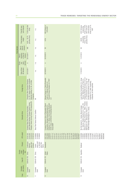|                | Final AD mea-<br>sure imposed                   | 13.8% (all other<br>firms)                                                                                                                           | n.a.                                                           | <b>E62.3/tonne or</b><br>9.5% AVD <sup>e</sup>                                                                                                                                                                                       | (cooperating<br>firms) or 24.6%<br>irms) or 25.7%<br><b>E237.05/tonne</b><br>tonne (all other<br>AVD; €245.67/<br>AVD®                                                                                                                                                               |
|----------------|-------------------------------------------------|------------------------------------------------------------------------------------------------------------------------------------------------------|----------------------------------------------------------------|--------------------------------------------------------------------------------------------------------------------------------------------------------------------------------------------------------------------------------------|--------------------------------------------------------------------------------------------------------------------------------------------------------------------------------------------------------------------------------------------------------------------------------------|
|                | Final dumping<br>margin                         | $9.6\% - 29.7\%$<br>(all other firms)                                                                                                                | n.a.                                                           | 9.5%                                                                                                                                                                                                                                 | all other firms)<br>firms); 49.2%<br>(cooperating<br>46.8%                                                                                                                                                                                                                           |
| Final decision | measure<br>final AD<br>Type of                  | <b>AVD</b>                                                                                                                                           | n.a.                                                           | SD,                                                                                                                                                                                                                                  | 8                                                                                                                                                                                                                                                                                    |
|                | of final AD<br>imposition<br>measure<br>Date of | 03/15/2011                                                                                                                                           | n.a.                                                           | 02/23/2013                                                                                                                                                                                                                           | 11/27/2013                                                                                                                                                                                                                                                                           |
|                | decision<br>injury<br>Dump-<br>ing/             | $\prec$                                                                                                                                              | n.a.                                                           | $\prec$                                                                                                                                                                                                                              | $\prec$                                                                                                                                                                                                                                                                              |
|                | Date of final<br>AD decision                    | 03/15/2011                                                                                                                                           | n.a.                                                           | 02/18/2013                                                                                                                                                                                                                           | 11/19/2013                                                                                                                                                                                                                                                                           |
|                | Foreign firms                                   | Co. Ltd., Jiangsu Changhai Composite<br>Changzhou New Changhai Fiberglass<br>Materials Holding Co. Ltd., All Other<br>Companies                      | $\overline{\geq}$                                              | Marquis Energy LLC, Patriot Renewable<br>Plymouth Energy Company LLC, POET<br>Fuels LLC, Platinum Ethanol LLC,<br>$\overline{\perp}$                                                                                                 | Dleaginosa MoreNo Hermanos S.A.F.I.C.<br>ouis Dreyfus Commodities S.A., Group<br>y A. and Vincentin S.A.I.C.); Group "T6"<br>'Renova" (Molinos Rio de la Plata S.A.,<br>Aceitera General Deheza S.A., Bunge<br>Argentina S.A.), other cooperating<br>companies, all other exporters  |
|                | Domestic firms                                  | Johns Manville Slovakia, European Owens Corning<br>Fiberglas, Owens Corning France, PPG Industries BV<br>European Glass Fibre Producers Association, | Glass Fibre Fabrics Defence Coalition                          | BioWanze S.A., Wanze; Crop Energies Bioethanol<br>European Producers Union of Renewable Ethanol<br>Association; Abengoa Energy Netherlands B.V.,<br>Lantmännen Energi/Agroetanol,<br>GmbH, Ensus,<br>Tereos BENP                     | Kifissia; Novaol S.R.L., Milan; Perstorp<br>.B., Stenungsund; Preol A.s., Lovosice;<br>S.L., Valencia; Diester Industrie S.A.S., Paris; Elin<br>Bio-Oils Huelva S.L., Huelva; Biocom Energia<br>VERBIO Vereinigte BioEnergie A.G., Leipzig<br>Biofuels S.A.,<br><b>BioProducts A</b> |
|                | <b>HTS</b> codes <sup>b</sup>                   | 70191200<br>70191910<br>70191100<br>70193100                                                                                                         | 70193900,<br>70194000<br>70199000                              | 27101145,<br>27101149,<br>22071000<br>27101115<br>27101121<br>27101125<br>27101131<br>27101141<br>27101151<br>27101159<br>27101170,<br>27101190,<br>38140010<br>38200000<br>22072000<br>22089099<br>38140090<br>27101111<br>38249097 | 27102011,<br>27102015,<br>38249097,<br>15162098<br>15180091,<br>15180095,<br>27101943<br>27101946<br>27101947<br>27102017<br>38260010<br>15180099<br>38260090                                                                                                                        |
|                | Product                                         | Continuous<br>glass fibre<br>products<br>filament                                                                                                    | woven and/<br>or stitched<br>glass fibre<br>Certain<br>fabrics | <b>Bioethanol</b>                                                                                                                                                                                                                    | Biodiesel                                                                                                                                                                                                                                                                            |
|                | investiga-<br>Country<br>under<br>tion          | China                                                                                                                                                |                                                                | United<br><b>States</b>                                                                                                                                                                                                              |                                                                                                                                                                                                                                                                                      |
|                | Case ID <sup>ª</sup>                            | <b>EUN-AD-705</b>                                                                                                                                    | EUN-AD-729 China                                               | EUN-AD-733                                                                                                                                                                                                                           | EUN-AD-745 Argentina                                                                                                                                                                                                                                                                 |
|                | ant country<br>Complain-                        | European<br>Union                                                                                                                                    | European<br>Union                                              | European<br>Union                                                                                                                                                                                                                    | European<br>Union                                                                                                                                                                                                                                                                    |
|                | Case                                            | $\supseteq$                                                                                                                                          | Ξ                                                              | $\approx$                                                                                                                                                                                                                            | $\frac{1}{2}$                                                                                                                                                                                                                                                                        |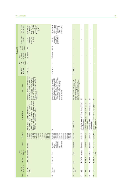|                | Final AD mea-<br>sure imposed                   | firms) or 18.9%<br>firms) or 20.5%<br>€166.95/tonne<br>tonne (all other<br>AVD; €178.85/<br>(cooperating<br>AVD <sup>e</sup>                                                                                                                                              | minimum import<br>price; or 47.7%<br>EUR 0.56/watt<br>all other firms)<br>firms); 64.9%<br>(cooperating                                                                                                                     |                                                                                                                                                          |                                                                          |                                                                          |                                                                          |                                                                          |
|----------------|-------------------------------------------------|---------------------------------------------------------------------------------------------------------------------------------------------------------------------------------------------------------------------------------------------------------------------------|-----------------------------------------------------------------------------------------------------------------------------------------------------------------------------------------------------------------------------|----------------------------------------------------------------------------------------------------------------------------------------------------------|--------------------------------------------------------------------------|--------------------------------------------------------------------------|--------------------------------------------------------------------------|--------------------------------------------------------------------------|
|                | Final dumping<br>margin                         | firms); 23.3%<br>(cooperating<br>(all firms)<br>20.1%                                                                                                                                                                                                                     | firms); 115.5%<br>(all other firms)<br>(cooperating<br>88.1%                                                                                                                                                                |                                                                                                                                                          |                                                                          |                                                                          |                                                                          |                                                                          |
| Final decision | measure<br>final AD<br>Type of                  | SD                                                                                                                                                                                                                                                                        | <b>AVD/PU</b>                                                                                                                                                                                                               |                                                                                                                                                          |                                                                          |                                                                          |                                                                          |                                                                          |
|                | imposition<br>of final AD<br>measure<br>Date of | 11/27/2013                                                                                                                                                                                                                                                                | 12/06/2013                                                                                                                                                                                                                  |                                                                                                                                                          |                                                                          |                                                                          |                                                                          |                                                                          |
|                | decision<br>hjury<br>Dump-<br>ing/              | $\prec$                                                                                                                                                                                                                                                                   | $\prec$                                                                                                                                                                                                                     |                                                                                                                                                          |                                                                          |                                                                          |                                                                          |                                                                          |
|                | Date of final<br>AD decision                    | 11/19/2013                                                                                                                                                                                                                                                                | 12/02/2013                                                                                                                                                                                                                  | Est. 5/27/2014                                                                                                                                           |                                                                          |                                                                          |                                                                          |                                                                          |
|                | Foreign firms                                   | PT. Ciliandra Perkasa, Jakarta; PT. Muslim<br>Mas, Medan; PT. Pelita Agung Agrindustri<br>Medan; other cooperating companies, all<br>Medan and PT. Wilmar Nabati Indonesia,<br>Medan; PT. Wilmar Bioenergi Indonesia,<br>other exporters                                  | Jinzhou Yangguang Energy, Wuxi Suntech<br>Delsolar (Wujiang) Co. Ltd, Jiangxi LDK<br>Changzhou Trina Solar Energy Co. Ltd,<br>Solar Hi-Tech Co. Ltd, JingAo Group,<br>Power Co. Ltd, Yingli Green Energy<br>Holding Company | Photovoltaic Glass Technology Co. Ltd.<br>related companies, Xinyi PV Products<br>Flat Solar Glass Group Co. Ltd. and<br>(Anhui) Holdings, Zhejiang Hehe | Σ                                                                        | ₹                                                                        | Σ                                                                        | $\overline{\geq}$                                                        |
|                | Domestic firms                                  | Biofuels S.A., Kifissia; Novaol S.R.L., Milan; Perstorp<br>BioProducts A.B., Stenungsund; Preol A.s., Lovosice;<br>VERBIO Vereinigte BioEnergie A.G., Leipzig<br>Diester Industrie S.A.S., Paris; Elin<br>Bio-Oils Huelva S.L., Huelva; Biocom Energia<br>S.L., Valencia; |                                                                                                                                                                                                                             | EU ProSun Glass                                                                                                                                          | Indosolar Ltd, Jupiter Solar Power Limited, Websol<br>Energy Systems Ltd | Indosolar Ltd, Jupiter Solar Power Limited, Websol<br>Energy Systems Ltd | Indosolar Ltd, Jupiter Solar Power Limited, Websol<br>Energy Systems Ltd | Indosolar Ltd, Jupiter Solar Power Limited, Websol<br>Energy Systems Ltd |
|                |                                                 |                                                                                                                                                                                                                                                                           | Σ                                                                                                                                                                                                                           |                                                                                                                                                          |                                                                          |                                                                          |                                                                          |                                                                          |
|                | <b>HTS</b> codes <sup>b</sup>                   | 27101946,<br>27102015,<br>5162098<br>27101943,<br>27101947<br>27102011<br>27102017<br>38260010<br>15180091,<br>5180095<br>15180099<br>38249097<br>38260090                                                                                                                | 38180010,<br>85013100,<br>85013300<br>85016120<br>85013200<br>85013400<br>85016180<br>85016200<br>85016300<br>85016400<br>35414090                                                                                          | 70071980                                                                                                                                                 | 85414011                                                                 | 85414011                                                                 | 85414011                                                                 | 85414011                                                                 |
|                | Product                                         | <b>Biodiesel</b>                                                                                                                                                                                                                                                          | modules and<br>components<br>photovoltaic<br>Crystalline<br>silicon<br>key                                                                                                                                                  | Solar glass                                                                                                                                              | Solar cells                                                              | Solar cells                                                              | Solar cells                                                              | Solar cells                                                              |
|                | investiga-<br>Country<br>under<br>tion          | Indonesia                                                                                                                                                                                                                                                                 |                                                                                                                                                                                                                             | China                                                                                                                                                    | Malaysia                                                                 | China                                                                    | Taiwan                                                                   | United<br>States                                                         |
|                | Case ID <sup>ª</sup>                            | EUN-AD-746                                                                                                                                                                                                                                                                | China<br>EUN-AD-747                                                                                                                                                                                                         | n.a.                                                                                                                                                     | <b>ND-AD-661</b>                                                         | IND-AD-662                                                               | IND-AD-663                                                               | <b>ND-AD-664</b>                                                         |
|                | ant country<br>Complain-<br>Case                | European<br>Union                                                                                                                                                                                                                                                         | European<br>Union                                                                                                                                                                                                           | European<br>Union                                                                                                                                        | India                                                                    | India                                                                    | India                                                                    | India                                                                    |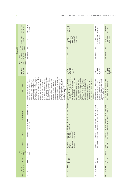|                | Final AD mea-<br>sure imposed                   | US\$212/ton or<br>26% AVE <sup>9</sup>                                                                                                                                                                                                                                                                                                                                                                                                                                                                                                                                                                                                                                                                                                                                                                                                                                  | 249.96% (all<br>other firms)                                                                                                                                                                                                                                                                                                                                                                                                                                                                                                                                                                             | 70.63% (all<br>other firms)                                                                                                                                                    | 58.49% (all<br>other firms)                                                                 |
|----------------|-------------------------------------------------|-------------------------------------------------------------------------------------------------------------------------------------------------------------------------------------------------------------------------------------------------------------------------------------------------------------------------------------------------------------------------------------------------------------------------------------------------------------------------------------------------------------------------------------------------------------------------------------------------------------------------------------------------------------------------------------------------------------------------------------------------------------------------------------------------------------------------------------------------------------------------|----------------------------------------------------------------------------------------------------------------------------------------------------------------------------------------------------------------------------------------------------------------------------------------------------------------------------------------------------------------------------------------------------------------------------------------------------------------------------------------------------------------------------------------------------------------------------------------------------------|--------------------------------------------------------------------------------------------------------------------------------------------------------------------------------|---------------------------------------------------------------------------------------------|
|                | Final dumping<br>margin                         | Ξ                                                                                                                                                                                                                                                                                                                                                                                                                                                                                                                                                                                                                                                                                                                                                                                                                                                                       | 24.48% (coop<br>erating firms);<br>249.96% (all<br>other firms)<br>$18.32\% -$<br>29.14%;                                                                                                                                                                                                                                                                                                                                                                                                                                                                                                                | 47.59;70.63%<br>(all other firms)<br>44.99% -                                                                                                                                  | 58.49% (all<br>other firms)<br>51.50%;                                                      |
| Final decision | measure<br>final AD<br>Type of                  | SD                                                                                                                                                                                                                                                                                                                                                                                                                                                                                                                                                                                                                                                                                                                                                                                                                                                                      | AVD                                                                                                                                                                                                                                                                                                                                                                                                                                                                                                                                                                                                      | <b>QN</b>                                                                                                                                                                      | AVD                                                                                         |
|                | of final AD<br>imposition<br>measure<br>Date of | 06/26/2010                                                                                                                                                                                                                                                                                                                                                                                                                                                                                                                                                                                                                                                                                                                                                                                                                                                              | 12/07/2012                                                                                                                                                                                                                                                                                                                                                                                                                                                                                                                                                                                               | 02/15/2013                                                                                                                                                                     | 02/15/2013                                                                                  |
|                | decision<br>injury<br>Dump-<br>ing/             | $\prec$                                                                                                                                                                                                                                                                                                                                                                                                                                                                                                                                                                                                                                                                                                                                                                                                                                                                 | $\prec$                                                                                                                                                                                                                                                                                                                                                                                                                                                                                                                                                                                                  | ⋖                                                                                                                                                                              | $\prec$                                                                                     |
|                | Date of final<br>AD decision                    | 06/22/2010                                                                                                                                                                                                                                                                                                                                                                                                                                                                                                                                                                                                                                                                                                                                                                                                                                                              | 10/17/2012<br>12/6/2012<br>(dumping);<br>(injury)                                                                                                                                                                                                                                                                                                                                                                                                                                                                                                                                                        | 12/26/2012<br>12/8/2013<br>(dumping);<br>(injury)                                                                                                                              | 12/26/2012<br>12/8/2013<br>(dumping);<br>(injury)                                           |
|                | Foreign firms                                   | Renewable Energy Group Inc., Twin Rivers<br>Biodiesel LP, GeoGreen Fuels LLC, Green<br>Fuels Inc., Johann Haltermann Ltd., Lake<br>Ecogy Biofuels LLC, Freedom Fuels LLC,<br>Biofuels LLC, Nova Biosource Fuels Inc.,<br>Technologies, Vinmar International, Vitol<br>Hunter Energy Inc., Green Earth Fuels<br>Imperium Renewables Inc., Innovation<br>Fuel Bio Holdings LLC, Galveston Bay<br>of Houston LLC, Griffin Industries Inc.,<br>Inc., Western lowa Energy LLC, World<br>Corporate Headquarters, Direct Fuels,<br>Organic Fuels Ltd., Owensboro Grain<br>America LP, Renewable Biofuels Inc.,<br>AGP Corporate Headquarters, Cargill<br>Incorporated, Carolina BioFuels LLC,<br>Erie Biofuels, LDH Energy, Memphis<br>Energy Alternatives LLC, ED&F Man<br>Company LLC, Peter Cremer North<br>Archer Daniels Midland Company,<br>Biofuels INC, Trafigura A.G. | Zhenjiang Rietech New Energy Science &<br>Technology Co. Ltd., Wuxi Suntech Power<br>Power Co. Ltd., Wuxi University Science<br>Suntech Power Co. Ltd., Wuxi Sunshine<br>Technology Co. Ltd., Kuttler Automation<br>Ltd., Suntech Power Co. Ltd., Yangzhou<br>Changzhou Trina Solar Energy Co. Ltd.,<br>Systems (Suzhou) Co. Ltd., Shenzhen<br>Trina Solar (Changzhou) Science and<br>Co. Ltd., Luoyang Suntech Power Co.<br>Park International Incubator Co. Ltd.,<br>Zhenjiang Huantai Silicon Science &<br>Yangzhou Suntech Power Co. Ltd.,<br>Rietech Renewal Energy Co. Ltd.,<br>Technology Co. Ltd | Chengxi Shipyard Co., Ltd, Titan Wind<br>lechnology Baoding Co., Ltd, Sinovel<br>Corporation, Guodian United Power<br>Energy (Suzhou) Co., Ltd, CS Wind<br>Wind Group Co., Ltd | The CS Wind Group (CS Wind Vietnam<br>Co., Ltd. and CS Wind Corporation                     |
|                | Domestic firms                                  | Industrias del Espino S.A., Heaven Petroleum<br>Operators S.A.                                                                                                                                                                                                                                                                                                                                                                                                                                                                                                                                                                                                                                                                                                                                                                                                          | SolarWorld, MX Solar US, Helios Solar Works, and<br>other firms                                                                                                                                                                                                                                                                                                                                                                                                                                                                                                                                          | Broadwind Towers Inc., DMI Industries, Katana<br>Summit LLC, Trinity Structural Towers Inc.                                                                                    | Broadwind Towers Inc., DMI Industries, Katana<br>Summit LLC, Trinity Structural Towers Inc. |
|                | HTS codes <sup>b</sup>                          | 3824909999                                                                                                                                                                                                                                                                                                                                                                                                                                                                                                                                                                                                                                                                                                                                                                                                                                                              | 8501610000,<br>8541406030,<br>8541406020<br>8501318000<br>85072080,                                                                                                                                                                                                                                                                                                                                                                                                                                                                                                                                      | 8502310000<br>73082000,                                                                                                                                                        | 8502310000<br>73082000,                                                                     |
|                | Product                                         | Biodiesel                                                                                                                                                                                                                                                                                                                                                                                                                                                                                                                                                                                                                                                                                                                                                                                                                                                               | taic cells and<br>Crystalline<br>photovol-<br>modules<br>silicon                                                                                                                                                                                                                                                                                                                                                                                                                                                                                                                                         | wind towers<br>Utility scale                                                                                                                                                   | wind towers<br>Utility scale                                                                |
|                | investiga-<br>Country<br>under<br>tion          | United<br>States                                                                                                                                                                                                                                                                                                                                                                                                                                                                                                                                                                                                                                                                                                                                                                                                                                                        | China                                                                                                                                                                                                                                                                                                                                                                                                                                                                                                                                                                                                    | China                                                                                                                                                                          | Vietnam                                                                                     |
|                | Case ID <sup>a</sup>                            | PER-AD-121                                                                                                                                                                                                                                                                                                                                                                                                                                                                                                                                                                                                                                                                                                                                                                                                                                                              | AD-1190                                                                                                                                                                                                                                                                                                                                                                                                                                                                                                                                                                                                  | AD-1195<br>USA-                                                                                                                                                                | AD-1196<br>USA-                                                                             |
|                | ant country<br>Complain-                        | Peru                                                                                                                                                                                                                                                                                                                                                                                                                                                                                                                                                                                                                                                                                                                                                                                                                                                                    | United States USA-                                                                                                                                                                                                                                                                                                                                                                                                                                                                                                                                                                                       | <b>United States</b>                                                                                                                                                           | <b>United States</b>                                                                        |
|                | Case                                            | $\overline{2}$                                                                                                                                                                                                                                                                                                                                                                                                                                                                                                                                                                                                                                                                                                                                                                                                                                                          | 22                                                                                                                                                                                                                                                                                                                                                                                                                                                                                                                                                                                                       | $\mathbb{S}^2$                                                                                                                                                                 | 24                                                                                          |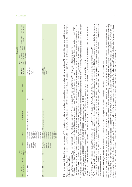|                         |                                |                                      |                                        |                                                                  |                                                                                                                    |                                                                                                                                                                                                                                                                                                                                                                                                                                                                                                                                                                                                                                                                                                                                                                                                                                                                                                                                                                                                                                                                                                                                                                                                                                                                                                           |                                                                                                                                   |                                                             |                                     |                                                 | Final decision                 |                         |                               |
|-------------------------|--------------------------------|--------------------------------------|----------------------------------------|------------------------------------------------------------------|--------------------------------------------------------------------------------------------------------------------|-----------------------------------------------------------------------------------------------------------------------------------------------------------------------------------------------------------------------------------------------------------------------------------------------------------------------------------------------------------------------------------------------------------------------------------------------------------------------------------------------------------------------------------------------------------------------------------------------------------------------------------------------------------------------------------------------------------------------------------------------------------------------------------------------------------------------------------------------------------------------------------------------------------------------------------------------------------------------------------------------------------------------------------------------------------------------------------------------------------------------------------------------------------------------------------------------------------------------------------------------------------------------------------------------------------|-----------------------------------------------------------------------------------------------------------------------------------|-------------------------------------------------------------|-------------------------------------|-------------------------------------------------|--------------------------------|-------------------------|-------------------------------|
| Case                    | ant country<br>Complain-       | Case 1D <sup>e</sup>                 | investiga-<br>Country<br>under<br>tion | Product                                                          | HTS codes <sup>b</sup>                                                                                             | Domestic firms                                                                                                                                                                                                                                                                                                                                                                                                                                                                                                                                                                                                                                                                                                                                                                                                                                                                                                                                                                                                                                                                                                                                                                                                                                                                                            | Foreign firms                                                                                                                     | Date of final<br>AD decision                                | decision<br>injury<br>Dump-<br>ing/ | of final AD<br>imposition<br>measure<br>Date of | measure<br>final AD<br>Type of | Final dumping<br>margin | Final AD mea-<br>sure imposed |
| 25                      | <b>United States</b>           | n.a.                                 | China                                  | taic cells and<br>Crystalline<br>photovol-<br>modules<br>silicon | 8501610000,<br>8507208060,<br>8541406020,<br>8541406030,<br>8507208040,<br>8507208090,<br>8507208030<br>8501318000 | SolarWorld Industries America, Inc.                                                                                                                                                                                                                                                                                                                                                                                                                                                                                                                                                                                                                                                                                                                                                                                                                                                                                                                                                                                                                                                                                                                                                                                                                                                                       | Σ                                                                                                                                 | Est. 8/25/2014<br>(dumping); est.<br>10/09/2014<br>(injury) |                                     |                                                 |                                |                         |                               |
| 26                      | <b>United States</b>           | n.a.                                 | Taiwan                                 | taic cells and<br>Crystalline<br>photovol-<br>modules<br>silicon | 8541406020,<br>8501610000,<br>8507208060,<br>8507208090,<br>8541406030,<br>8507208040<br>8507208030<br>8501318000  | SolarWorld Industries America, Inc.                                                                                                                                                                                                                                                                                                                                                                                                                                                                                                                                                                                                                                                                                                                                                                                                                                                                                                                                                                                                                                                                                                                                                                                                                                                                       | ₹                                                                                                                                 | Est. 8/25/2014<br>(dumping); est.<br>10/09/2014<br>(injury) |                                     |                                                 |                                |                         |                               |
|                         |                                |                                      |                                        |                                                                  |                                                                                                                    | HTS = Harmonized Tariff Schedule; n.a. = not applicable; "." " = indicates that the invesigration has not reached that phase so information is not available; MI = data that is missing or unable to be found.                                                                                                                                                                                                                                                                                                                                                                                                                                                                                                                                                                                                                                                                                                                                                                                                                                                                                                                                                                                                                                                                                            |                                                                                                                                   |                                                             |                                     |                                                 |                                |                         |                               |
|                         | decision is the final decision |                                      |                                        |                                                                  | Preliminary and final dumping decision: A = Affirmative; N = Negative; W                                           |                                                                                                                                                                                                                                                                                                                                                                                                                                                                                                                                                                                                                                                                                                                                                                                                                                                                                                                                                                                                                                                                                                                                                                                                                                                                                                           | = Withdrawn prior to ruling by petitioning industry; B = bypassed, as sometimes the preliminary decision is skipped and the first |                                                             |                                     |                                                 |                                |                         |                               |
| ō<br>$\circ$            |                                |                                      |                                        |                                                                  | Type of AD measure imposed: AVD = ad valorem duty; AVE = ad valorem                                                | For the EU, ad valorem duties are drawn from European Commission regulations which first specify the AVD duty based on the dumping and injury margins, and then convert the AVD to the specific<br>® The Harmonized System (HS), managed by the World Customs Organization classifies commodities up to the 6-digit tariff level. The HS system is used as the basis for national tariff systems (Harmonized<br>The Australia Customs and Border Protection issued Notice no. 2011/50 which amended the national tariff calssification and statistical codes. Subsequently, the tariff codes subject to the final AD decision<br>a Case ID drawn from Bown (2012a) for cases documented in the Global Antidumping Database and Bown (2012b) for cases from the Global Countervailing Duties Database, updated through 2012<br>Tariff Systems, or HTS), which further break down 6-digit tariff classifications to 8-digit or 10-digit levels according to national needs. Disaggregated coding is unique to national tariff classifications.<br>China's Ministry of Commerce Announcement no. 81 issued on 11/4/2013 extended the AD investigation period by six months to end date May 1, 2014.<br>on biodiesel were revised to: 27102000/31, 27109180/82, 27109980/91, effective as of January 1, 2012. | equivalent; SD = specific duty; PU = price undertaking; DPU = duty if price falls under a given level                             |                                                             |                                     |                                                 |                                |                         |                               |
| duties.<br><sub>O</sub> |                                | calculation methods, see WTO (2004). |                                        |                                                                  | tariff level was not readily accessible. Thus, US exports at the 6-digit HS                                        | For Peru, specific duties are converted to ad valorem equivalemts using the unit value method. Under this method, the value of imports is first divided by the import volume to derive the unit value of<br>imports. The AVE is calculated as the specific duty expressed as a percentage of the unit value. While the value of imports was available for Peru, detailed import data by volume at the 10-digit national<br>India's Ministry of Commerce and Industry's Memorandum No.354/2281/2013-TRU issued on 12/9/2013 extended the AD investigation period to end date May 22, 2014.                                                                                                                                                                                                                                                                                                                                                                                                                                                                                                                                                                                                                                                                                                                 | level, namely HS 382490 was used, giving a volume of 73.8 MT imports of biodiesel in 2009. For detail on the debate over AVE      |                                                             |                                     |                                                 |                                |                         |                               |
|                         |                                |                                      |                                        |                                                                  |                                                                                                                    | Note: for duties and margins, ranges indicate duties for specific firms; duties and margins for "all others" are weighted average duty applied country wide.                                                                                                                                                                                                                                                                                                                                                                                                                                                                                                                                                                                                                                                                                                                                                                                                                                                                                                                                                                                                                                                                                                                                              |                                                                                                                                   |                                                             |                                     |                                                 |                                |                         |                               |
|                         |                                |                                      |                                        |                                                                  | ad_casesinindia.asp?id=2; Peru Commission Investigating Dumping and                                                | Sources: Bown, Chad P. (2012a) "Global Antidumping Database," available at http://econ.worldbank.org/ttbd/gad/; Global Trade Alert, trade defense measures statistics, http://www.globaltradealert.org/;<br>various official government documents drawn from: Australia Customs and Border Protection Service, Anti-dumping Commission, http://www.customs.gov.au/anti-dumping/default.asp; China Ministry<br>of Commerce, http://english.mofcom.gov.cn/article/policyrelease/; European Commission, http://eur-lex.europa.eu/en/index.htm; India Department of Commerce, http://commerce.nic.in/traderemedies<br>remedv/731 ad 701 cvd/investigations/active/index.htm and US Department of Commerce, International Trade Administration, http://trade.gov/enforcement/index.asp.                                                                                                                                                                                                                                                                                                                                                                                                                                                                                                                        | Subsidies, http://www.elperuano.com.pe/edicion/; United States International Trade Commission, http://www.usitc.gov/trade_        |                                                             |                                     |                                                 |                                |                         |                               |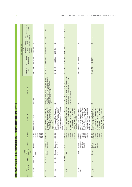|                                                                                        |                      | Preliminary CVD<br>imposed                                               |                                                                         | 6.5%                                                                                                                                                                                         |                                                                                                                                                                                              | €237/tonne                                                                                                                                                                                                                                                                               |                                                                                                                                                                                                                                                                                          |                                                                                                                                                                                                                                                                                       |
|----------------------------------------------------------------------------------------|----------------------|--------------------------------------------------------------------------|-------------------------------------------------------------------------|----------------------------------------------------------------------------------------------------------------------------------------------------------------------------------------------|----------------------------------------------------------------------------------------------------------------------------------------------------------------------------------------------|------------------------------------------------------------------------------------------------------------------------------------------------------------------------------------------------------------------------------------------------------------------------------------------|------------------------------------------------------------------------------------------------------------------------------------------------------------------------------------------------------------------------------------------------------------------------------------------|---------------------------------------------------------------------------------------------------------------------------------------------------------------------------------------------------------------------------------------------------------------------------------------|
|                                                                                        |                      | measure<br>of CVD<br>Type                                                |                                                                         | AVD                                                                                                                                                                                          |                                                                                                                                                                                              | SD <sub>3</sub>                                                                                                                                                                                                                                                                          |                                                                                                                                                                                                                                                                                          |                                                                                                                                                                                                                                                                                       |
|                                                                                        |                      | decision<br>Subsidy<br>/ injury                                          | ⋖                                                                       | $\prec$                                                                                                                                                                                      | $\infty$                                                                                                                                                                                     | $\prec$                                                                                                                                                                                                                                                                                  | $\infty$                                                                                                                                                                                                                                                                                 | $\infty$                                                                                                                                                                                                                                                                              |
|                                                                                        | Preliminary decision | preliminary<br>and injury<br>decision <sup>c</sup><br>subsidy<br>Date of | 10/18/2010                                                              | 09/16/2013                                                                                                                                                                                   | 24/01/2014                                                                                                                                                                                   | 03/11/2009                                                                                                                                                                                                                                                                               |                                                                                                                                                                                                                                                                                          |                                                                                                                                                                                                                                                                                       |
|                                                                                        |                      | Date of initiation<br>of investigation                                   | 06/22/2010                                                              | 07/20/2012                                                                                                                                                                                   | 11/01/2012                                                                                                                                                                                   | 06/13/2008                                                                                                                                                                                                                                                                               | 08/12/2010                                                                                                                                                                                                                                                                               | 08/12/2010                                                                                                                                                                                                                                                                            |
|                                                                                        |                      | Related AD<br>case <sup>a</sup>                                          | AUS-AD-493                                                              | <b>CHN-AD-199</b>                                                                                                                                                                            | CHN-AD-203                                                                                                                                                                                   | EUN-AD-683                                                                                                                                                                                                                                                                               | EUN-AD-683                                                                                                                                                                                                                                                                               | EUN-AD-683                                                                                                                                                                                                                                                                            |
|                                                                                        |                      | Foreign firms                                                            | All exporters                                                           | Grade Silicon LLC, REC Advanced Silicon Materials<br>Hemlock Semiconductor Corporation, REC Solar<br>LLC, MEMC Pasadena, Inc., AE Polysilicon<br>Corporation, all other exporters            |                                                                                                                                                                                              | Imperium Renewables Inc., Archer Daniels Midland<br>Company, World Energy Alternatives LLC, Green<br>Peter Cremer North America LP, Cargill Inc.,<br>Earth Fuels of Houston LLC                                                                                                          | Ξ                                                                                                                                                                                                                                                                                        | $\overline{\ge}$                                                                                                                                                                                                                                                                      |
| Table A2. CVD measures in the renewable energy sector (preliminary decisions), 2008-12 |                      | Domestic firms                                                           | Biodiesel Producers Limited                                             | Development Co. Ltd., Jiangxi Saiwei LDK<br>China Silicon Corporation Ltd., Dago New<br>Photovoltaic Silicon Technology Co. Ltd.,<br>Jiangsu Zhongneng Silicon Technology<br>Energy Co. Ltd. | Development Co. Ltd., Jiangxi Saiwei LDK<br>China Silicon Corporation Ltd., Dago New<br>Photovoltaic Silicon Technology Co. Ltd.,<br>Jiangsu Zhongneng Silicon Technology<br>Energy Co. Ltd. | A. M. B. A, Diester Group, Diester Industries<br>Gmbh, Mannheim Bio Fuel Gmbh, Natural<br>SAS, Ecomotion Gmbh, Ecomotion Group,<br>Energy West Gmbh, Neochim Sa, Novaol<br>Gate Global Alternative Energy Germany<br>Biopetrol Industries AG, Daka Biodiesel<br>Austria Gmbh, Novaol Srl | Biopetrol Industries AG, Daka Biodiesel<br>A.M.B.A, Diester Group, Diester Industries<br>Gmbh, Mannheim Bio Fuel Gmbh, Natural<br>Gmbh, Ecomotion Group,<br>Energy West Gmbh, Neochim Sa, Novaol<br>Gate Global Alternative Energy Germany<br>Austria Gmbh, Novaol Srl<br>SAS, Ecomotion | A.M.B.A, Diester Group, Diester Industries<br>Gmbh, Mannheim Bio Fuel Gmbh, Natural<br>SAS, Ecomotion Gmbh, Ecomotion Group,<br>Energy West Gmbh, Neochim Sa, Novaol<br>Gate Global Alternative Energy Germany<br>Biopetrol Industries AG, Daka Biodiesel<br>Austria Gmbh, Novaol Srl |
|                                                                                        |                      | HTS codes <sup>b</sup>                                                   | 38249020,<br>27101180,<br>27109180,<br>27101980<br>27109980<br>38249030 | 28046190                                                                                                                                                                                     | 28046190                                                                                                                                                                                     | 15162098,<br>38249091<br>38249097<br>27101941<br>15180091,                                                                                                                                                                                                                               | 38249091,<br>15162098,<br>38249097<br>27101941<br>15180091,<br>15180099                                                                                                                                                                                                                  | 15162098,<br>38249091<br>38249097<br>27101941<br>15180091,<br>15180099                                                                                                                                                                                                                |
|                                                                                        |                      | Product                                                                  | Biodiesel                                                               | Solar grade<br>polysilicon                                                                                                                                                                   | Solar grade<br>polysilicon                                                                                                                                                                   | Biodiesel                                                                                                                                                                                                                                                                                | circumven-<br>ion of US<br>Biodiesel<br>imports)                                                                                                                                                                                                                                         | (circumven-<br>tion of US<br><b>Biodiesel</b><br>imports)                                                                                                                                                                                                                             |
|                                                                                        |                      | investiga-<br>Country<br>under<br>tion                                   | United<br><b>States</b>                                                 | <b>States</b><br>United                                                                                                                                                                      | European<br>Union                                                                                                                                                                            | United<br>States                                                                                                                                                                                                                                                                         | Canada                                                                                                                                                                                                                                                                                   | Singapore                                                                                                                                                                                                                                                                             |
|                                                                                        |                      | Case ID <sup>a</sup>                                                     | AUS-CVD-13                                                              | CHN-CVD-5                                                                                                                                                                                    | CHN-CVD-6                                                                                                                                                                                    | EUN-CVD-61                                                                                                                                                                                                                                                                               | n.a.                                                                                                                                                                                                                                                                                     | n.a.                                                                                                                                                                                                                                                                                  |
|                                                                                        |                      | ant country<br>Complain-                                                 | Australia                                                               | China                                                                                                                                                                                        | China                                                                                                                                                                                        | European<br>Union                                                                                                                                                                                                                                                                        | European<br>Union                                                                                                                                                                                                                                                                        | European<br>Union                                                                                                                                                                                                                                                                     |
|                                                                                        |                      | Case                                                                     | $\overline{ }$                                                          | $\sim$                                                                                                                                                                                       | S                                                                                                                                                                                            | 4                                                                                                                                                                                                                                                                                        | 5                                                                                                                                                                                                                                                                                        | 6                                                                                                                                                                                                                                                                                     |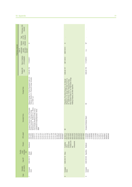|                      | Preliminary CVD<br>imposed                                               |                                                                                                                                                                                                                                             |                                                                                                                                                                                                                                               |                                                                                                                                                                     |
|----------------------|--------------------------------------------------------------------------|---------------------------------------------------------------------------------------------------------------------------------------------------------------------------------------------------------------------------------------------|-----------------------------------------------------------------------------------------------------------------------------------------------------------------------------------------------------------------------------------------------|---------------------------------------------------------------------------------------------------------------------------------------------------------------------|
|                      | measure<br>of CVD<br>Type                                                |                                                                                                                                                                                                                                             |                                                                                                                                                                                                                                               |                                                                                                                                                                     |
|                      | decision<br>Subsidy<br>/ injury                                          | $\!\! \simeq$                                                                                                                                                                                                                               | $\infty$                                                                                                                                                                                                                                      | $\geq$                                                                                                                                                              |
| Preliminary decision | preliminary<br>and injury<br>decision <sup>c</sup><br>subsidy<br>Date of |                                                                                                                                                                                                                                             | 08/07/2013                                                                                                                                                                                                                                    | n.a.                                                                                                                                                                |
|                      | Date of initiation<br>of investigation                                   | 11/25/2011                                                                                                                                                                                                                                  | 08/11/2012                                                                                                                                                                                                                                    | 11/10/2012                                                                                                                                                          |
|                      | Related AD<br>case <sup>a</sup>                                          | EUN-AD-733                                                                                                                                                                                                                                  | <b>EUN-AD-747</b>                                                                                                                                                                                                                             | EUN-AD-745                                                                                                                                                          |
|                      | Foreign firms                                                            | Marquis Energy LLC, Patriot Renewable Fuels LLC,<br>Platinum Ethanol LLC, Plymouth Energy Company<br>LLC, POET LLC                                                                                                                          | Wuxi Suntech Power Co. Ltd, Yingii Green Energy<br>(Wujiang) Co. Ltd, Jiangxi LDK Solar Hi-Tech Co.<br>Changzhou Trina Solar Energy Co. Ltd, Delsolar<br>Ltd, JingAo Group, Jinzhou Yangguang Energy,<br>Holding Company, all other exporters | $\overline{\ge}$                                                                                                                                                    |
|                      | Domestic firms                                                           | European Producers Union of Renewable<br>Netherlands B.V., BioWanze S.A., Wanze;<br>Crop Energies Bioethanol GmbH, Ensus,<br>Lantmännen Energi/Agroetanol, Tereos<br>BENP<br>Ethanol Association; Abengoa Energy                            | $\equiv$                                                                                                                                                                                                                                      | European Biodiesel Board                                                                                                                                            |
|                      | HTS codes <sup>b</sup>                                                   | 27101131,<br>22071000,<br>27101121,<br>27101125,<br>27101141,<br>27101145,<br>27101149,<br>27101151,<br>27101170,<br>27101190<br>38140010,<br>38200000,<br>22072000<br>22089099<br>27101115<br>27101159<br>38140090<br>27101111<br>38249097 | 38180010,<br>85013100<br>85013200<br>85013300,<br>85013400<br>85016120<br>85016180<br>85016200<br>85016300<br>85016400<br>85414090                                                                                                            | 15162098,<br>15180091,<br>27101943,<br>27101946,<br>27101947,<br>27102017,<br>15180095,<br>15180099,<br>27102011,<br>27102015,<br>38249097,<br>38260010<br>38260090 |
|                      | Product                                                                  | Bioethanol                                                                                                                                                                                                                                  | modules and<br>components<br>photovoltaic<br>Crystalline<br>silicon<br>key                                                                                                                                                                    | Biodiesel                                                                                                                                                           |
|                      | investiga-<br>Country<br>under<br>tion                                   | United<br>States                                                                                                                                                                                                                            | China                                                                                                                                                                                                                                         |                                                                                                                                                                     |
|                      | Case ID <sup>a</sup>                                                     | EUN-CVD-75                                                                                                                                                                                                                                  | EUN-CVD-79                                                                                                                                                                                                                                    | EUN-CVD-80 Argentina                                                                                                                                                |
|                      | ant country<br>Complain-                                                 | European<br>Union                                                                                                                                                                                                                           | European<br>Union                                                                                                                                                                                                                             | European<br>Union                                                                                                                                                   |
|                      | Case                                                                     | $\sim$                                                                                                                                                                                                                                      | ${}^{\circ}$                                                                                                                                                                                                                                  | $\circ$                                                                                                                                                             |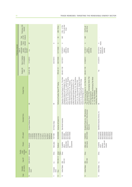|                      | Preliminary CVD<br>imposed                                               |                                                                                                                                                                     |                   | US\$ 178/ton                              | $2.9\% - 4.73\%$ ;<br>3.61% (all other<br>firms)                                                                                                                                                                                                                                                                                                                                                                                                                                                                                                                                                | 19.87% (all<br>other firms)                                                                                                                                                                                                                                                           |                                                                                                                   |
|----------------------|--------------------------------------------------------------------------|---------------------------------------------------------------------------------------------------------------------------------------------------------------------|-------------------|-------------------------------------------|-------------------------------------------------------------------------------------------------------------------------------------------------------------------------------------------------------------------------------------------------------------------------------------------------------------------------------------------------------------------------------------------------------------------------------------------------------------------------------------------------------------------------------------------------------------------------------------------------|---------------------------------------------------------------------------------------------------------------------------------------------------------------------------------------------------------------------------------------------------------------------------------------|-------------------------------------------------------------------------------------------------------------------|
|                      |                                                                          |                                                                                                                                                                     |                   |                                           |                                                                                                                                                                                                                                                                                                                                                                                                                                                                                                                                                                                                 |                                                                                                                                                                                                                                                                                       |                                                                                                                   |
|                      | measure<br>of CVD<br>Type                                                |                                                                                                                                                                     |                   | SD                                        | $\mathbb{R}$                                                                                                                                                                                                                                                                                                                                                                                                                                                                                                                                                                                    | <b>AVD</b>                                                                                                                                                                                                                                                                            |                                                                                                                   |
|                      | decision<br>Subsidy<br>/ injury                                          | $\mathbb{R}^d$                                                                                                                                                      | $\infty$          | $\prec$                                   | $\prec$                                                                                                                                                                                                                                                                                                                                                                                                                                                                                                                                                                                         | $\prec$                                                                                                                                                                                                                                                                               | (injury)<br>$\prec$                                                                                               |
| Preliminary decision | preliminary<br>and injury<br>decision <sup>c</sup><br>subsidy<br>Date of | n.a.                                                                                                                                                                |                   | 12/17/2009                                | 12/16/2011<br>3/26/2012<br>(subsidy)<br>(injury);                                                                                                                                                                                                                                                                                                                                                                                                                                                                                                                                               | 2/17/2012<br>6/06/2012<br>(subsidy)<br>(injury);                                                                                                                                                                                                                                      | 02/14/2014<br>03/26/2014<br>(injury); est.<br>(subsidy)                                                           |
|                      | Date of initiation<br>of investigation                                   | 11/10/2012                                                                                                                                                          | 04/27/2013        | 08/27/2009                                | 10/27/2011                                                                                                                                                                                                                                                                                                                                                                                                                                                                                                                                                                                      | 01/06/2012                                                                                                                                                                                                                                                                            | 01/22/2014                                                                                                        |
|                      | Related AD<br>case <sup>a</sup>                                          | EUN-AD-746                                                                                                                                                          | ×                 | <b>PER-AD-121</b>                         | USA-AD-1190                                                                                                                                                                                                                                                                                                                                                                                                                                                                                                                                                                                     | USA-AD-1195                                                                                                                                                                                                                                                                           | Yes                                                                                                               |
|                      | Foreign firms                                                            | $\overline{\Xi}$                                                                                                                                                    | ₹                 | Refinería la Pampilla, Repsol YPF Trading | International Incubator Co. Ltd., Yangzhou Suntech<br>Changzhou Trina Solar Energy Co. Ltd., Trina Solar<br>Power Co. Ltd., Suntech Power Co. Ltd., Yangzhou<br>Shenzhen Suntech Power Co. Ltd., Wuxi Sunshine<br>Wuxi Suntech Power Co. Ltd., Luoyang Suntech<br>Power Co. Ltd., Zhenjiang Rietech New Energy<br>Huantai Silicon Science & Technology Co. Ltd.,<br>Kuttler Automation Systems (Suzhou) Co. Ltd.,<br>(Changzhou) Science and Technology Co. Ltd.,<br>Power Co. Ltd., Wuxi University Science Park<br>Rietech Renewal Energy Co. Ltd., Zhenjiang<br>Science & Technology Co. Ltd | Products Co. Ltd. (Titan Lianyungang), Baotou Titan<br>"Titan Wind Energy (Suzhou) Co., Ltd. (Titan Wind),<br>Co., Ltd. (Titan Baotou), and Shenyang Titan Metal<br>collectively, Titan Companies)"<br>Co., Ltd. (Titan Shenyang)<br>Titan Lianyungang Metal<br>Wind Energy Equipment | $\overline{\Sigma}$                                                                                               |
|                      | Domestic firms                                                           | European Biodiesel Board                                                                                                                                            | EU ProSun Glass   | Industrias del Espino S.A.                | Solar World Industries                                                                                                                                                                                                                                                                                                                                                                                                                                                                                                                                                                          | Broadwind Towers Inc., DMI Industries,<br>Katana Summit LLC, Trinity Structural<br>Towers Inc.                                                                                                                                                                                        | SolarWorld Industries America, Inc.                                                                               |
|                      | HTS codes <sup>b</sup>                                                   | 15162098,<br>27101943,<br>27101946,<br>27101947,<br>27102011,<br>27102015,<br>27102017,<br>15180091,<br>15180095,<br>15180099,<br>38260010,<br>38249097<br>38260090 | 70071980          | 3824909999                                | 8501610000,<br>8541406020,<br>8541406030<br>8501318000<br>85072080,                                                                                                                                                                                                                                                                                                                                                                                                                                                                                                                             | 8502310000<br>73082000,                                                                                                                                                                                                                                                               | 8501610000,<br>8507208040,<br>8507208060,<br>8507208090,<br>8541406020,<br>8507208030<br>8541406030<br>8501318000 |
|                      | Product                                                                  | <b>Biodiesel</b>                                                                                                                                                    | Solar glass       | <b>Biodiesel</b>                          | modules and<br>photovoltaic<br>components<br>Crystalline<br>silicon<br>key                                                                                                                                                                                                                                                                                                                                                                                                                                                                                                                      | wind towers<br>Utility scale                                                                                                                                                                                                                                                          | taic cells and<br>Crystalline<br>photovol-<br>modules<br>silicon                                                  |
|                      | investiga-<br>Country<br>under<br>tion                                   |                                                                                                                                                                     | China             | United<br><b>States</b>                   | China                                                                                                                                                                                                                                                                                                                                                                                                                                                                                                                                                                                           | China                                                                                                                                                                                                                                                                                 | China                                                                                                             |
|                      | Case ID <sup>a</sup>                                                     | EUN-CVD-81 Indonesia                                                                                                                                                | n.a.              | PER-CVD-13                                | CVD-551<br>USA-                                                                                                                                                                                                                                                                                                                                                                                                                                                                                                                                                                                 | $CVD-556$<br>USA-                                                                                                                                                                                                                                                                     |                                                                                                                   |
|                      | ant country<br>Complain-                                                 | European<br>Union                                                                                                                                                   | European<br>Union | Peru                                      | United States                                                                                                                                                                                                                                                                                                                                                                                                                                                                                                                                                                                   | <b>United States</b>                                                                                                                                                                                                                                                                  | United States n.a.                                                                                                |
|                      | Case                                                                     | $\supseteq$                                                                                                                                                         | Ξ                 | $\frac{2}{3}$                             | $\frac{1}{2}$                                                                                                                                                                                                                                                                                                                                                                                                                                                                                                                                                                                   | $\overline{14}$                                                                                                                                                                                                                                                                       | $\frac{5}{1}$                                                                                                     |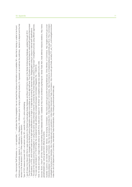HTS - Hermoreed Faff Schedule; n.a. – not applicable; " – indicate that the mesiglation has not end that phases on intendentions of the symbol of the symbol of the symbol of the symbol of the symbol of the symbol of the sy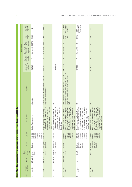|                                                                                    |                | Final CVD<br>imposed                                    | ₹                                                                      | 2.1%                                                                                                                                                                                         |                                                                                                                                                                                              | (all other firms)<br>€237/ tonne<br>or 36% AVD <sup>e</sup>                                                                                                                                                                                                                           | (all other firms)<br>€237/ tonne<br>or 36% AVD <sup>e</sup>                                                                                                                                                                                                                            | n.a.                                                                                                                                                                                                                                                                                  |
|------------------------------------------------------------------------------------|----------------|---------------------------------------------------------|------------------------------------------------------------------------|----------------------------------------------------------------------------------------------------------------------------------------------------------------------------------------------|----------------------------------------------------------------------------------------------------------------------------------------------------------------------------------------------|---------------------------------------------------------------------------------------------------------------------------------------------------------------------------------------------------------------------------------------------------------------------------------------|----------------------------------------------------------------------------------------------------------------------------------------------------------------------------------------------------------------------------------------------------------------------------------------|---------------------------------------------------------------------------------------------------------------------------------------------------------------------------------------------------------------------------------------------------------------------------------------|
|                                                                                    |                | margin<br>Final                                         | 55.0%                                                                  | $\overline{\geq}$                                                                                                                                                                            |                                                                                                                                                                                              | 29% -<br>41%;<br>36%                                                                                                                                                                                                                                                                  | 36.0%                                                                                                                                                                                                                                                                                  | n.a.                                                                                                                                                                                                                                                                                  |
|                                                                                    |                | measure<br>of CVD<br>Type                               |                                                                        | <b>AVD</b>                                                                                                                                                                                   |                                                                                                                                                                                              | $\rm S$                                                                                                                                                                                                                                                                               | S                                                                                                                                                                                                                                                                                      | n.a.                                                                                                                                                                                                                                                                                  |
|                                                                                    | Final decision | Date of CVD<br>measure<br>imposed                       | 04/18/2011 SD/DPU                                                      | 01/20/2014                                                                                                                                                                                   |                                                                                                                                                                                              | 07/10/2009                                                                                                                                                                                                                                                                            | 05/12/2011                                                                                                                                                                                                                                                                             | n.a.                                                                                                                                                                                                                                                                                  |
|                                                                                    |                | sidy/injury<br>Final sub-<br>decision                   | $\prec$                                                                | $\prec$                                                                                                                                                                                      |                                                                                                                                                                                              | $\prec$                                                                                                                                                                                                                                                                               | $\prec$                                                                                                                                                                                                                                                                                | $\geq$                                                                                                                                                                                                                                                                                |
|                                                                                    |                | yubidy/injury<br>Date of final<br>decision <sup>c</sup> | 12/22/2010                                                             | 01/20/2014                                                                                                                                                                                   | 5/01/2014 <sup>d</sup><br>Est.                                                                                                                                                               | 07/10/2009                                                                                                                                                                                                                                                                            | 05/11/2011                                                                                                                                                                                                                                                                             | 05/11/2011                                                                                                                                                                                                                                                                            |
|                                                                                    |                | Foreign firms                                           | All exporters                                                          | Hemlock Semiconductor Corporation, AE Polysilicon<br>Corporation, all other exporters                                                                                                        | $\overline{\ge}$                                                                                                                                                                             | Renewables Inc., Archer Daniels Midland Company, World<br>Peter Cremer North America LP, Cargill Inc., Imperium<br>Energy Alternatives LLC, Green Earth Fuels of Houston<br>LLC                                                                                                       | Σ                                                                                                                                                                                                                                                                                      | $\overline{\geq}$                                                                                                                                                                                                                                                                     |
| Table A2.1. CVD measures in the renewable energy sector (final decisions), 2008-12 |                | Domestic firms                                          | <b>Biodiesel Producers Limited</b>                                     | Development Co. Ltd., Jiangxi Saiwei LDK<br>China Silicon Corporation Ltd., Dago New<br>Photovoltaic Silicon Technology Co. Ltd.,<br>Jiangsu Zhongneng Silicon Technology<br>Energy Co. Ltd. | Development Co. Ltd., Jiangxi Saiwei LDK<br>China Silicon Corporation Ltd., Dago New<br>Photovoltaic Silicon Technology Co. Ltd.,<br>Jiangsu Zhongneng Silicon Technology<br>Energy Co. Ltd. | A.M.B.A, Diester Group, Diester Industries<br>Gmbh, Mannheim Bio Fuel Gmbh, Natural<br>SAS, Ecomotion Gmbh, Ecomotion Group,<br>Energy West Gmbh, Neochim Sa, Novaol<br>Gate Global Alternative Energy Germany<br>Biopetrol Industries AG, Daka Biodiesel<br>Austria Gmbh, Novaol Srl | A. M.B.A, Diester Group, Diester Industries<br>3mbh, Mannheim Bio Fuel Gmbh, Natural<br>SAS, Ecomotion Gmbh, Ecomotion Group,<br>Energy West Gmbh, Neochim Sa, Novaol<br>Gate Global Alternative Energy Germany<br>Biopetrol Industries AG, Daka Biodiesel<br>Austria Gmbh, Novaol Srl | A.M.B.A, Diester Group, Diester Industries<br>Gmbh, Mannheim Bio Fuel Gmbh, Natural<br>SAS, Ecomotion Gmbh, Ecomotion Group,<br>Energy West Gmbh, Neochim Sa, Novaol<br>Gate Global Alternative Energy Germany<br>Biopetrol Industries AG, Daka Biodiesel<br>Austria Gmbh, Novaol Srl |
|                                                                                    |                | HTS codes <sup>b</sup>                                  | 27109180,<br>27109980,<br>38249020<br>27101980<br>38249030<br>27101180 | 28046190                                                                                                                                                                                     | 28046190                                                                                                                                                                                     | 38249097<br>15162098,<br>27101941<br>15180091,<br>38249091                                                                                                                                                                                                                            | 38249091,<br>15162098<br>15180091,<br>38249097<br>27101941                                                                                                                                                                                                                             | 15162098,<br>38249091<br>27101941<br>15180099<br>38249097<br>15180091                                                                                                                                                                                                                 |
|                                                                                    |                | Product                                                 | Biodiesel                                                              | Solar grade<br>polysilicon                                                                                                                                                                   | Solar grade<br>polysilicon                                                                                                                                                                   | Biodiesel                                                                                                                                                                                                                                                                             | (circumven-<br>tion of US<br>Biodiesel<br>imports)                                                                                                                                                                                                                                     | (circumven<br>tion of US<br><b>Biodiesel</b><br>imports)                                                                                                                                                                                                                              |
|                                                                                    |                | investiga-<br>Country<br>under<br>tion                  | United<br>States                                                       | United<br><b>States</b>                                                                                                                                                                      | European<br>Union                                                                                                                                                                            | United<br><b>States</b>                                                                                                                                                                                                                                                               | Canada                                                                                                                                                                                                                                                                                 | Singapore                                                                                                                                                                                                                                                                             |
|                                                                                    |                | Case 1D <sup>a</sup>                                    | AUS-CVD-13                                                             | CHN-CVD-5                                                                                                                                                                                    | CHN-CVD-6                                                                                                                                                                                    | EUN-CVD-61                                                                                                                                                                                                                                                                            | n.a.                                                                                                                                                                                                                                                                                   | n.a.                                                                                                                                                                                                                                                                                  |
|                                                                                    |                | ant country<br>Complain-                                | Australia                                                              | China                                                                                                                                                                                        | China                                                                                                                                                                                        | European<br>Union                                                                                                                                                                                                                                                                     | European<br>Union                                                                                                                                                                                                                                                                      | European<br>Union                                                                                                                                                                                                                                                                     |
|                                                                                    |                | Case                                                    |                                                                        | 2                                                                                                                                                                                            | S                                                                                                                                                                                            | 4                                                                                                                                                                                                                                                                                     | 5                                                                                                                                                                                                                                                                                      | 6                                                                                                                                                                                                                                                                                     |

32 **TRADE REMEDIES: TARGETING THE RENEWABLE ENERGY SECTOR**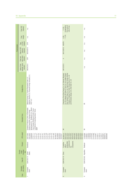| Domestic firms<br>HTS codes <sup>b</sup><br>Product<br>investiga-<br>Country<br>under<br>tion<br>Case ID <sup>a</sup>                                                                                                                                                                                                                                                                                                                                                                              |                      | ant country<br>Complain- |
|----------------------------------------------------------------------------------------------------------------------------------------------------------------------------------------------------------------------------------------------------------------------------------------------------------------------------------------------------------------------------------------------------------------------------------------------------------------------------------------------------|----------------------|--------------------------|
| European Producers Union of Renewable<br>Netherlands B.V., BioWanze S.A., Wanze;<br>Crop Energies Bioethanol GmbH, Ensus,<br>Lantmännen Energi/Agroetanol, Tereos<br>Ethanol Association; Abengoa Energy<br><b>BENP</b><br>27101115,<br>27101125,<br>27101141,<br>22071000<br>22072000<br>27101111<br>27101121<br>27101131,<br>27101145<br>27101149<br>27101151<br>27101159<br>27101170<br>27101190<br>38140010<br>38200000,<br>22089099<br>38140090<br>38249097<br>Bioethanol<br>United<br>States | EUN-CVD-75           | European                 |
| $\equiv$<br>38180010,<br>85013100<br>85013200,<br>85013300<br>85013400<br>85016120<br>85016200<br>85016300<br>85016400<br>85016180<br>85414090<br>modules and<br>components<br>photovoltaic<br>Crystalline<br>silicon<br>key<br>China                                                                                                                                                                                                                                                              | EUN-CVD-79           | European<br>Union        |
| $\overline{\geq}$<br>27101947,<br>38249097,<br>27101943,<br>27101946,<br>27102015,<br>27102017,<br>38260010,<br>15162098<br>15180091,<br>15180095,<br>15180099<br>27102011,<br>38260090<br>Biodiesel                                                                                                                                                                                                                                                                                               | EUN-CVD-80 Argentina | European<br>Union        |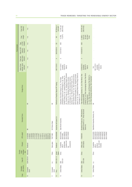|                          | Final CVD<br>imposed                                    | n.a.                                                                                                                                                           |                           | \$178/ton or<br>24% AVE <sup>9</sup>      | 15.24% (all<br>other firms)                                                                                                                                                                                                                                                                                                                                                                                                                                                                                                                                                                 | 28.34% (all<br>other firms)                                                                                                                                                                                                                                                         |                                                                                                                |
|--------------------------|---------------------------------------------------------|----------------------------------------------------------------------------------------------------------------------------------------------------------------|---------------------------|-------------------------------------------|---------------------------------------------------------------------------------------------------------------------------------------------------------------------------------------------------------------------------------------------------------------------------------------------------------------------------------------------------------------------------------------------------------------------------------------------------------------------------------------------------------------------------------------------------------------------------------------------|-------------------------------------------------------------------------------------------------------------------------------------------------------------------------------------------------------------------------------------------------------------------------------------|----------------------------------------------------------------------------------------------------------------|
|                          | margin<br>Final                                         | n.a.                                                                                                                                                           |                           | Ξ                                         | $-15.97%$<br>14.78%                                                                                                                                                                                                                                                                                                                                                                                                                                                                                                                                                                         | $21.86\%$ -<br>34.81%;<br>28.34%<br>(all other<br>firms)                                                                                                                                                                                                                            |                                                                                                                |
|                          | measure<br>of CVD<br>Type                               | n.a.                                                                                                                                                           |                           | S                                         | AVD                                                                                                                                                                                                                                                                                                                                                                                                                                                                                                                                                                                         | AVD                                                                                                                                                                                                                                                                                 |                                                                                                                |
| Final decision           | Date of CVD<br>measure<br>imposed                       | n.a.                                                                                                                                                           |                           | 08/23/2010                                | 12/07/2012                                                                                                                                                                                                                                                                                                                                                                                                                                                                                                                                                                                  | 15/02/2013                                                                                                                                                                                                                                                                          |                                                                                                                |
|                          | sidy/injury<br>Final sub-<br>decision                   | n.a.                                                                                                                                                           |                           | $\prec$                                   | $\prec$                                                                                                                                                                                                                                                                                                                                                                                                                                                                                                                                                                                     | $\prec$                                                                                                                                                                                                                                                                             |                                                                                                                |
|                          | yubidy/injury<br>Date of final<br>decision <sup>c</sup> | n.a.                                                                                                                                                           |                           | 08/17/2010                                | 10/17/2012<br>12/6/2012<br>(subsidy);<br>(injury)                                                                                                                                                                                                                                                                                                                                                                                                                                                                                                                                           | 12/26/2012<br>2/8/2014<br>$(subsidy)$ ;<br>(injury)                                                                                                                                                                                                                                 | 07/28/2014<br>06/11/2014<br>(subsidy);<br>(injury)<br>isi                                                      |
|                          | Foreign firms                                           | $\overline{\geq}$                                                                                                                                              | $\overline{\overline{z}}$ | Refinería la Pampilla, Repsol YPF Trading | Power Co. Ltd., Zhenjiang Rietech New Energy Science &<br>Ltd., Suntech Power Co. Ltd., Yangzhou Rietech Renewal<br>Park International Incubator Co. Ltd., Yangzhou Suntech<br>Wuxi Sunshine Power Co. Ltd., Wuxi University Science<br>Suntech Power Co. Ltd., Luoyang Suntech Power Co.<br>Suzhou) Co. Ltd., Shenzhen Suntech Power Co. Ltd.,<br>(Changzhou) Science and Technology Co. Ltd., Wuxi<br>& Technology Co. Ltd., Kuttler Automation Systems<br>Energy Co. Ltd., Zhenjiang Huantai Silicon Science<br>Changzhou Trina Solar Energy Co. Ltd., Trina Solar<br>Technology Co. Ltd | Products Co. Ltd. (Titan Lianyungang), Baotou Titan Wind<br>"Titan Wind Energy (Suzhou) Co., Ltd. (Titan Wind), Titan<br>Co., Ltd. (Titan Baotou), and Shenyang Titan Metal Co.,<br>Ltd. (Titan Shenyang) (collectively, Titan Companies)"<br>Lianyungang Metal<br>Energy Equipment | 亖                                                                                                              |
|                          | Domestic firms                                          | $\overline{\ge}$                                                                                                                                               | EU ProSun Glass           | Industrias del Espino S.A.                | Solar World Industries                                                                                                                                                                                                                                                                                                                                                                                                                                                                                                                                                                      | Broadwind Towers Inc., DMI Industries,<br>Katana Summit LLC, Trinity Structural<br>Towers Inc.                                                                                                                                                                                      | SolarWorld Industries America, Inc.                                                                            |
|                          | HTS codes <sup>b</sup>                                  | 27101943,<br>27101946,<br>27102011,<br>27101947,<br>27102015,<br>38260010,<br>15162098<br>15180095<br>15180099<br>27102017<br>38249097<br>15180091<br>38260090 | 70071980                  | 3824909999                                | 8501610000,<br>8541406030,<br>8541406020,<br>8501318000<br>85072080,                                                                                                                                                                                                                                                                                                                                                                                                                                                                                                                        | 73082000                                                                                                                                                                                                                                                                            | 8501610000,<br>8541406030,<br>8507208040<br>8541406020<br>8501318000<br>8507208030<br>8507208060<br>8507208090 |
|                          | Product                                                 | <b>Biodiesel</b>                                                                                                                                               | Solar glass               | Biodiesel                                 | modules and<br>photovoltaic<br>components<br>Crystalline<br>silicon<br>key                                                                                                                                                                                                                                                                                                                                                                                                                                                                                                                  | wind towers<br>Utility scale                                                                                                                                                                                                                                                        | taic cells and<br>Crystalline<br>photovol-<br>modules<br>silicon                                               |
|                          | investiga-<br>Country<br>under<br>tion                  |                                                                                                                                                                | China                     | United<br>States                          | China                                                                                                                                                                                                                                                                                                                                                                                                                                                                                                                                                                                       | China                                                                                                                                                                                                                                                                               | China                                                                                                          |
|                          | Case ID <sup>a</sup>                                    | EUN-CVD-81 Indonesia                                                                                                                                           | n.a.                      | PER-CVD-13                                | $CVD-551$<br>USA-                                                                                                                                                                                                                                                                                                                                                                                                                                                                                                                                                                           | CVD-556<br>USA-                                                                                                                                                                                                                                                                     |                                                                                                                |
| ant country<br>Complain- |                                                         | European<br>Union                                                                                                                                              | European<br>Union         | Peru                                      | <b>United States</b>                                                                                                                                                                                                                                                                                                                                                                                                                                                                                                                                                                        | <b>United States</b>                                                                                                                                                                                                                                                                | United States n.a.                                                                                             |
| Case                     |                                                         | $\supseteq$                                                                                                                                                    | Ξ                         | $\tilde{c}$                               | $\frac{1}{2}$                                                                                                                                                                                                                                                                                                                                                                                                                                                                                                                                                                               | $\frac{4}{3}$                                                                                                                                                                                                                                                                       | $\frac{5}{1}$                                                                                                  |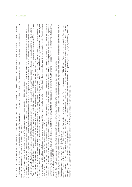- 
- 
- 
- HTS Hermannia (see the station of the stationary of the segmental particles in the station of stationary and the second of the second of the stationary of the stationary of the second of the stationary in the stationary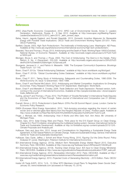#### **References**

- APEC (Asia-Pacific Economic Cooperation). 2012. APEC List of Environmental Goods, Annex C. Leaders Declaration, Vladivostok, Russia, 8 - 9 Sep 2012. Available at http://www.apec.org/Meeting-Papers/ LeadersDeclarations/2012/2012\_aelm/2012 \_aelm\_annexC.aspx.
- Bahar, Heymi, Jagoda Egeland, and Ronald Steenblik, 2013. Domestic Incentive Measures for Renewable Energy with Possible Trade Implications. OECD Trade and Environment Working Papers 2013/01. Paris: OECD Publishing.
- Barfield, Claude. 2003. High-Tech Protectionism: The Irrationality of Antidumping Laws. Washington: AEI Press. Available at http://www.aei.org/article/economics/international-economy/high-tech-protectionism/.
- Besedeš, Tibor and Thomas J. Prusa. 2013. Antidumping and the Death of Trade. Working Paper 19555 (October). National Bureau of Economic Research. Available at http://econweb.rutgers.edu/prusa/cv/57%20-%20 w19555.pdf.
- Blonigen, Bruce A. and Thomas J. Prusa. 2003. The Cost of Antidumping: The Devil is in the Details. Policy Reform 6, No. 4 (December): 233-245. Available at http://econweb.rutgers.edu/prusa/cv/29%20%20 devil%20in%20detals%20(blonigen,%20prusa).pdf.
- Bourgeois, Jacques H. J., and Patrick A. Messerlin. 1998. The European Community's Experience. Brookings Trade Forum: 127-145.
- Bown, Chad P. 2012a. "Global Antidumping Database," available at http://econ.worldbank.org/ttbd/gad/.
- Bown, Chad P. 2012b. "Global Countervailing Duties Database," available at http://econ.worldbank.org/ttbd/ gcvd/.
- Bown, Chad P. 2011. Taking Stock of Antidumping, Safeguards and Countervailing Duties, 1990-2009. The World Economy 34, Issue 12 (December): 1955–1998.
- Bown, Chad P. and Rachel McCulloch. 2012. Antidumping and Market Competition: Implications for Emerging Economies. Policy Research Working Paper 6197 (September). Washington: World Bank.
- Bown, Chad P. and Meredith A. Crowley. 2006. Trade Deflection and Trade Depression. Revised version, forthcoming in the Journal of International Economics. Available at http://people.brandeis.edu/~cbown/papers/ trade\_deflection.pdf.
- Durling, James P. and Thomas J. Prusa. 2012. The Problem of "Double Remedies" in International Trade Disputes and the Economics of Pass-Through. Tulane Journal of International and Comparative Law 21 (Winter): 513-544.
- Evenett, Simon J. 2013. Protectionism's Quiet Return: GTA's Pre-G8 Summit Report. (June). London: Center for Economic Policy Research.
- EWEA (European Wind Energy Association). 2012. "Anti-dumping procedure regarding the import of certain woven and or stitched glass fibre fabrics from the People's Republic of China," Position paper. Available at http://www.vindkraft.no/Files/Filer/AD%20576%20EWEA%20position%209%2001%2012.pdf.
- Finger, J. Michael, ed. 1993. Antidumping: How It Works and Who Gets Hurt. Ann Arbor, MI: University of Michigan Press.
- Horlick, Gary. 2013. Solar Energy Wars and Peace. Think piece for the E15 Expert Group on Clean Energy, Chapter 6 in The E15 initiative: strengthening the multilateral trading system. Geneva: International Centre for Trade and Sustainable Development. Available at http://e15initiative.org/wp-content/uploads/2013/12/6.- Climate-Proposals-and-Analysis.pdf.
- Hufbauer, Gary and Jisun Kim. 2012. Issues and Considerations for Negotiating a Sustainable Energy Trade Agreement. ICTSD Global Platform on Climate Change, Trade and Sustainable Energy. Geneva: International Centre for Trade and Sustainable Development.
- Hufbauer, Gary Clyde, Jeffrey J. Schott and Woan Foong Wong. 2010. Figuring Out the Doha Round. Policy Analyses 91 (June). Washington: Peterson Institute for International Economics.
- IEA (International Energy Agency). 2013a. Medium-Term Renewable Energy Market Report 2013, Executive Summary. Paris: OECD/IEA. Available at http://www.iea.org/Textbase/npsum/MTrenew2013SUM.pdf.
- IEA (International Energy Agency). 2013b. Tracking Clean Energy Input. IEA Input to Clean Energy Ministerial. Paris: OECD/IEA. Available at http://www.iea.org/publications/freepublications/publication/TCEP\_web.pdf.
- IEA (International Energy Agency). 2012. Renewables Information 2012. Paris: OECD/IEA. Available at http:// www.iea.org/media/training/presentations/statisticsmarch/RenewablesInformation.pdf.
- IEA (International Energy Agency). 2010. Projected Costs of Generating Electricity 2010 Edition. Paris: OECD/ IEA.
- Inside US Trade (IUST). 2014. "U.S., 13 Other WTO Members Unveil Plans To Negotiate Green Goods Deal," January 30, www.insidetrade.com (accessed on February 10, 2014).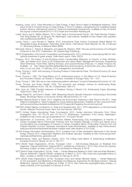- Kasteng, Jonas. 2013. Trade Remedies on Clean Energy: A New Trend in Need of Multilateral Initiatives, Think piece for the E15 Expert Group on Clean Energy. In The E15 initiative: strengthening the multilateral trading system. Geneva: International Centre for Trade and Sustainable Development. Available at http://e15initiative.org/wp-content/uploads/2013/11/E15-trade-and-innovation-Kasteng.pdf.
- Lester, Simon and K. William Watson. 2013. Free Trade in Environmental Goods: The Trade Remedy Problem. Free Trade Bulletin No. 54 (August 19). Washington: Cato Institute. Available at http://object.cato.org/sites/ cato.org/files/pubs/pdf/ftb54\_1.pdf.
- Levine, David J., and Pamela D. Walther. 2013. International Trade Actions Complicate Global Market For Renewable Energy Businesses, Particularly Solar Sector. International Trade Reporter 30, No. 8 February 21. Bloomberg Bureau of National Affairs (BNA).
- Mavroidis, Petros C., Patrick A. Messerlin, and Jasper M. Wauters. 2008. The Law and Economics of Contingent Protection in the WTO. Cheltenham, UK: Edward Elgar Publishing.
- OECD (Organization of Economic Cooperation and Development). 2013. Achieving a level playing field for international investment in green energy. Draft interim report. Paris: OECD.
- Prognos. 2013. The Impact of Anti-Dumping and/or Countervailing Measures on Imports of Solar Modules, Cells, and Wafers from China on EU Employment and Value Added. Management Summary. Prepared by Oliver Ehrentraut, Frank Peter, Sabrina Schmutz, and Leonard Krampe (February 11). Basel: Prognos AG. Available at http://afase.org/sites/default/files/docs/action/prognos\_employment\_and\_value\_added\_effects\_of\_ad\_cvd\_solar\_14\_february\_2013\_management\_summary.pdf.
- Prusa, Thomas J. 2005. Anti-dumping: A Growing Problem in International Trade. The World Economy 28, Issue 5: 683-700.
- Prusa, Thomas J. 1997. The Trade Effects of U.S. Antidumping Actions. In The Effects of U.S. Trade Protection and Promotion Policies, ed. Robert C. Feenstra. University of Chicago Press: 191 – 214.
- Prusa, Thomas J. 1992. Why are so many antidumping petitions withdrawn? Journal of International Economics 33: l-20.
- Prusa, Thomas, and Susan Skeath. 2002. The economic and strategic motives for antidumping filings. Weltwirtschaftliches Archiv 138, No. 3 (September): 389-413.
- Shin, Hyun Ja. 1998. Possible Instances of Predatory Pricing in Recent U.S. Antidumping Cases, Brookings Trade Forum 1998: 81-97
- Staiger, Robert W., and Frank A. Wolak. 1994. Measuring Industry-Specific Protection: Antidumping in the United States. Brookings Papers on Economic Activity. Microeconomics: 51-118.
- Swedish National Board of Trade. 2013. Targeting the Environment: Exploring a New Trend in the EU's Trade Defence Investigations. Report prepared by Jonas Kasteng (November). Available at http://www.kommers. se/Documents/dokumentarkiv/publikationer/2013/rapporter/Targeting-the-environment.pdf.
- UNCTAD (United Nations Conference on Trade and Development). 2011. WTO Negotiations on Environmental Goods: Selected Technical Issues. New York and Geneva: UNCTAD.
- USITC (United States International Trade Commission). 2010. Certain Aluminum Extrusions From China: Investigation Nos. 701-TA-475 and 731-TA-1177 (Preliminary). Publication 4153 (June). Washington. Available at http://www.usitc.gov/publications/701\_731/pub4153.pdf
- US Department of Commerce. 2014. Commerce Initiates Antidumping Duty Investigations of Imports of Certain Crystalline Silicon Photovoltaic Products from the People's Republic of China and Taiwan and a Countervailing Duty Investigation of Imports of Certain Crystalline Silicon Photovoltaic Products from the People's Republic of China. Factsheet, International Trade Administration. Available at http://enforcement. trade.gov/download/factsheets/factsheet-multiple-solar-cells-initiation-012313.pdf.
- US EIA (Energy Information Administration). 2013. Levelized Cost of New Generation Resources in the Annual Energy Outlook 2013. Independent Statistics and Analysis (January). Available at http://www.eia.gov/forecasts/aeo/pdf/electricity\_generation.pdf.
- Vandenbussche, Hylke, and Maurizio Zanardi. 2010. The chilling trade effects of antidumping proliferation. European Economic Review 54, No. 6: 760-777.
- WTO (World Trade Organization). 2014a. "European Union Anti-Dumping Measures on Biodiesel from Argentina," Dispute Settlement: Dispute DS473, updated as of February 7, 2014, http://www.wto.org/english/tratop\_e/dispu\_e/cases\_e/ds473\_e.htm (accessed on February 9, 2014).
- WTO (World Trade Organization). 2014b. "India Certain Measures Relating to Solar Cells and Solar Modules," Dispute Settlement: Dispute DS456, updated as of March 3, 2014, http://www.wto.org/english/tratop\_e/ dispu\_e/cases\_e /ds456\_e.htm (accessed on February 8, 2014).
- WTO (World Trade Organization). 2013a. "European Union and Certain Member States Certain Measures on the Importation and Marketing of Biodiesel and Measures Supporting the Biodiesel Industry," Dispute Settlement: Dispute DS459, updated as of May, 15 2013, http://www.wto.org/english/tratop\_e/dispu\_ e/ cases\_e/ds459\_e.htm (accessed on February 8, 2014).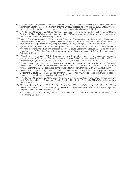- WTO (World Trade Organization). 2013b. "Canada Certain Measures Affecting the Renewable Energy Generation Sector," Dispute Settlement: Dispute DS412, updated as of August 8, 2013, http://www.wto. org/english/tratop\_e/dispu\_e/cases\_e/ds412\_e.htm (accessed on February 8, 2014).
- WTO (World Trade Organization). 2013c. "Canada—Measures Relating to the Feed-in Tariff Program," Dispute Settlement: Dispute DS426, updated as of August 8, 2013www.wto.org/english/tratop\_e/dispu\_e/cases\_e/ ds426\_e.htm (accessed on February 8, 2014).
- WTO (World Trade Organization). 2013d. "United States Countervailing and Anti-dumping Measures on Certain Products from China," Dispute Settlement: Dispute DS449, updated as of September 30, 2013, http://www.wto.org/english/tratop\_e/dispu\_e/cases\_e/ds449\_e.htm (accessed on February 9, 2014).
- WTO (World Trade Organization). 2012a. "European Union and certain Member States Certain Measures Affecting the Renewable Energy Generation Sector," Dispute Settlement: Dispute DS452, updated as of December 18, 2012, http://www.wto.org/english/tratop\_e/dispu\_e/cases\_e/ds452\_e.htm (accessed on February 4, 2014).
- WTO (World Trade Organization). 2012b. "European Union and a Member State Certain Measures Concerning the Importation of Biodiesels," Dispute Settlement: Dispute DS443, updated as of August 17, 2012 http:// www.wto.org/english/tratop\_e/dispu\_e/cases\_ e/ds443\_e.htm (accessed on February 17, 2014).
- WTO (World Trade Organization). 2011a. Annex II.A: Reference Universe of Environmental Goods: Official HS Descriptions. Committee on trade and environment in special session. TN/TE/20, Report by the Chairman, Ambassador Manuel A. J. Teehankee, to the Trade Negotiations Committee (April 21). Geneva: WTO.
- WTO (World Trade Organization). 2011b. "China Measures concerning wind power equipment," Dispute Settlement: Dispute DS419, updated as of March 11, 2011, http://www.wto.org/english/tratop\_e/dispu\_e/ cases\_ e/ds419\_e.htm (accessed on February 8, 2014).
- WTO (World Trade Organization). 2004. Calculations of ad valorem equivalents (AVEs): Data requirements and availability. Committee on Agriculture, Special Session, Note by the Secretariat TN/AG/S/115 (November). Geneva: WTO.
- Wu, Mark and James Salzman. 2013. The Next Generation of Trade and Environment Conflicts: The Rise of Green Industrial Policy. Draft paper (April). Available at http://www.law.harvard.edu/faculty/faculty-workshops/wu.faculty.workshop.spring-2013.pdf.
- Zanardi, Maurizio. 2004. Antidumping Law as a Collusive Device. The Canadian Journal of Economics 37, No. 1 (February): 95-122.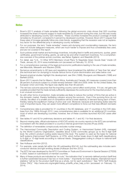### **Notes**

- 1 Bown's (2011) analysis of trade remedies following the global economic crisis shows that G20 countries increased the share of imports subject to trade remedies by 25 percent during the crisis, but this was mostly attributed to developing country G20 members. These countries increased the product coverage of trade remedies by 40 percent, compared to 5 percent by developed countries. However, Bown (2011) argues that these rates of increase generally follow pre-crisis trends, suggesting that the recession was not an explanatory factor for the differential jump in developing country remedies.
- 2 For our purposes, the term "trade remedies" means anti-dumping and countervailing measures; the term does not include safeguard measures, which are much harder to impose and thus considerably less used, and are not covered in this report.
- 3 Such policies entail market and technology incentives, including feed-in tariffs and premiums, quotas, green certificates, government funding, grants, as well as tax and other investment incentives. For a comprehensive overview of the policies across countries, see Bahar, Egeland, and Steenblik (2013).
- 4 For detail, see "U.S., 13 Other WTO Members Unveil Plans To Negotiate Green Goods Deal," Inside US Trade, January 30, 2014 www.insidetrade.com (accessed on February 10, 2014).
- 5 For a comprehensive overview of the legal and economic justifications leading to the use of trade remedies, see Mavroidis, Messerlin and Wauters (2008).
- 6 Numerous amendments to AD laws and regulations have broadened the definition of "less than fair value" (the technical term for dumping) to include various forms of price discrimination and sales below cost.
- 7 Several empirical studies highlight this development; see Shin (1998); Bourgeois and Messerlin (1998) and Barfield (2003).
- 8 Bown (2011) reports that for Mexico, South Africa, Australia and Canada, AD measures covered more than 98 percent of products subject to a trade remedy between 1990 and 2009; while for the United States, the European Union and India, this figure was slightly less than 90 percent.
- 9 The net loss outcome assumes that the importing country cannot affect world prices. If it can, net gains are possible provided that the trade remedy sufficiently depresses the world price for the imported product. This is an unusual occurrence.
- 10 As with other forms of protection, trade remedies are likely to reduce the number of firms that are active in the domestic market, thereby facilitating collusion among the survivors. Even if the surviving firms do not collude, the effect of a smaller pool of competitors will be a lower elasticity of demand facing each of them, thereby raising the equilibrium markup of price over cost. Moreover, because anti-dumping duties raise the cost of imported inputs, they can assist more-efficient competitors to force out their less-efficient domestic rivals.
- 11 Comprehensive data is provided for 31 countries in the AD database, and 17 countries in the CVD database from the 1980s through 2012. Less comprehensive data is available for an additional 20 countries, most of which are developing countries; however, few of these countries launched AD/CVD cases after 2008.
- 12 See tables A1 and A2 for preliminary decisions and tables A1.1 and A2.1 for final decisions.
- 13 Beyond missing data, official submissions of AD/CVD activity via country reports to the WTO are sometimes inconsistent with the detail provided in a country's internal government records (Prusa 2005).
- 14 The definition of renewables conspicuously excludes nuclear energy.
- 15 The Harmonized Commodity Description and Coding System, or Harmonized System (HS), managed by the World Customs Organization, classifies about 5,000 commodity groups up to the 6-digit tariff level. No uniform product coding exists beyond this level. The system is used as the basis for national tariff systems (Harmonized Tariff Systems, or HTS), which further break down 6-digit tariff classifications to 8-digit or 10-digit levels according to national needs. Disaggregated coding is unique to national tariff classifications.
- 16 See Hufbauer and Kim (2012).
- 17 For example, solar panels fall within the HS subheading 854140, but this subheading also includes semiconductor devices and light emitting diodes (Hufbauer and Kim 2012).
- 18 The WTO list was developed by the WTO Committee on Trade and Environment in Special Session (CTESS) in 2005, based on submissions of member countries.
- 19 Many of these products are indicated as "ex outs," the indication that "a narrowly-defined product (tariff line) is further subdivided because it has two or more duties." Importantly for trade analysis, international import statistics "will be for the product (tariff line) as a whole, not for each subdivision." See "WTO Tariff Analysis Online (TAO)," http://www.wto.org/english/tratop\_e/tariffs\_e/tao\_help\_e.htm (accessed on February 13, 2014).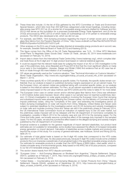- 20 These three lists include: (1) the list of EGs gathered by the WTO Committee on Trade and Environment Special Session, which lists more than 400 tariff lines categorized under broad headings, including renewable energy (see WTO 2011a); (2) a shorter list of renewable energy products drafted by Hufbauer and Kim (2012) that serves as the foundation for a proposed Sustainable Energy Trade Agreement; and (3) the list of EGs announced by APEC (2012) of which nearly 20 subheadings out of 54 pertain to renewable energy products. The OECD also developed a list, which we did not use.
- 21 For example, see EWEA, "Anti-dumping procedure regarding the import of certain woven and or stitched glass fibre fabrics from the People's Republic of China," http://www.vindkraft.no/Files/Filer/AD%20576%20 EWEA%20position%209%2001%2012.pdf.
- 22 Other analyses on the EU's use of trade remedies directed at renewable energy products are in accord; see, for example, Swedish National Board of Trade (2013) and Kasteng (2013).
- 23 This figure comes from the Office of the US Trade Representative; see "U.S., 13 Other WTO Members Unveil Plans To Negotiate Green Goods Deal," Inside US Trade, January 30, 2014 www.insidetrade.com (accessed on February 10, 2014).
- 24 Import data is drawn from the International Trade Centre (http://www.trademap.org/), which compiles bilateral trade flows at the 8-digit and 10-digit product level based on national statistical agencies.
- 25 It could be argued that the relevant trade base for judging the impact of an AD or CVD investigation is the year of the preliminary duty, since Besedeš and Prusa (2013) find that the most significant effects on trade occur early in the investigation. Likewise, Staiger and Wolak (1994) find evidence that an AD case has effects on trade through the mere initiation of an investigation.
- 26 CIF values are generally used as the "customs valuation." See "Technical Information on Customs Valuation," World Trade Organization, http://www.wto.org/english/tratop\_e/cusval\_e/cusval\_info\_e.htm (accessed on March 7, 2014).
- 27 Three countries specify AD or CVD penalties as specific duties. For Australia, the specific duties remain confidential; thus our analysis is based on published dumping margins expressed on an ad valorem basis. For the European Union, ad valorem duties are published along with converted specific duties, so our analysis is based on the initial ad valorem estimates. For Peru, an ad valorem equivalent is estimated for the specific duties imposed based on the unit value method; see WTO (2004) and the notes to table A1 for more detail.
- 28 The European Union case on certain woven and/or stitched glass fiber fabrics from China was withdrawn in 2012 before duties were imposed. Seven other cases in our sample have not reached a preliminary decision: (1) China's investigation on solar grade polysilicon involving the European Union found that dumping and subsidized imports were adversely affecting the Chinese market, but the Ministry of Commerce did not impose preliminary duties, citing the "complexity of the case" and extending the investigative period; (2) India's dumping investigations on solar cell imports from China, Malaysia, United States and Taiwan were subject to extended deadlines for the investigative period; and (3) US dumping and subsidy investigations on solar cells and modules involving China and Taiwan are still in the preliminary phase (in February 2014, the US International Trade Commission found an indication of material injury to the US solar market, but the preliminary duties imposed will not be released until the US Department of Commerce completes its investigation, possibly in March 2014 for the subsidy case and July 2014 for the dumping cases). For the China and India cases, we broadly assume a protective effect of the average duty imposed in the sampled cases. For the US cases, we assume a protective effect based on the alleged dumping and subsidy margins published by the US Department of Commerce.
- 29 Empirical evidence is available for the general magnitude of import demand elasticities, but product level estimates are not available for renewables; some studies have assessed the effects of increased renewable energy generation on import demand. Calculation of elasticities across multiple markets and products was beyond the scope of this study. For a survey of general estimates, see Hufbauer, Schott and Wong (2010), table 2A.13.
- 30 Our estimate of total global trade is based on the 6-digit HS codes that correspond to the HTS codes specified in each AD/CVD case. As discussed previously, because 6-digit HS codes include some unrelated products this is an imprecise overestimate of actual global trade in the specified renewable energy products. Our estimate for renewable products is smaller than the USTR figure of \$955 billion, cited earlier, which includes a broader array of environmental goods, likely based on the APEC list of 50 plus products, compared to our list of 8 renewable energy products.
- 31 This section draws heavily from WTO dispute summaries.
- 32 "European Union Anti-Dumping Measures on Biodiesel from Argentina," Dispute Settlement: Dispute DS473, updated as of February 7, 2014, http://www.wto.org/english/tratop\_e/dispu\_e/cases\_e/ds473\_e. htm (accessed on February 9, 2014).
- 33 "United States Countervailing and Anti-dumping Measures on Certain Products from China," Dispute Settlement: Dispute DS449, updated as of September 30, 2013, http://www.wto.org/english/tratop\_e/ dispu\_e/cases\_e/ds449\_e.htm (accessed on February 9, 2014).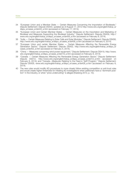- 34 "European Union and a Member State Certain Measures Concerning the Importation of Biodiesels," Dispute Settlement: Dispute DS443, updated as of August 17, 2012 http://www.wto.org/english/tratop\_e/ dispu\_e/cases\_e/ds443\_e.htm (accessed on February 17, 2014).
- 35 "European Union and Certain Member States Certain Measures on the Importation and Marketing of Biodiesel and Measures Supporting the Biodiesel Industry," Dispute Settlement: Dispute DS459, http:// www.wto.org/english/tratop\_e/dispu\_e/cases\_e/ds459\_e.htm (accessed on February 8, 2014).
- 36 "India Certain Measures Relating to Solar Cells and Solar Modules," Dispute Settlement: Dispute DS456, http://www.wto.org/english/tratop\_e/dispu\_e/cases\_e/ds456\_e.htm (accessed on February 8, 2014).
- 37 "European Union and certain Member States Certain Measures Affecting the Renewable Energy Generation Sector," Dispute Settlement: Dispute DS452, http://www.wto.org/english/tratop\_e/dispu\_e/ cases\_e/ds452\_e.htm (accessed on February 4, 2014).
- 38 "China Measures concerning wind power equipment," Dispute Settlement: Dispute DS419, http://www. wto.org/english/tratop\_e/dispu\_e/cases\_e/ds419\_e.htm (accessed on February 8, 2014).
- 39 "Canada Certain Measures Affecting the Renewable Energy Generation Sector," Dispute Settlement: Dispute DS412, http://www.wto.org/english/tratop\_e/dispu\_e/cases\_e/ds412\_e.htm (accessed on February 8, 2014); and "Canada—Measures Relating to the Feed-in Tariff Program," Dispute Settlement: Dispute DS426, www.wto.org/english/tratop\_e/dispu\_e/cases\_e/ds426\_e.htm (accessed on February 8,  $2014$ ).
- 40 The new rules would modify AD procedures to more closely follow existing competition or anti-trust rules and would create higher thresholds for initiating AD investigations when petitioners have a "dominant position" in the industry, or when "price undercutting" is alleged (Kasteng 2013, p. 10).